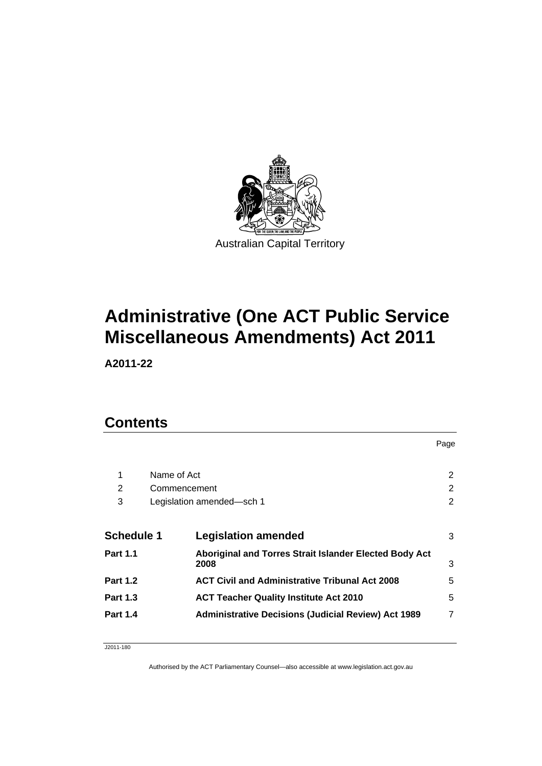

# **Administrative (One ACT Public Service Miscellaneous Amendments) Act 2011**

**A2011-22** 

## **Contents**

| 1                 | Name of Act  |                                                                | $\overline{2}$ |
|-------------------|--------------|----------------------------------------------------------------|----------------|
| 2                 | Commencement |                                                                | $\overline{2}$ |
| 3                 |              | Legislation amended-sch 1                                      | $\overline{2}$ |
|                   |              |                                                                |                |
| <b>Schedule 1</b> |              | <b>Legislation amended</b>                                     | 3              |
| <b>Part 1.1</b>   |              | Aboriginal and Torres Strait Islander Elected Body Act<br>2008 | 3              |
| <b>Part 1.2</b>   |              | <b>ACT Civil and Administrative Tribunal Act 2008</b>          | 5              |
| <b>Part 1.3</b>   |              | <b>ACT Teacher Quality Institute Act 2010</b>                  | 5              |
| <b>Part 1.4</b>   |              | <b>Administrative Decisions (Judicial Review) Act 1989</b>     | 7              |
|                   |              |                                                                |                |

Page

J2011-180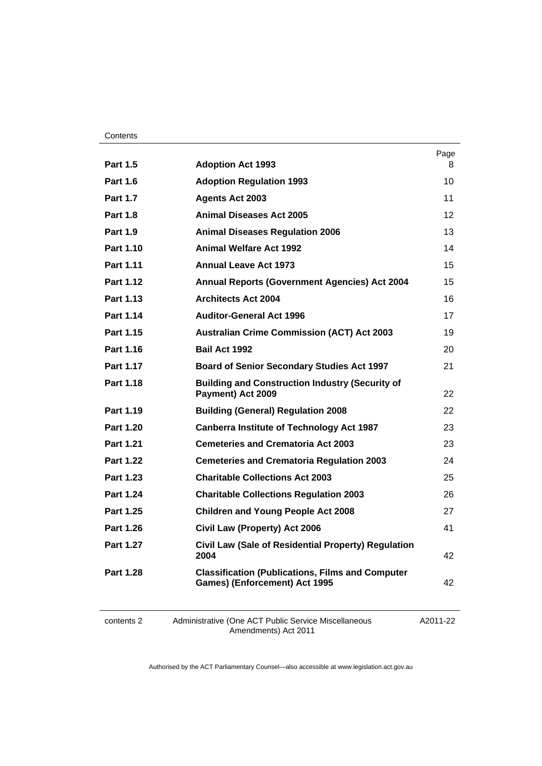|                  |                                                                                                 | Page |
|------------------|-------------------------------------------------------------------------------------------------|------|
| <b>Part 1.5</b>  | <b>Adoption Act 1993</b>                                                                        | 8    |
| <b>Part 1.6</b>  | <b>Adoption Regulation 1993</b>                                                                 | 10   |
| <b>Part 1.7</b>  | <b>Agents Act 2003</b>                                                                          | 11   |
| <b>Part 1.8</b>  | <b>Animal Diseases Act 2005</b>                                                                 | 12   |
| <b>Part 1.9</b>  | <b>Animal Diseases Regulation 2006</b>                                                          | 13   |
| Part 1.10        | <b>Animal Welfare Act 1992</b>                                                                  | 14   |
| Part 1.11        | <b>Annual Leave Act 1973</b>                                                                    | 15   |
| Part 1.12        | <b>Annual Reports (Government Agencies) Act 2004</b>                                            | 15   |
| Part 1.13        | <b>Architects Act 2004</b>                                                                      | 16   |
| Part 1.14        | <b>Auditor-General Act 1996</b>                                                                 | 17   |
| Part 1.15        | <b>Australian Crime Commission (ACT) Act 2003</b>                                               | 19   |
| Part 1.16        | Bail Act 1992                                                                                   | 20   |
| Part 1.17        | <b>Board of Senior Secondary Studies Act 1997</b>                                               | 21   |
| <b>Part 1.18</b> | <b>Building and Construction Industry (Security of</b><br>Payment) Act 2009                     | 22   |
| <b>Part 1.19</b> | <b>Building (General) Regulation 2008</b>                                                       | 22   |
| <b>Part 1.20</b> | <b>Canberra Institute of Technology Act 1987</b>                                                | 23   |
| Part 1.21        | <b>Cemeteries and Crematoria Act 2003</b>                                                       | 23   |
| <b>Part 1.22</b> | <b>Cemeteries and Crematoria Regulation 2003</b>                                                | 24   |
| Part 1.23        | <b>Charitable Collections Act 2003</b>                                                          | 25   |
| Part 1.24        | <b>Charitable Collections Regulation 2003</b>                                                   | 26   |
| <b>Part 1.25</b> | <b>Children and Young People Act 2008</b>                                                       | 27   |
| Part 1.26        | Civil Law (Property) Act 2006                                                                   | 41   |
| Part 1.27        | Civil Law (Sale of Residential Property) Regulation<br>2004                                     | 42   |
| <b>Part 1.28</b> | <b>Classification (Publications, Films and Computer</b><br><b>Games) (Enforcement) Act 1995</b> | 42   |
|                  |                                                                                                 |      |

contents 2 Administrative (One ACT Public Service Miscellaneous Amendments) Act 2011

A2011-22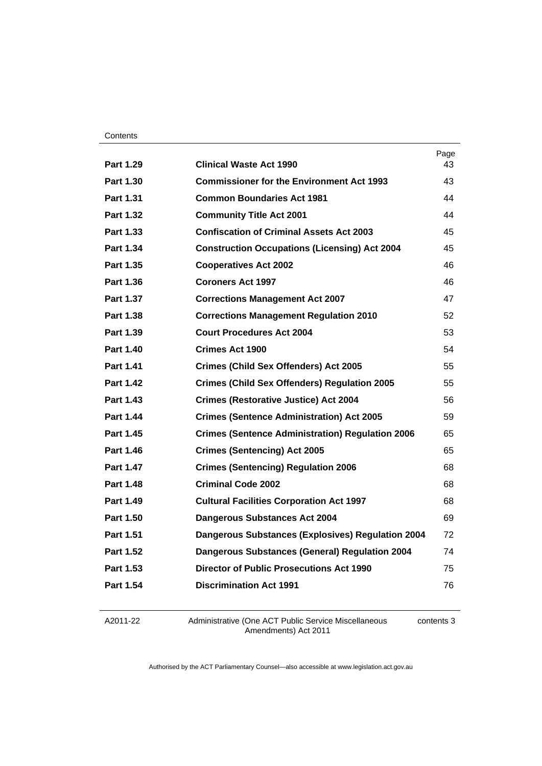|                  |                                                          | Page |
|------------------|----------------------------------------------------------|------|
| Part 1.29        | <b>Clinical Waste Act 1990</b>                           | 43   |
| Part 1.30        | <b>Commissioner for the Environment Act 1993</b>         | 43   |
| Part 1.31        | <b>Common Boundaries Act 1981</b>                        | 44   |
| <b>Part 1.32</b> | <b>Community Title Act 2001</b>                          | 44   |
| Part 1.33        | <b>Confiscation of Criminal Assets Act 2003</b>          | 45   |
| Part 1.34        | <b>Construction Occupations (Licensing) Act 2004</b>     | 45   |
| Part 1.35        | <b>Cooperatives Act 2002</b>                             | 46   |
| Part 1.36        | <b>Coroners Act 1997</b>                                 | 46   |
| <b>Part 1.37</b> | <b>Corrections Management Act 2007</b>                   | 47   |
| Part 1.38        | <b>Corrections Management Regulation 2010</b>            | 52   |
| Part 1.39        | <b>Court Procedures Act 2004</b>                         | 53   |
| <b>Part 1.40</b> | Crimes Act 1900                                          | 54   |
| Part 1.41        | <b>Crimes (Child Sex Offenders) Act 2005</b>             | 55   |
| <b>Part 1.42</b> | <b>Crimes (Child Sex Offenders) Regulation 2005</b>      | 55   |
| <b>Part 1.43</b> | <b>Crimes (Restorative Justice) Act 2004</b>             | 56   |
| Part 1.44        | <b>Crimes (Sentence Administration) Act 2005</b>         | 59   |
| <b>Part 1.45</b> | <b>Crimes (Sentence Administration) Regulation 2006</b>  | 65   |
| <b>Part 1.46</b> | <b>Crimes (Sentencing) Act 2005</b>                      | 65   |
| Part 1.47        | <b>Crimes (Sentencing) Regulation 2006</b>               | 68   |
| <b>Part 1.48</b> | <b>Criminal Code 2002</b>                                | 68   |
| Part 1.49        | <b>Cultural Facilities Corporation Act 1997</b>          | 68   |
| Part 1.50        | <b>Dangerous Substances Act 2004</b>                     | 69   |
| Part 1.51        | <b>Dangerous Substances (Explosives) Regulation 2004</b> | 72   |
| <b>Part 1.52</b> | <b>Dangerous Substances (General) Regulation 2004</b>    | 74   |
| Part 1.53        | <b>Director of Public Prosecutions Act 1990</b>          | 75   |
| Part 1.54        | <b>Discrimination Act 1991</b>                           | 76   |
|                  |                                                          |      |

A2011-22

Administrative (One ACT Public Service Miscellaneous Amendments) Act 2011

contents 3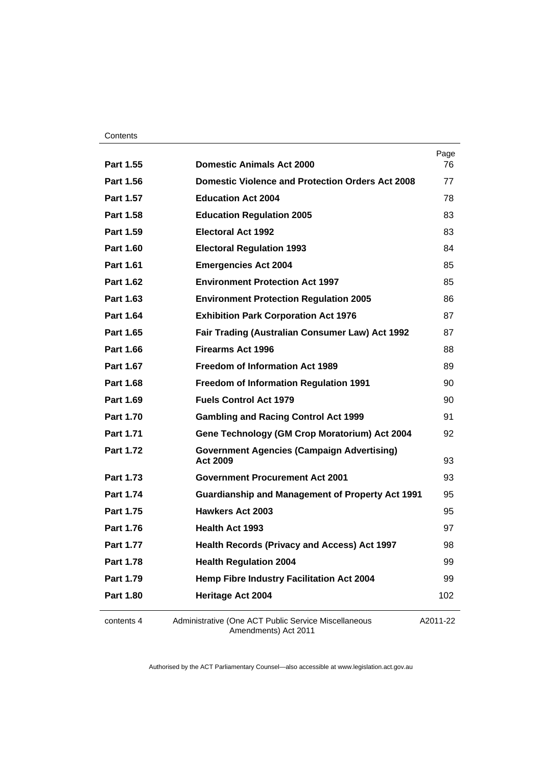| Part 1.55        | <b>Domestic Animals Act 2000</b>                                             | Page<br>76 |
|------------------|------------------------------------------------------------------------------|------------|
| Part 1.56        | <b>Domestic Violence and Protection Orders Act 2008</b>                      | 77         |
| Part 1.57        | <b>Education Act 2004</b>                                                    | 78         |
| Part 1.58        | <b>Education Regulation 2005</b>                                             | 83         |
| Part 1.59        | <b>Electoral Act 1992</b>                                                    | 83         |
| Part 1.60        | <b>Electoral Regulation 1993</b>                                             | 84         |
| Part 1.61        | <b>Emergencies Act 2004</b>                                                  | 85         |
| Part 1.62        | <b>Environment Protection Act 1997</b>                                       | 85         |
| Part 1.63        | <b>Environment Protection Regulation 2005</b>                                | 86         |
| Part 1.64        | <b>Exhibition Park Corporation Act 1976</b>                                  | 87         |
| <b>Part 1.65</b> | Fair Trading (Australian Consumer Law) Act 1992                              | 87         |
| Part 1.66        | <b>Firearms Act 1996</b>                                                     | 88         |
| Part 1.67        | <b>Freedom of Information Act 1989</b>                                       | 89         |
| Part 1.68        | <b>Freedom of Information Regulation 1991</b>                                | 90         |
| Part 1.69        | <b>Fuels Control Act 1979</b>                                                | 90         |
| Part 1.70        | <b>Gambling and Racing Control Act 1999</b>                                  | 91         |
| Part 1.71        | Gene Technology (GM Crop Moratorium) Act 2004                                | 92         |
| Part 1.72        | <b>Government Agencies (Campaign Advertising)</b><br><b>Act 2009</b>         | 93         |
| Part 1.73        | <b>Government Procurement Act 2001</b>                                       | 93         |
| Part 1.74        | <b>Guardianship and Management of Property Act 1991</b>                      | 95         |
| Part 1.75        | <b>Hawkers Act 2003</b>                                                      | 95         |
| Part 1.76        | <b>Health Act 1993</b>                                                       | 97         |
| Part 1.77        | <b>Health Records (Privacy and Access) Act 1997</b>                          | 98         |
| Part 1.78        | <b>Health Regulation 2004</b>                                                | 99         |
| Part 1.79        | <b>Hemp Fibre Industry Facilitation Act 2004</b>                             | 99         |
| Part 1.80        | Heritage Act 2004                                                            | 102        |
| contents 4       | Administrative (One ACT Public Service Miscellaneous<br>Amendments) Act 2011 | A2011-22   |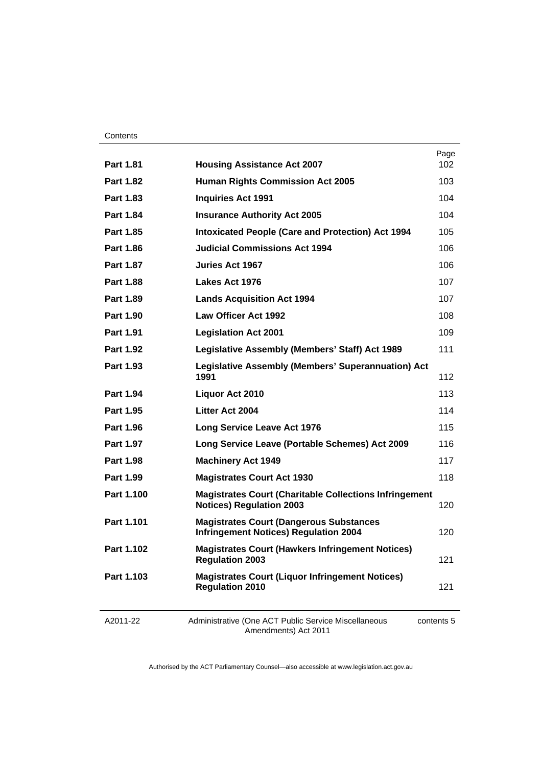|                  |                                                                                                  | Page |
|------------------|--------------------------------------------------------------------------------------------------|------|
| Part 1.81        | <b>Housing Assistance Act 2007</b>                                                               | 102  |
| <b>Part 1.82</b> | <b>Human Rights Commission Act 2005</b>                                                          | 103  |
| Part 1.83        | <b>Inquiries Act 1991</b>                                                                        | 104  |
| Part 1.84        | <b>Insurance Authority Act 2005</b>                                                              | 104  |
| Part 1.85        | <b>Intoxicated People (Care and Protection) Act 1994</b>                                         | 105  |
| <b>Part 1.86</b> | <b>Judicial Commissions Act 1994</b>                                                             | 106  |
| <b>Part 1.87</b> | Juries Act 1967                                                                                  | 106  |
| <b>Part 1.88</b> | Lakes Act 1976                                                                                   | 107  |
| Part 1.89        | <b>Lands Acquisition Act 1994</b>                                                                | 107  |
| <b>Part 1.90</b> | <b>Law Officer Act 1992</b>                                                                      | 108  |
| Part 1.91        | <b>Legislation Act 2001</b>                                                                      | 109  |
| <b>Part 1.92</b> | Legislative Assembly (Members' Staff) Act 1989                                                   | 111  |
| Part 1.93        | Legislative Assembly (Members' Superannuation) Act<br>1991                                       | 112  |
| Part 1.94        | Liquor Act 2010                                                                                  | 113  |
| <b>Part 1.95</b> | Litter Act 2004                                                                                  | 114  |
| Part 1.96        | <b>Long Service Leave Act 1976</b>                                                               | 115  |
| Part 1.97        | Long Service Leave (Portable Schemes) Act 2009                                                   | 116  |
| <b>Part 1.98</b> | <b>Machinery Act 1949</b>                                                                        | 117  |
| Part 1.99        | <b>Magistrates Court Act 1930</b>                                                                | 118  |
| Part 1.100       | <b>Magistrates Court (Charitable Collections Infringement</b><br><b>Notices) Regulation 2003</b> | 120  |
| Part 1.101       | <b>Magistrates Court (Dangerous Substances</b><br><b>Infringement Notices) Regulation 2004</b>   | 120  |
| Part 1.102       | <b>Magistrates Court (Hawkers Infringement Notices)</b><br><b>Regulation 2003</b>                | 121  |
| Part 1.103       | <b>Magistrates Court (Liquor Infringement Notices)</b><br><b>Regulation 2010</b>                 | 121  |
|                  |                                                                                                  |      |

A2011-22

Administrative (One ACT Public Service Miscellaneous Amendments) Act 2011

contents 5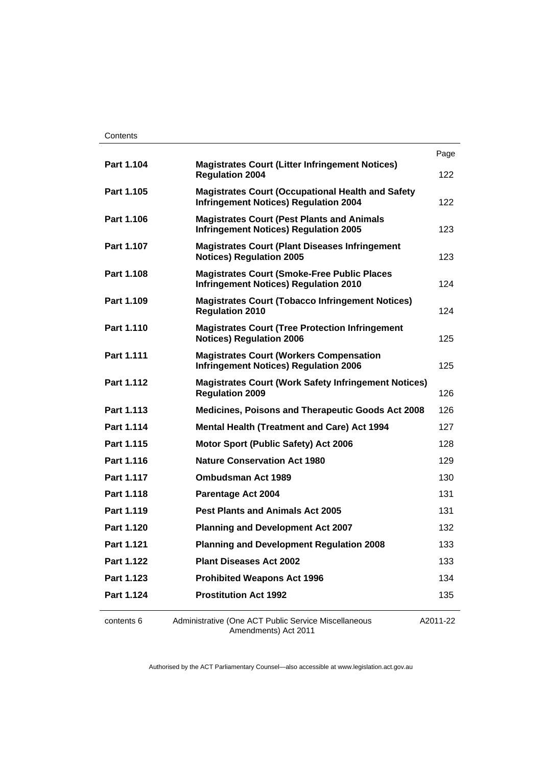|                   |                                                                                                          | Page     |
|-------------------|----------------------------------------------------------------------------------------------------------|----------|
| Part 1.104        | <b>Magistrates Court (Litter Infringement Notices)</b><br><b>Regulation 2004</b>                         | 122      |
| Part 1.105        | <b>Magistrates Court (Occupational Health and Safety</b><br><b>Infringement Notices) Regulation 2004</b> | 122      |
| Part 1.106        | <b>Magistrates Court (Pest Plants and Animals</b><br><b>Infringement Notices) Regulation 2005</b>        | 123      |
| Part 1.107        | <b>Magistrates Court (Plant Diseases Infringement</b><br><b>Notices) Regulation 2005</b>                 | 123      |
| Part 1.108        | <b>Magistrates Court (Smoke-Free Public Places</b><br><b>Infringement Notices) Regulation 2010</b>       | 124      |
| Part 1.109        | <b>Magistrates Court (Tobacco Infringement Notices)</b><br><b>Regulation 2010</b>                        | 124      |
| Part 1.110        | <b>Magistrates Court (Tree Protection Infringement</b><br><b>Notices) Regulation 2006</b>                | 125      |
| Part 1.111        | <b>Magistrates Court (Workers Compensation</b><br><b>Infringement Notices) Regulation 2006</b>           | 125      |
| Part 1.112        | <b>Magistrates Court (Work Safety Infringement Notices)</b><br><b>Regulation 2009</b>                    | 126      |
| Part 1.113        | Medicines, Poisons and Therapeutic Goods Act 2008                                                        | 126      |
| Part 1.114        | <b>Mental Health (Treatment and Care) Act 1994</b>                                                       | 127      |
| Part 1.115        | <b>Motor Sport (Public Safety) Act 2006</b>                                                              | 128      |
| Part 1.116        | <b>Nature Conservation Act 1980</b>                                                                      | 129      |
| Part 1.117        | Ombudsman Act 1989                                                                                       | 130      |
| Part 1.118        | Parentage Act 2004                                                                                       | 131      |
| Part 1.119        | <b>Pest Plants and Animals Act 2005</b>                                                                  | 131      |
| <b>Part 1.120</b> | <b>Planning and Development Act 2007</b>                                                                 | 132      |
| Part 1.121        | <b>Planning and Development Regulation 2008</b>                                                          | 133      |
| Part 1.122        | <b>Plant Diseases Act 2002</b>                                                                           | 133      |
| Part 1.123        | <b>Prohibited Weapons Act 1996</b>                                                                       | 134      |
| Part 1.124        | <b>Prostitution Act 1992</b>                                                                             | 135      |
| contents 6        | Administrative (One ACT Public Service Miscellaneous<br>Amendments) Act 2011                             | A2011-22 |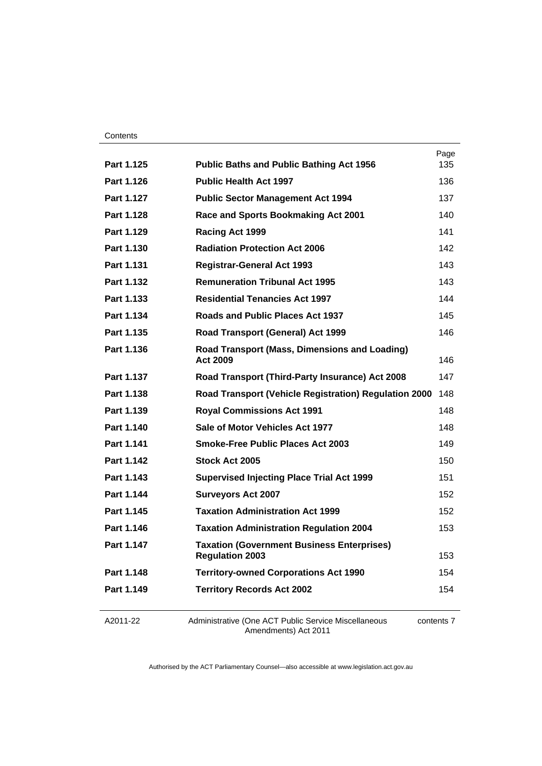| Part 1.149 | <b>Territory Records Act 2002</b>                                           | 154         |
|------------|-----------------------------------------------------------------------------|-------------|
| Part 1.148 | <b>Territory-owned Corporations Act 1990</b>                                | 154         |
| Part 1.147 | <b>Taxation (Government Business Enterprises)</b><br><b>Regulation 2003</b> | 153         |
| Part 1.146 | <b>Taxation Administration Regulation 2004</b>                              | 153         |
| Part 1.145 | <b>Taxation Administration Act 1999</b>                                     | 152         |
| Part 1.144 | <b>Surveyors Act 2007</b>                                                   | 152         |
| Part 1.143 | <b>Supervised Injecting Place Trial Act 1999</b>                            | 151         |
| Part 1.142 | Stock Act 2005                                                              | 150         |
| Part 1.141 | <b>Smoke-Free Public Places Act 2003</b>                                    | 149         |
| Part 1.140 | Sale of Motor Vehicles Act 1977                                             | 148         |
| Part 1.139 | <b>Royal Commissions Act 1991</b>                                           | 148         |
| Part 1.138 | <b>Road Transport (Vehicle Registration) Regulation 2000</b>                | 148         |
| Part 1.137 | Road Transport (Third-Party Insurance) Act 2008                             | 147         |
| Part 1.136 | Road Transport (Mass, Dimensions and Loading)<br>Act 2009                   | 146         |
| Part 1.135 | Road Transport (General) Act 1999                                           | 146         |
| Part 1.134 | Roads and Public Places Act 1937                                            | 145         |
| Part 1.133 | <b>Residential Tenancies Act 1997</b>                                       | 144         |
| Part 1.132 | <b>Remuneration Tribunal Act 1995</b>                                       | 143         |
| Part 1.131 | <b>Registrar-General Act 1993</b>                                           | 143         |
| Part 1.130 | <b>Radiation Protection Act 2006</b>                                        | 142         |
| Part 1.129 | Racing Act 1999                                                             | 141         |
| Part 1.128 | Race and Sports Bookmaking Act 2001                                         | 140         |
| Part 1.127 | <b>Public Sector Management Act 1994</b>                                    | 137         |
| Part 1.126 | <b>Public Health Act 1997</b>                                               | 136         |
| Part 1.125 | <b>Public Baths and Public Bathing Act 1956</b>                             | Page<br>135 |

A2011-22

Administrative (One ACT Public Service Miscellaneous Amendments) Act 2011

contents 7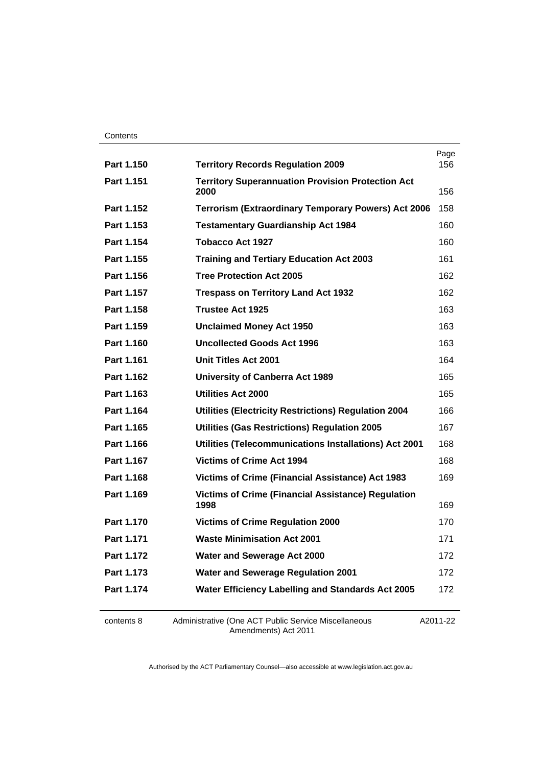| Part 1.150 | <b>Territory Records Regulation 2009</b>                          | Page<br>156 |
|------------|-------------------------------------------------------------------|-------------|
| Part 1.151 | <b>Territory Superannuation Provision Protection Act</b>          |             |
|            | 2000                                                              | 156         |
| Part 1.152 | <b>Terrorism (Extraordinary Temporary Powers) Act 2006</b>        | 158         |
| Part 1.153 | <b>Testamentary Guardianship Act 1984</b>                         | 160         |
| Part 1.154 | <b>Tobacco Act 1927</b>                                           | 160         |
| Part 1.155 | <b>Training and Tertiary Education Act 2003</b>                   | 161         |
| Part 1.156 | <b>Tree Protection Act 2005</b>                                   | 162         |
| Part 1.157 | <b>Trespass on Territory Land Act 1932</b>                        | 162         |
| Part 1.158 | <b>Trustee Act 1925</b>                                           | 163         |
| Part 1.159 | <b>Unclaimed Money Act 1950</b>                                   | 163         |
| Part 1.160 | <b>Uncollected Goods Act 1996</b>                                 | 163         |
| Part 1.161 | <b>Unit Titles Act 2001</b>                                       | 164         |
| Part 1.162 | <b>University of Canberra Act 1989</b>                            | 165         |
| Part 1.163 | <b>Utilities Act 2000</b>                                         | 165         |
| Part 1.164 | <b>Utilities (Electricity Restrictions) Regulation 2004</b>       | 166         |
| Part 1.165 | <b>Utilities (Gas Restrictions) Regulation 2005</b>               | 167         |
| Part 1.166 | Utilities (Telecommunications Installations) Act 2001             | 168         |
| Part 1.167 | <b>Victims of Crime Act 1994</b>                                  | 168         |
| Part 1.168 | <b>Victims of Crime (Financial Assistance) Act 1983</b>           | 169         |
| Part 1.169 | <b>Victims of Crime (Financial Assistance) Regulation</b><br>1998 | 169         |
| Part 1.170 | <b>Victims of Crime Regulation 2000</b>                           | 170         |
| Part 1.171 | <b>Waste Minimisation Act 2001</b>                                | 171         |
| Part 1.172 | Water and Sewerage Act 2000                                       | 172         |
| Part 1.173 | <b>Water and Sewerage Regulation 2001</b>                         | 172         |
| Part 1.174 | Water Efficiency Labelling and Standards Act 2005                 | 172         |
|            |                                                                   |             |

contents 8 Administrative (One ACT Public Service Miscellaneous Amendments) Act 2011

A2011-22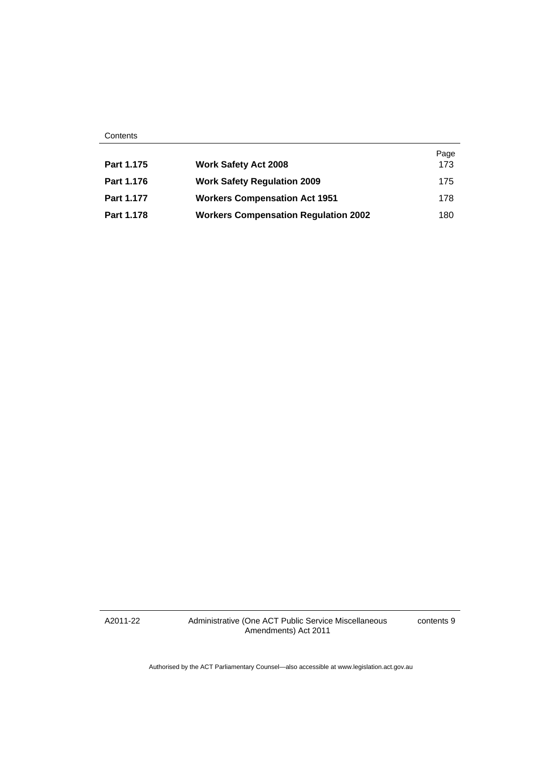| Part 1.175 | <b>Work Safety Act 2008</b>                 | Page<br>173 |
|------------|---------------------------------------------|-------------|
| Part 1.176 | <b>Work Safety Regulation 2009</b>          | 175         |
| Part 1.177 | <b>Workers Compensation Act 1951</b>        | 178         |
| Part 1.178 | <b>Workers Compensation Regulation 2002</b> | 180         |

A2011-22

Administrative (One ACT Public Service Miscellaneous Amendments) Act 2011

contents 9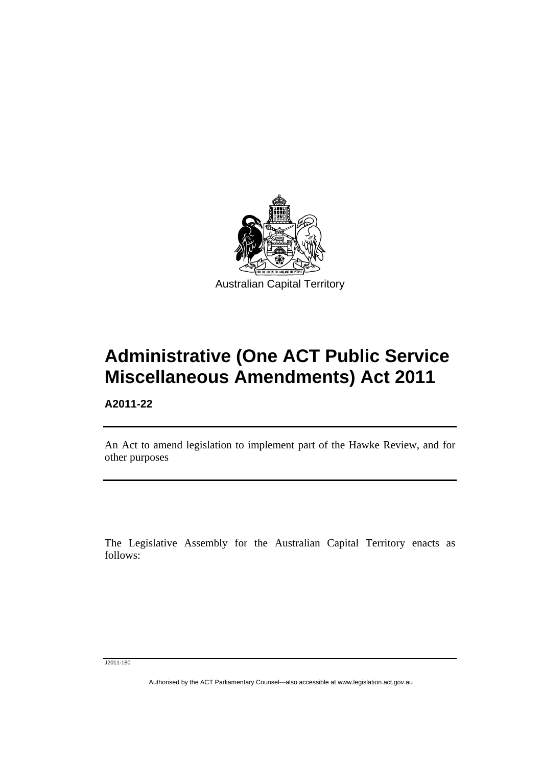

# **Administrative (One ACT Public Service Miscellaneous Amendments) Act 2011**

**A2011-22** 

l

An Act to amend legislation to implement part of the Hawke Review, and for other purposes

The Legislative Assembly for the Australian Capital Territory enacts as follows:

J2011-180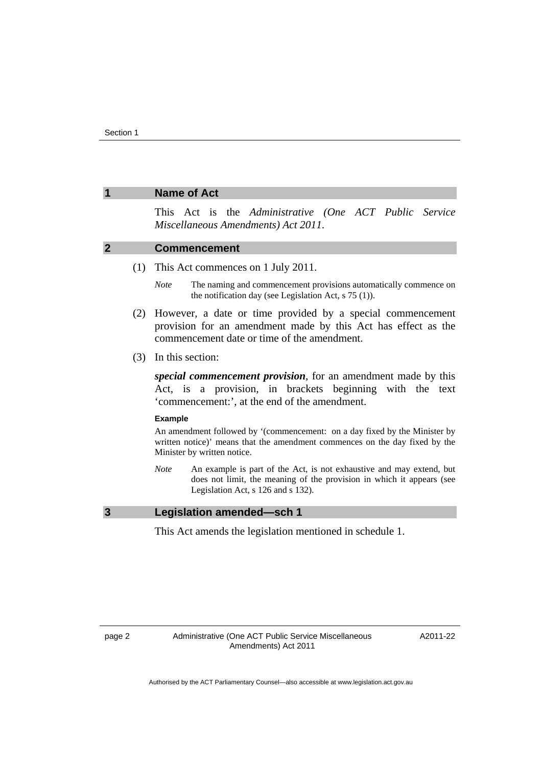### **1 Name of Act**

This Act is the *Administrative (One ACT Public Service Miscellaneous Amendments) Act 2011*.

#### **2 Commencement**

(1) This Act commences on 1 July 2011.

*Note* The naming and commencement provisions automatically commence on the notification day (see Legislation Act, s 75 (1)).

- (2) However, a date or time provided by a special commencement provision for an amendment made by this Act has effect as the commencement date or time of the amendment.
- (3) In this section:

*special commencement provision*, for an amendment made by this Act, is a provision, in brackets beginning with the text 'commencement:', at the end of the amendment.

#### **Example**

An amendment followed by '(commencement: on a day fixed by the Minister by written notice)' means that the amendment commences on the day fixed by the Minister by written notice.

*Note* An example is part of the Act, is not exhaustive and may extend, but does not limit, the meaning of the provision in which it appears (see Legislation Act, s 126 and s 132).

#### **3 Legislation amended—sch 1**

This Act amends the legislation mentioned in schedule 1.

A2011-22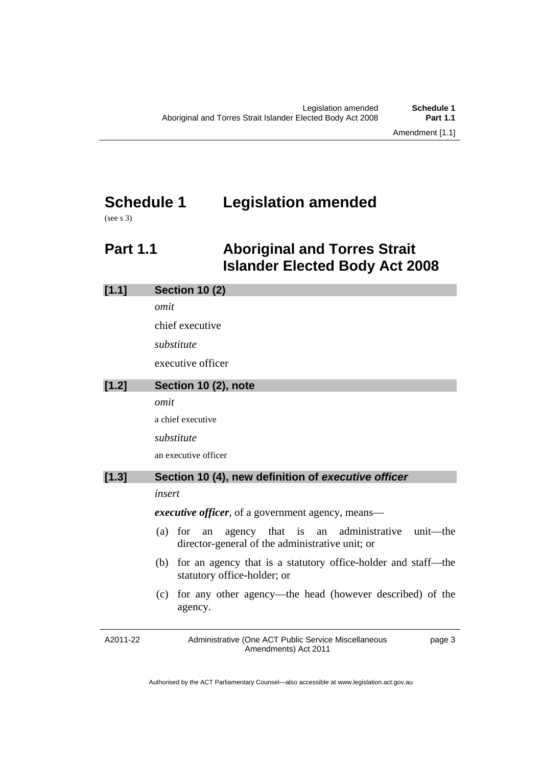# **Schedule 1 Legislation amended**

(see s 3)

## **Part 1.1 Aboriginal and Torres Strait Islander Elected Body Act 2008**

| [1.1] | <b>Section 10 (2)</b>                                                                                                 |
|-------|-----------------------------------------------------------------------------------------------------------------------|
|       | omit                                                                                                                  |
|       | chief executive                                                                                                       |
|       | substitute                                                                                                            |
|       | executive officer                                                                                                     |
| [1.2] | Section 10 (2), note                                                                                                  |
|       | omit                                                                                                                  |
|       | a chief executive                                                                                                     |
|       | substitute                                                                                                            |
|       | an executive officer                                                                                                  |
| [1.3] | Section 10 (4), new definition of executive officer                                                                   |
|       | insert                                                                                                                |
|       | executive officer, of a government agency, means-                                                                     |
|       | administrative unit—the<br>agency that is<br>$(a)$ for<br>an<br>an<br>director-general of the administrative unit; or |
|       | for an agency that is a statutory office-holder and staff—the<br>(b)<br>statutory office-holder; or                   |
|       | for any other agency—the head (however described) of the<br>(c)<br>agency.                                            |

A2011-22 Administrative (One ACT Public Service Miscellaneous Amendments) Act 2011 page 3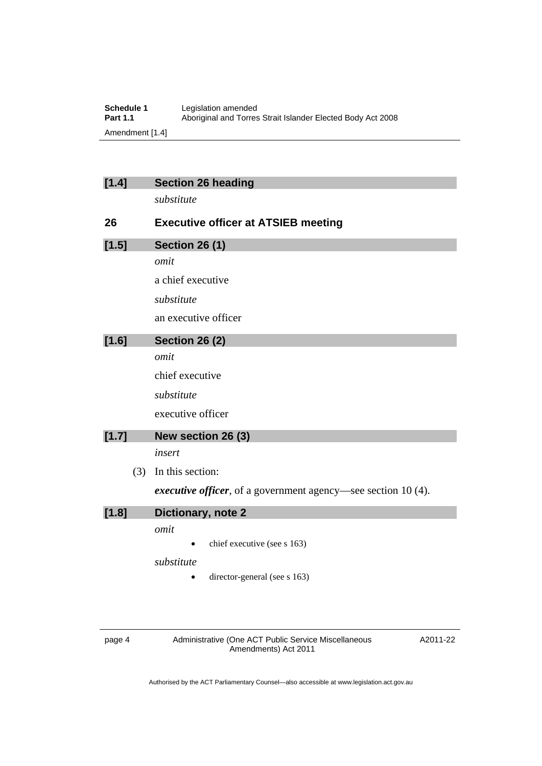| Schedule 1      | Legislation amended                                         |
|-----------------|-------------------------------------------------------------|
| <b>Part 1.1</b> | Aboriginal and Torres Strait Islander Elected Body Act 2008 |
| Amendment [1.4] |                                                             |

| $[1.4]$ | <b>Section 26 heading</b>                                             |
|---------|-----------------------------------------------------------------------|
|         | substitute                                                            |
| 26      | <b>Executive officer at ATSIEB meeting</b>                            |
| [1.5]   | <b>Section 26 (1)</b>                                                 |
|         | omit                                                                  |
|         | a chief executive                                                     |
|         | substitute                                                            |
|         | an executive officer                                                  |
| $[1.6]$ | <b>Section 26 (2)</b>                                                 |
|         | omit                                                                  |
|         | chief executive                                                       |
|         | substitute                                                            |
|         | executive officer                                                     |
| [1.7]   | New section 26 (3)                                                    |
|         | insert                                                                |
| (3)     | In this section:                                                      |
|         | <i>executive officer</i> , of a government agency—see section 10 (4). |
| [1.8]   | Dictionary, note 2                                                    |
|         | omit                                                                  |
|         | chief executive (see s 163)                                           |
|         | substitute                                                            |
|         | director-general (see s 163)                                          |

page 4 **Administrative (One ACT Public Service Miscellaneous** Amendments) Act 2011

A2011-22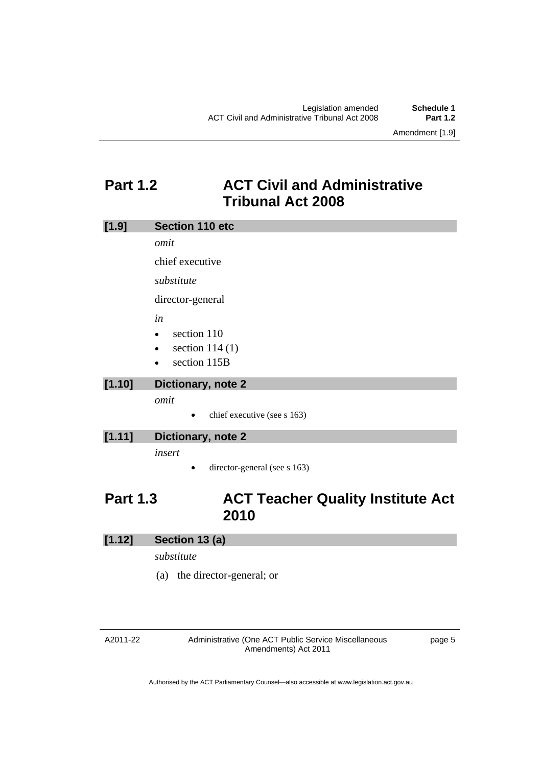### **Part 1.2 ACT Civil and Administrative Tribunal Act 2008**

| [1.9]  | Section 110 etc               |
|--------|-------------------------------|
|        | omit                          |
|        | chief executive               |
|        | substitute                    |
|        | director-general              |
|        | in                            |
|        | section 110<br>$\bullet$      |
|        | section $114(1)$<br>$\bullet$ |
|        | section 115B<br>$\bullet$     |
| [1.10] | Dictionary, note 2            |

*omit* 

 $\bullet$  chief executive (see s 163)

### **[1.11] Dictionary, note 2**

*insert* 

• director-general (see s 163)

### **Part 1.3 ACT Teacher Quality Institute Act 2010**

### **[1.12] Section 13 (a)**

*substitute* 

(a) the director-general; or

#### A2011-22

Administrative (One ACT Public Service Miscellaneous Amendments) Act 2011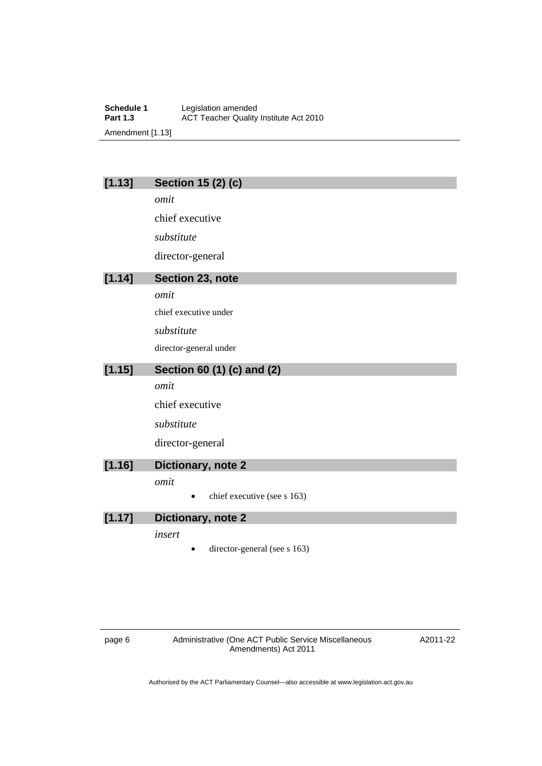**Schedule 1** Legislation amended<br> **Part 1.3** ACT Teacher Quality **ACT Teacher Quality Institute Act 2010** Amendment [1.13]

### **[1.13] Section 15 (2) (c)**

*omit* 

chief executive

*substitute* 

director-general

### **[1.14] Section 23, note**

*omit* 

chief executive under

*substitute* 

director-general under

### **[1.15] Section 60 (1) (c) and (2)**

*omit* 

chief executive

*substitute* 

director-general

### **[1.16] Dictionary, note 2**

*omit* 

 $\bullet$  chief executive (see s 163)

### **[1.17] Dictionary, note 2**

*insert* 

director-general (see s 163)

page 6 Administrative (One ACT Public Service Miscellaneous Amendments) Act 2011

A2011-22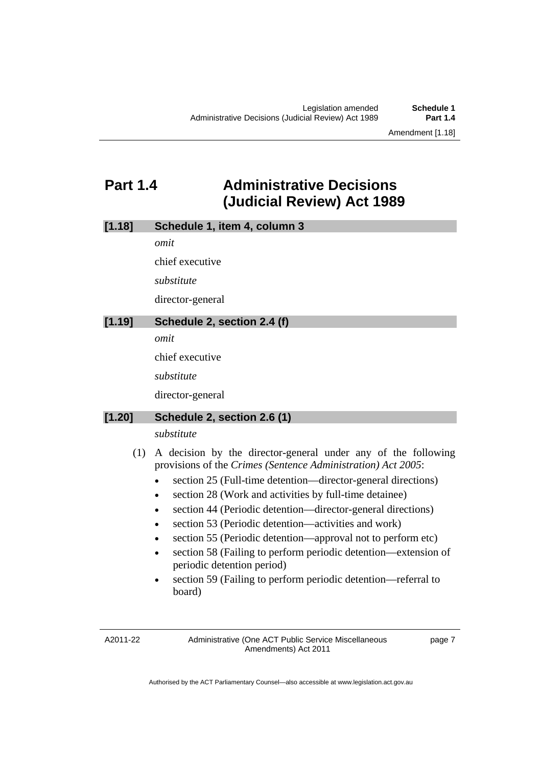Amendment [1.18]

### **Part 1.4 Administrative Decisions (Judicial Review) Act 1989**

*omit* 

chief executive

*substitute* 

director-general

### **[1.19] Schedule 2, section 2.4 (f)**

*omit* 

chief executive

*substitute* 

director-general

### **[1.20] Schedule 2, section 2.6 (1)**

### *substitute*

- (1) A decision by the director-general under any of the following provisions of the *Crimes (Sentence Administration) Act 2005*:
	- section 25 (Full-time detention—director-general directions)
	- section 28 (Work and activities by full-time detainee)
	- section 44 (Periodic detention—director-general directions)
	- section 53 (Periodic detention—activities and work)
	- section 55 (Periodic detention—approval not to perform etc)
	- section 58 (Failing to perform periodic detention—extension of periodic detention period)
	- section 59 (Failing to perform periodic detention—referral to board)

A2011-22

Administrative (One ACT Public Service Miscellaneous Amendments) Act 2011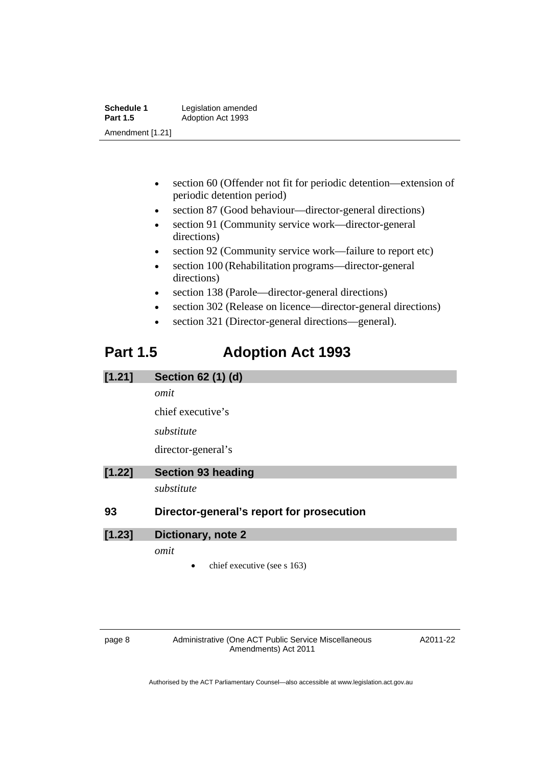| Schedule 1       | Legislation amended |
|------------------|---------------------|
| <b>Part 1.5</b>  | Adoption Act 1993   |
| Amendment [1.21] |                     |

- section 60 (Offender not fit for periodic detention—extension of periodic detention period)
- section 87 (Good behaviour—director-general directions)
- section 91 (Community service work—director-general directions)
- section 92 (Community service work—failure to report etc)
- section 100 (Rehabilitation programs—director-general directions)
- section 138 (Parole—director-general directions)
- section 302 (Release on licence—director-general directions)
- section 321 (Director-general directions—general).

### **Part 1.5 Adoption Act 1993**

| [1.21] | Section 62 (1) (d)                        |
|--------|-------------------------------------------|
|        | omit                                      |
|        | chief executive's                         |
|        | substitute                                |
|        | director-general's                        |
| [1.22] | <b>Section 93 heading</b>                 |
|        | substitute                                |
| 93     | Director-general's report for prosecution |

# **[1.23] Dictionary, note 2**

*omit* 

chief executive (see s 163)

page 8 Administrative (One ACT Public Service Miscellaneous Amendments) Act 2011

A2011-22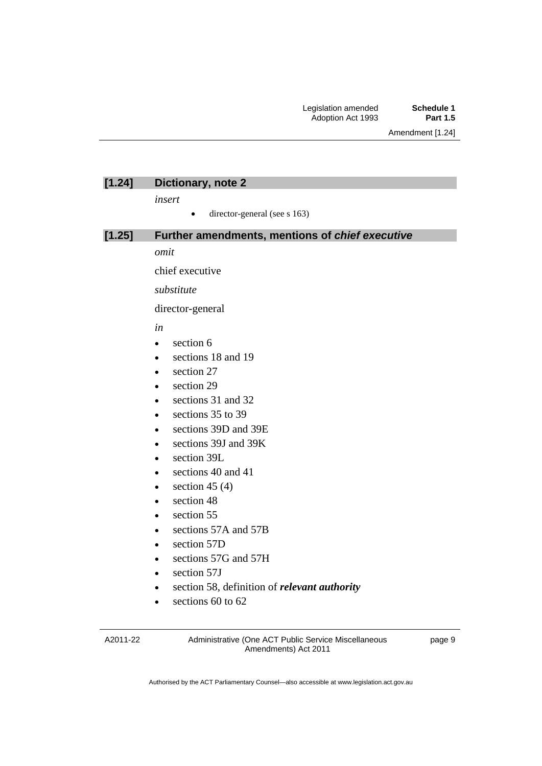### **[1.24] Dictionary, note 2**

*insert* 

 $\bullet$  director-general (see s 163)

#### **[1.25] Further amendments, mentions of** *chief executive*

*omit* 

chief executive

*substitute* 

director-general

*in* 

- section 6
- sections 18 and 19
- section 27
- section 29
- sections 31 and 32
- $\cdot$  sections 35 to 39
- sections 39D and 39E
- sections 39J and 39K
- section 39L
- sections 40 and 41
- $\bullet$  section 45 (4)
- section 48
- section 55
- sections 57A and 57B
- section 57D
- sections 57G and 57H
- section 57J
- section 58, definition of *relevant authority*
- e sections 60 to 62

A2011-22

Administrative (One ACT Public Service Miscellaneous Amendments) Act 2011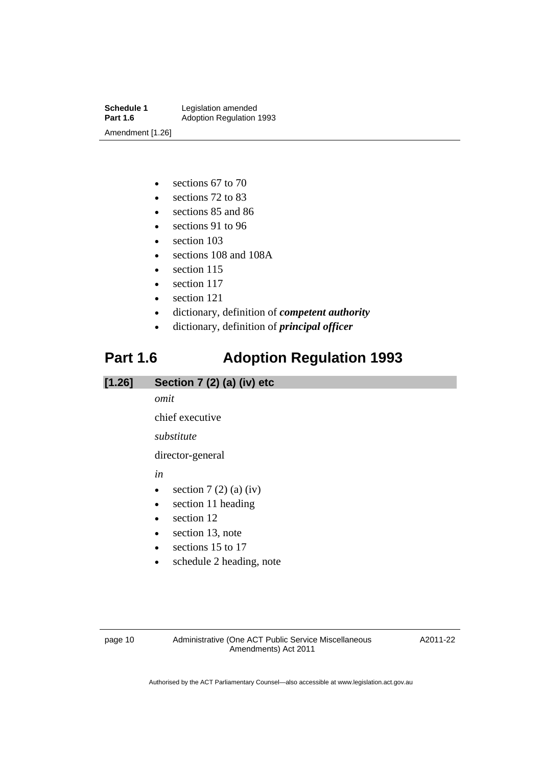**Schedule 1** Legislation amended<br> **Part 1.6** Adoption Regulation **Adoption Regulation 1993** Amendment [1.26]

- e sections 67 to 70
- e sections 72 to 83
- sections 85 and 86
- sections 91 to 96
- section 103
- sections 108 and 108A
- $\bullet$  section 115
- section 117
- section 121
- dictionary, definition of *competent authority*
- dictionary, definition of *principal officer*

## **Part 1.6 Adoption Regulation 1993**

### **[1.26] Section 7 (2) (a) (iv) etc**

#### *omit*

chief executive

*substitute* 

director-general

*in* 

- $\bullet$  section 7 (2) (a) (iv)
- section 11 heading
- section 12
- section 13, note
- e sections 15 to 17
- schedule 2 heading, note

page 10 Administrative (One ACT Public Service Miscellaneous Amendments) Act 2011

A2011-22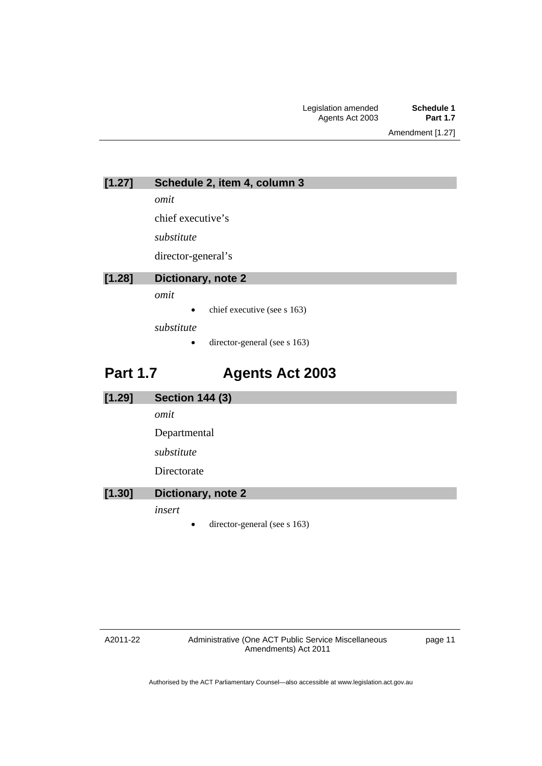**[1.27] Schedule 2, item 4, column 3** 

*omit* 

chief executive's

*substitute* 

director-general's

### **[1.28] Dictionary, note 2**

*omit* 

• chief executive (see s 163)

*substitute* 

• director-general (see s 163)

### **Part 1.7 Agents Act 2003**

| [1.29] | <b>Section 144 (3)</b>                    |
|--------|-------------------------------------------|
|        | omit                                      |
|        | Departmental                              |
|        | substitute                                |
|        | Directorate                               |
| [1.30] | Dictionary, note 2                        |
|        | insert                                    |
|        | director-general (see s 163)<br>$\bullet$ |

page 11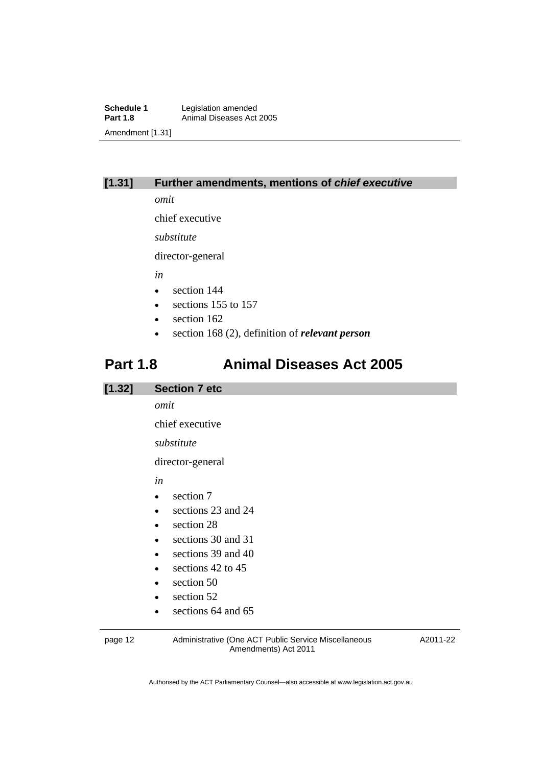**Schedule 1** Legislation amended<br> **Part 1.8** Animal Diseases Act Animal Diseases Act 2005 Amendment [1.31]

### **[1.31] Further amendments, mentions of** *chief executive*

*omit* 

chief executive

*substitute* 

director-general

*in* 

- section 144
- e sections 155 to 157
- section 162
- section 168 (2), definition of *relevant person*

### **Part 1.8 Animal Diseases Act 2005**

### **[1.32] Section 7 etc**  *omit*  chief executive *substitute*  director-general *in*  • section 7 sections 23 and 24 • section 28 sections 30 and 31  $\bullet$  sections 39 and 40 e sections 42 to 45 • section 50 • section 52

• sections 64 and 65

page 12 Administrative (One ACT Public Service Miscellaneous Amendments) Act 2011

A2011-22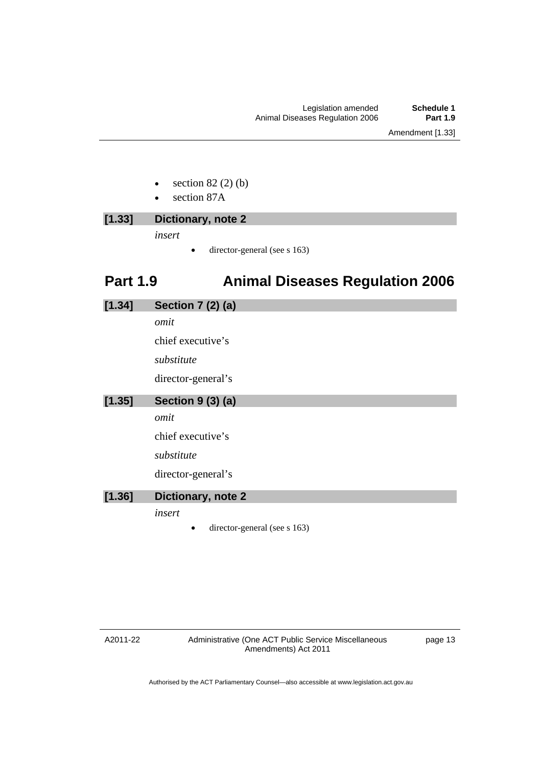- section 82 (2) (b)
- section 87A

### **[1.33] Dictionary, note 2**  *insert*

director-general (see s 163)

## **Part 1.9 Animal Diseases Regulation 2006**

## **[1.34] Section 7 (2) (a)** *omit*  chief executive's *substitute*  director-general's **[1.35] Section 9 (3) (a)** *omit*  chief executive's *substitute*  director-general's **[1.36] Dictionary, note 2**  *insert*  director-general (see s 163)

#### A2011-22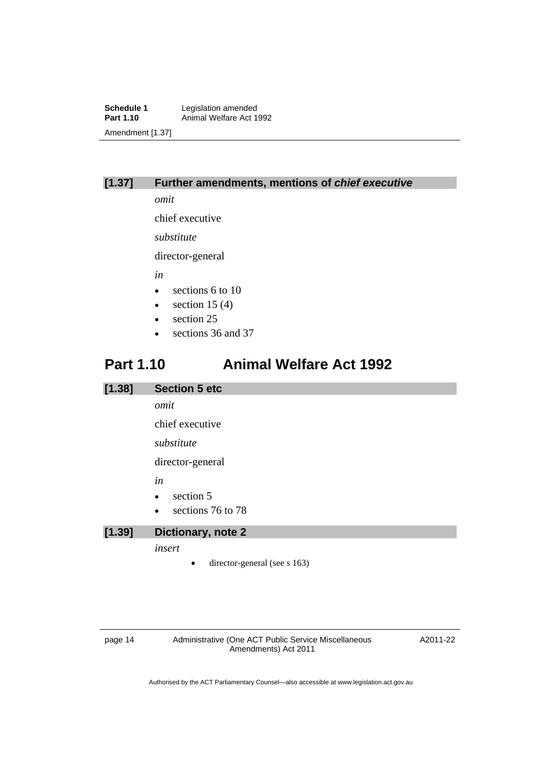**Schedule 1** Legislation amended<br> **Part 1.10** Animal Welfare Act 1 Animal Welfare Act 1992 Amendment [1.37]

### **[1.37] Further amendments, mentions of** *chief executive*

*omit* 

chief executive

*substitute* 

director-general

*in* 

- sections 6 to 10
- $\bullet$  section 15 (4)
- section 25
- sections 36 and 37

### **Part 1.10 Animal Welfare Act 1992**

## **[1.38] Section 5 etc**  *omit*  chief executive *substitute*  director-general *in*  • section 5 e sections 76 to 78 **[1.39] Dictionary, note 2**

*insert* 

 $\bullet$  director-general (see s 163)

page 14 Administrative (One ACT Public Service Miscellaneous Amendments) Act 2011

A2011-22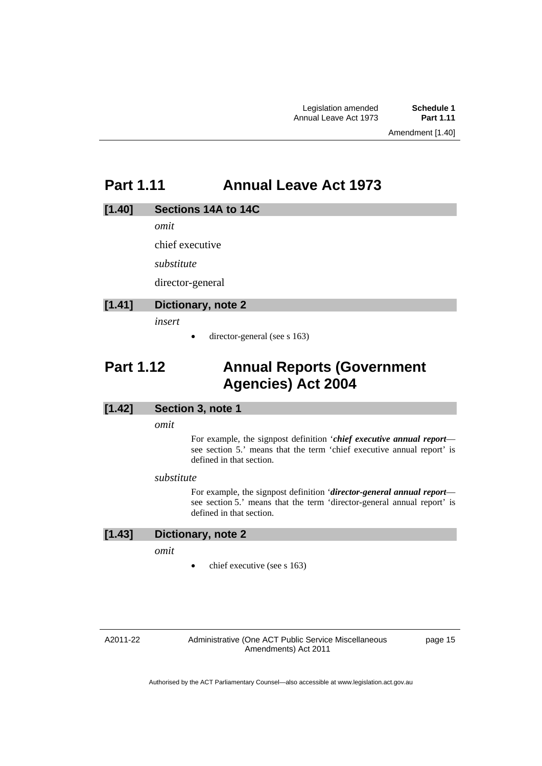### **Part 1.11 Annual Leave Act 1973**

#### **[1.40] Sections 14A to 14C**

*omit* 

chief executive

*substitute* 

director-general

### **[1.41] Dictionary, note 2**

*insert* 

 $\bullet$  director-general (see s 163)

### **Part 1.12 Annual Reports (Government Agencies) Act 2004**

### **[1.42] Section 3, note 1**

*omit* 

For example, the signpost definition '*chief executive annual report* see section 5.' means that the term 'chief executive annual report' is defined in that section.

#### *substitute*

For example, the signpost definition '*director-general annual report* see section 5.' means that the term 'director-general annual report' is defined in that section.

#### **[1.43] Dictionary, note 2**

*omit* 

chief executive (see s 163)

#### A2011-22

Administrative (One ACT Public Service Miscellaneous Amendments) Act 2011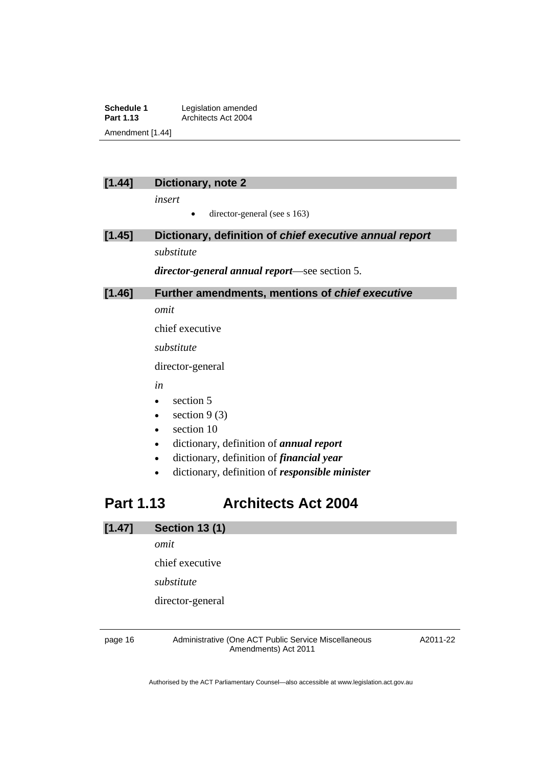**Schedule 1** Legislation amended<br> **Part 1.13** Architects Act 2004 **Part 1.13** Architects Act 2004 Amendment [1.44]

### **[1.44] Dictionary, note 2**

*insert* 

 $\bullet$  director-general (see s 163)

### **[1.45] Dictionary, definition of** *chief executive annual report substitute*

*director-general annual report*—see section 5.

### **[1.46] Further amendments, mentions of** *chief executive*

*omit* 

chief executive

*substitute* 

director-general

*in* 

- section 5
- $\bullet$  section 9 (3)
- section 10
- dictionary, definition of *annual report*
- dictionary, definition of *financial year*
- dictionary, definition of *responsible minister*

### **Part 1.13 Architects Act 2004**

### **[1.47] Section 13 (1)**

*omit* 

chief executive

*substitute* 

director-general

page 16 Administrative (One ACT Public Service Miscellaneous Amendments) Act 2011

A2011-22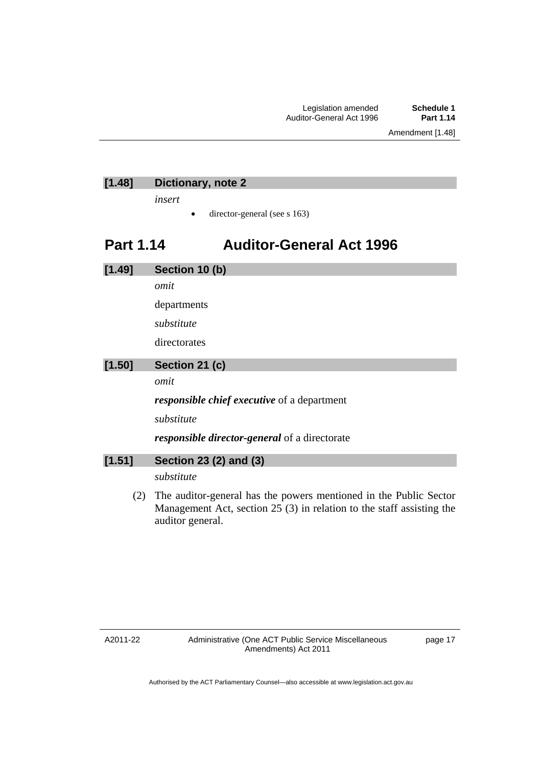Amendment [1.48]

### **[1.48] Dictionary, note 2**

*insert* 

 $\bullet$  director-general (see s 163)

### **Part 1.14 Auditor-General Act 1996**

| [1.49] | Section 10 (b)                                                    |
|--------|-------------------------------------------------------------------|
|        | omit                                                              |
|        | departments                                                       |
|        | substitute                                                        |
|        | directorates                                                      |
| [1.50] | Section 21 (c)                                                    |
|        | omit                                                              |
|        | <i>responsible chief executive</i> of a department                |
|        | substitute                                                        |
|        | <i>responsible director-general</i> of a directorate              |
| [1.51] | Section 23 (2) and (3)                                            |
|        | substitute                                                        |
| (2)    | The auditor-general has the powers mentioned in the Public Sector |

Management Act, section 25 (3) in relation to the staff assisting the auditor general.

A2011-22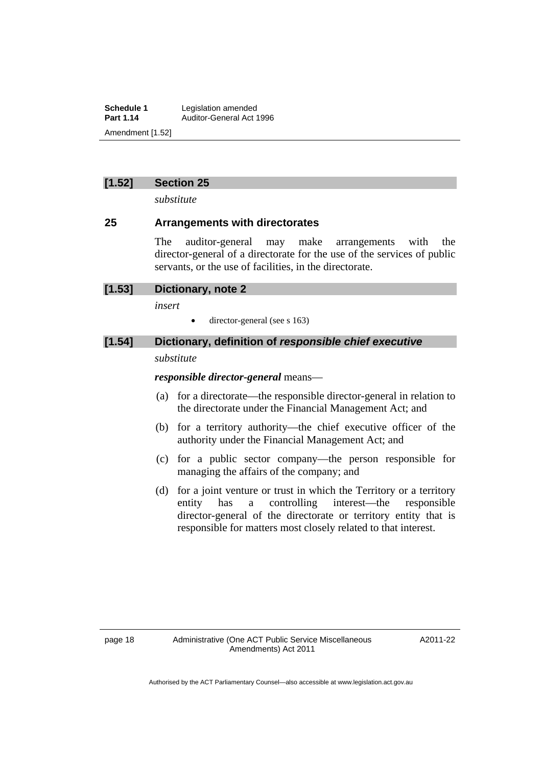**Schedule 1** Legislation amended<br> **Part 1.14** Auditor-General Act 1 **Part 1.14** Auditor-General Act 1996 Amendment [1.52]

### **[1.52] Section 25**

*substitute* 

### **25 Arrangements with directorates**

The auditor-general may make arrangements with the director-general of a directorate for the use of the services of public servants, or the use of facilities, in the directorate.

*insert* 

• director-general (see s 163)

### **[1.54] Dictionary, definition of** *responsible chief executive*

### *substitute*

*responsible director-general* means—

- (a) for a directorate—the responsible director-general in relation to the directorate under the Financial Management Act; and
- (b) for a territory authority—the chief executive officer of the authority under the Financial Management Act; and
- (c) for a public sector company—the person responsible for managing the affairs of the company; and
- (d) for a joint venture or trust in which the Territory or a territory entity has a controlling interest—the responsible director-general of the directorate or territory entity that is responsible for matters most closely related to that interest.

A2011-22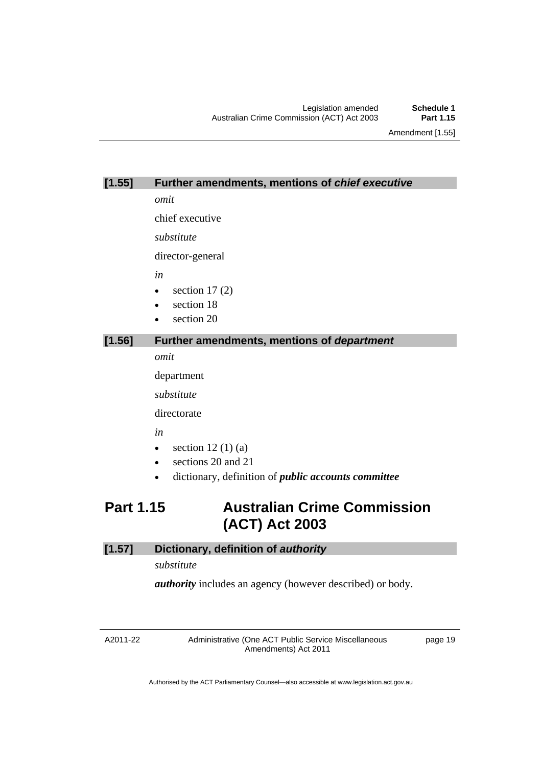Amendment [1.55]

#### **[1.55] Further amendments, mentions of** *chief executive*

*omit* 

chief executive

*substitute* 

director-general

*in* 

- $\bullet$  section 17 (2)
- section 18
- section 20

### **[1.56] Further amendments, mentions of** *department*

*omit* 

department

*substitute* 

directorate

*in* 

- $\bullet$  section 12(1)(a)
- sections 20 and 21
- dictionary, definition of *public accounts committee*

### **Part 1.15 Australian Crime Commission (ACT) Act 2003**

### **[1.57] Dictionary, definition of** *authority*

*substitute* 

*authority* includes an agency (however described) or body.

A2011-22

Administrative (One ACT Public Service Miscellaneous Amendments) Act 2011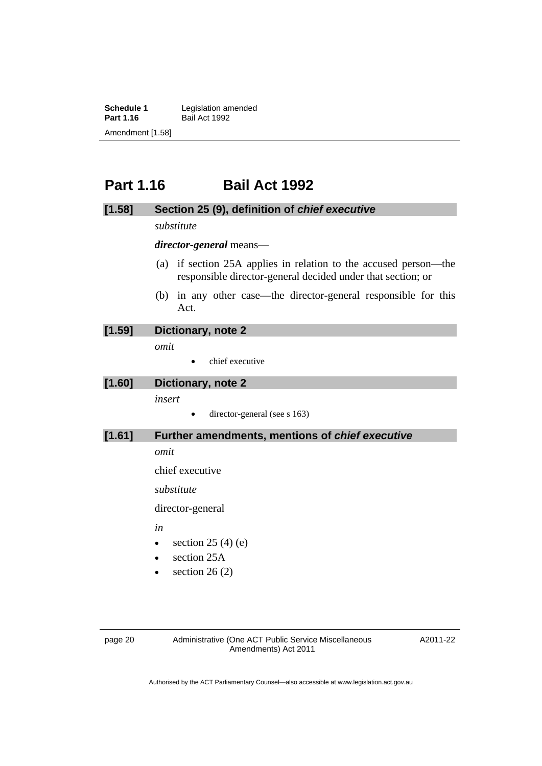**Schedule 1** Legislation amended<br> **Part 1.16** Bail Act 1992 **Bail Act 1992** Amendment [1.58]

### **Part 1.16 Bail Act 1992**

#### **[1.58] Section 25 (9), definition of** *chief executive*

*substitute* 

*director-general* means—

- (a) if section 25A applies in relation to the accused person—the responsible director-general decided under that section; or
- (b) in any other case—the director-general responsible for this Act.

#### **[1.59] Dictionary, note 2**

*omit* 

• chief executive

### **[1.60] Dictionary, note 2**

*insert* 

 $\bullet$  director-general (see s 163)

### **[1.61] Further amendments, mentions of** *chief executive*

*omit* 

chief executive

*substitute* 

director-general

*in* 

- $\bullet$  section 25 (4) (e)
- section 25A
- section 26 (2)

page 20 Administrative (One ACT Public Service Miscellaneous Amendments) Act 2011

A2011-22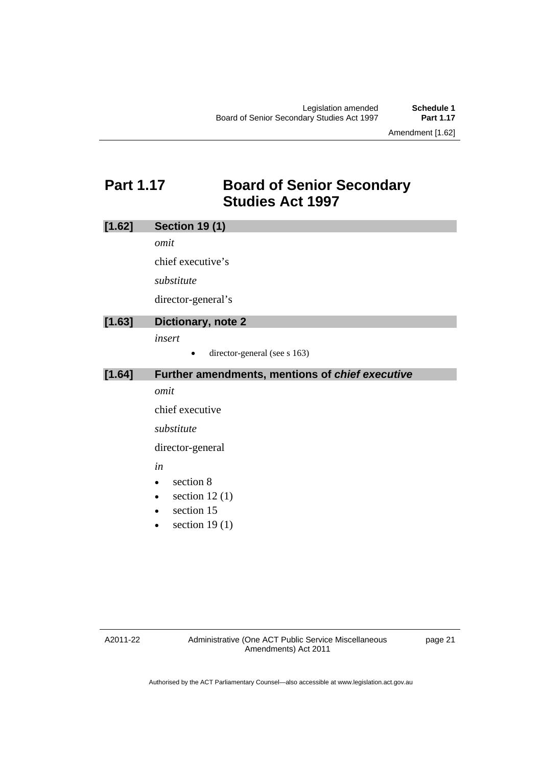Amendment [1.62]

### **Part 1.17 Board of Senior Secondary Studies Act 1997**

| [1.62] | <b>Section 19 (1)</b>                           |
|--------|-------------------------------------------------|
|        | omit                                            |
|        | chief executive's                               |
|        | substitute                                      |
|        | director-general's                              |
| [1.63] | Dictionary, note 2                              |
|        | insert                                          |
|        | director-general (see s 163)                    |
| [1.64] | Further amendments, mentions of chief executive |
|        | omit                                            |
|        | chief executive                                 |
|        | substitute                                      |
|        | director-general                                |
|        | in                                              |
|        | section 8<br>$\bullet$                          |
|        | section $12(1)$<br>$\bullet$                    |
|        | section 15                                      |
|        | section $19(1)$<br>$\bullet$                    |
|        |                                                 |
|        |                                                 |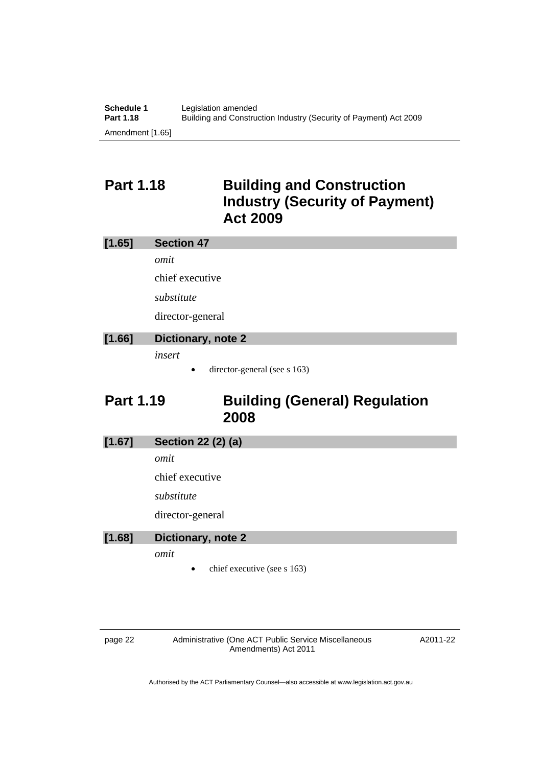### **Part 1.18 Building and Construction Industry (Security of Payment) Act 2009**

| [1.65] | <b>Section 47</b>  |
|--------|--------------------|
|        | omit               |
|        | chief executive    |
|        | substitute         |
|        | director-general   |
| EA COT | Blattanamic nata 0 |

### **[1.66] Dictionary, note 2**

*insert* 

director-general (see s 163)

### **Part 1.19 Building (General) Regulation 2008**

**[1.67] Section 22 (2) (a)** 

*omit* 

chief executive

*substitute* 

director-general

| [1.68] | Dictionary, note 2 |  |
|--------|--------------------|--|
|        |                    |  |

*omit* 

chief executive (see s 163)

page 22 Administrative (One ACT Public Service Miscellaneous Amendments) Act 2011

A2011-22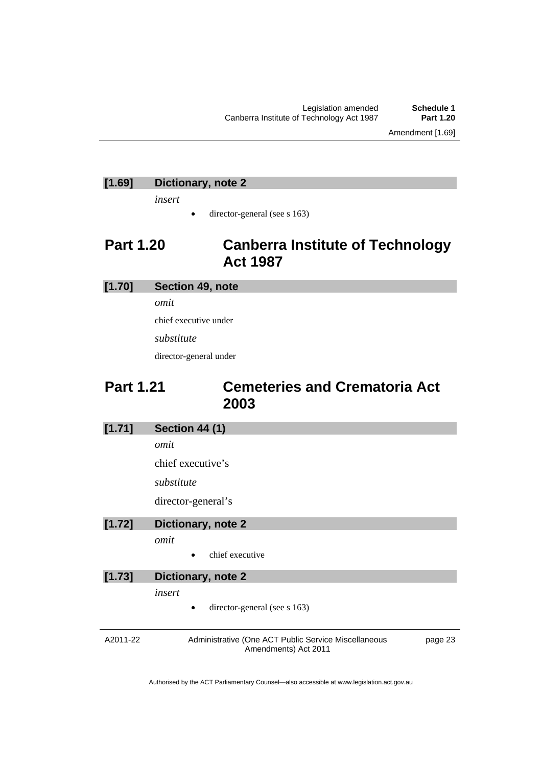Legislation amended **Schedule 1** Canberra Institute of Technology Act 1987

Amendment [1.69]

### **[1.69] Dictionary, note 2**

*insert* 

 $\bullet$  director-general (see s 163)

### **Part 1.20 Canberra Institute of Technology Act 1987**

### **[1.70] Section 49, note**

*omit* 

chief executive under

*substitute* 

director-general under

### **Part 1.21 Cemeteries and Crematoria Act 2003**

| [1.71]   | <b>Section 44 (1)</b>                                                                   |  |
|----------|-----------------------------------------------------------------------------------------|--|
|          | omit                                                                                    |  |
|          | chief executive's                                                                       |  |
|          | substitute                                                                              |  |
|          | director-general's                                                                      |  |
| [1.72]   | Dictionary, note 2                                                                      |  |
|          | omit                                                                                    |  |
|          | chief executive                                                                         |  |
| [1.73]   | Dictionary, note 2                                                                      |  |
|          | insert                                                                                  |  |
|          | director-general (see s 163)                                                            |  |
|          |                                                                                         |  |
| A2011-22 | Administrative (One ACT Public Service Miscellaneous<br>page 23<br>Amendments) Act 2011 |  |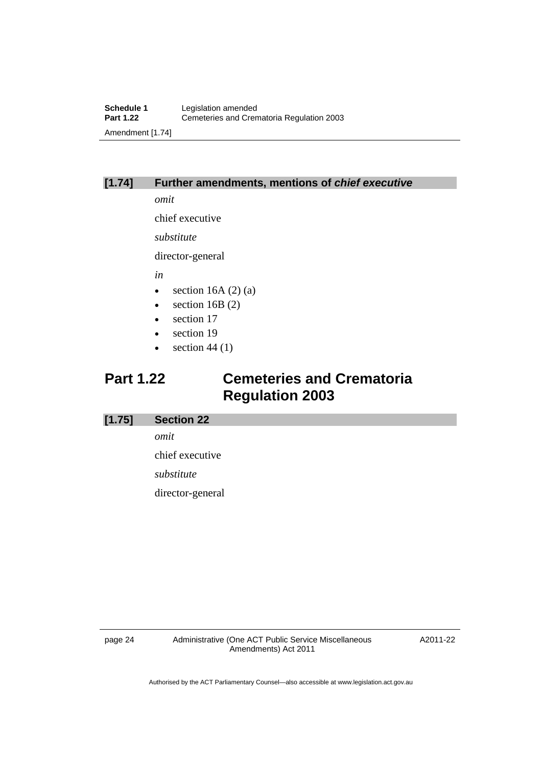### **[1.74] Further amendments, mentions of** *chief executive*

*omit* 

chief executive

*substitute* 

director-general

*in* 

- $\bullet$  section 16A (2) (a)
- $\bullet$  section 16B (2)
- section 17
- section 19
- $\bullet$  section 44 (1)

## **Part 1.22 Cemeteries and Crematoria Regulation 2003**

#### **[1.75] Section 22**

*omit* 

chief executive

*substitute* 

director-general

page 24 Administrative (One ACT Public Service Miscellaneous Amendments) Act 2011

A2011-22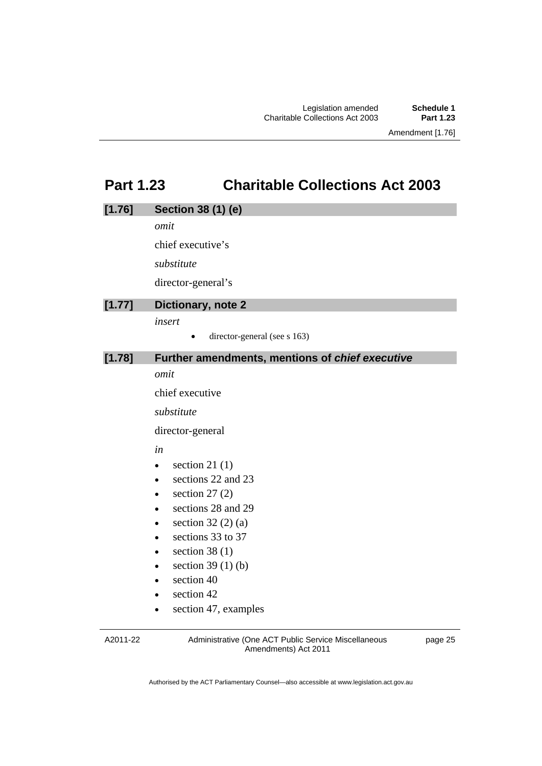### **Part 1.23 Charitable Collections Act 2003**

| [1.76] | Section 38 (1) (e)                              |
|--------|-------------------------------------------------|
|        | omit                                            |
|        | chief executive's                               |
|        | substitute                                      |
|        | director-general's                              |
| [1.77] | Dictionary, note 2                              |
|        | insert                                          |
|        | director-general (see s 163)                    |
| [1.78] | Further amendments, mentions of chief executive |
|        | omit                                            |
|        | chief executive                                 |
|        | substitute                                      |
|        | director-general                                |
|        | in                                              |
|        | section 21 $(1)$<br>$\bullet$                   |
|        | sections 22 and 23                              |
|        | section $27(2)$<br>$\bullet$                    |
|        | sections 28 and 29<br>$\bullet$                 |
|        | section $32(2)(a)$                              |
|        | sections 33 to 37                               |
|        | section 38 $(1)$<br>٠                           |
|        | section $39(1)(b)$<br>٠                         |
|        | section 40                                      |
|        | section 42                                      |
|        | section 47, examples<br>٠                       |
|        |                                                 |

A2011-22

Administrative (One ACT Public Service Miscellaneous Amendments) Act 2011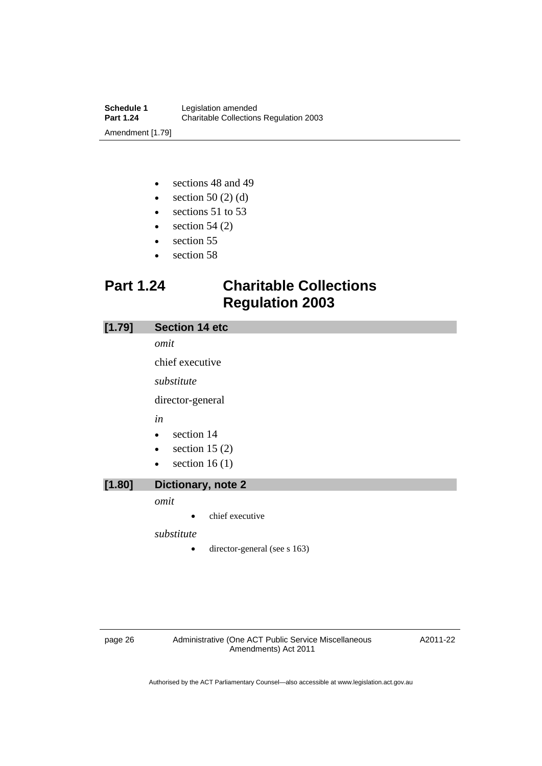- sections 48 and 49
- $\bullet$  section 50 (2) (d)
- sections 51 to 53
- $\bullet$  section 54 (2)
- section 55
- section 58

### **Part 1.24 Charitable Collections Regulation 2003**

| [1.79] | <b>Section 14 etc</b>             |
|--------|-----------------------------------|
|        | omit                              |
|        | chief executive                   |
|        | substitute                        |
|        | director-general                  |
|        | in                                |
|        | section 14<br>$\bullet$           |
|        | section 15 $(2)$<br>$\bullet$     |
|        | section 16 $(1)$<br>$\bullet$     |
| [1.80] | Dictionary, note 2                |
|        | omit                              |
|        | chief executive<br>٠              |
|        | substitute                        |
|        | director-general (see s 163)<br>٠ |

page 26 Administrative (One ACT Public Service Miscellaneous Amendments) Act 2011

A2011-22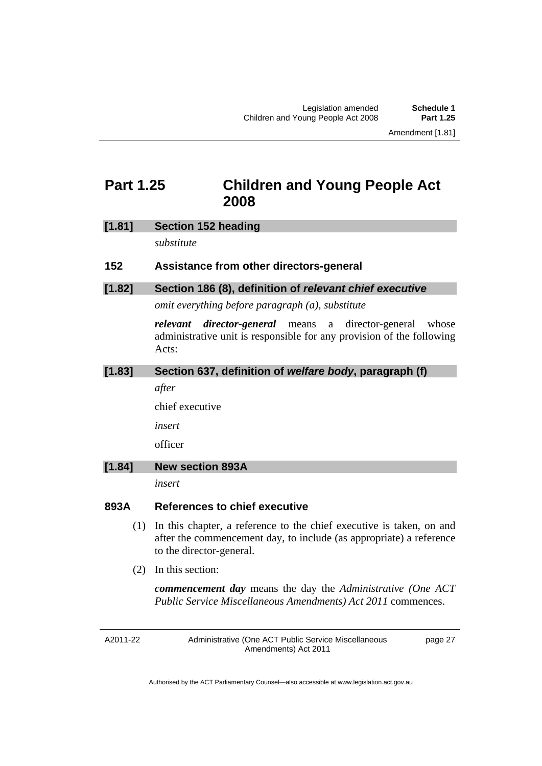### **Part 1.25 Children and Young People Act 2008**

#### **[1.81] Section 152 heading**

*substitute* 

#### **152 Assistance from other directors-general**

#### **[1.82] Section 186 (8), definition of** *relevant chief executive*

*omit everything before paragraph (a), substitute* 

*relevant director-general* means a director-general whose administrative unit is responsible for any provision of the following Acts:

#### **[1.83] Section 637, definition of** *welfare body***, paragraph (f)**

*after* 

chief executive

*insert* 

officer

#### **[1.84] New section 893A**

*insert* 

#### **893A References to chief executive**

- (1) In this chapter, a reference to the chief executive is taken, on and after the commencement day, to include (as appropriate) a reference to the director-general.
- (2) In this section:

*commencement day* means the day the *Administrative (One ACT Public Service Miscellaneous Amendments) Act 2011* commences.

A2011-22

Administrative (One ACT Public Service Miscellaneous Amendments) Act 2011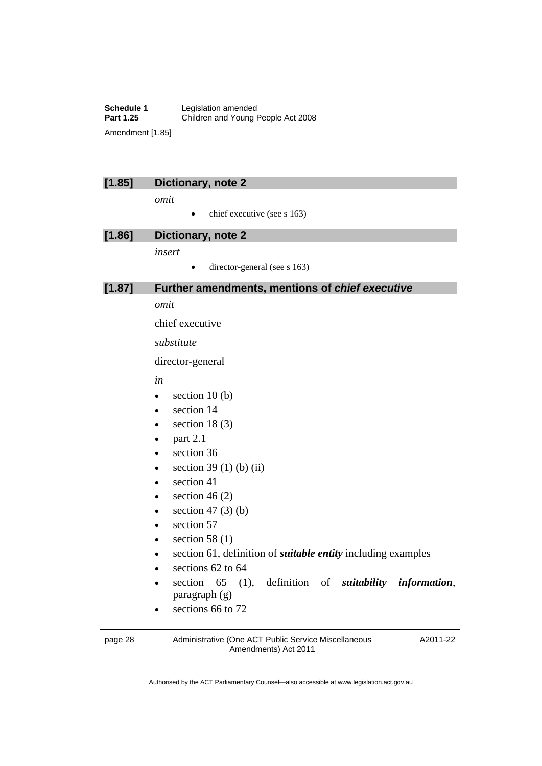**Schedule 1** Legislation amended<br> **Part 1.25** Children and Young I **Part 1.25** Children and Young People Act 2008 Amendment [1.85]

| 1.851 |  |
|-------|--|
|       |  |
|       |  |

#### **lictionary, note 2**

*omit* 

 $\bullet$  chief executive (see s 163)

| $\left[ 1.86\right]$ | Dictionary, note 2 |
|----------------------|--------------------|
|                      | insert             |
|                      |                    |

 $\bullet$  director-general (see s 163)

#### **[1.87] Further amendments, mentions of** *chief executive*

*omit* 

chief executive

*substitute* 

director-general

*in* 

- $\bullet$  section 10 (b)
- section 14
- $\bullet$  section 18 (3)
- $\bullet$  part 2.1
- section 36
- $\bullet$  section 39 (1) (b) (ii)
- section 41
- $\bullet$  section 46 (2)
- $\bullet$  section 47 (3) (b)
- section 57
- $\bullet$  section 58 (1)
- section 61, definition of *suitable entity* including examples
- $\bullet$  sections 62 to 64
- section 65 (1), definition of *suitability information*, paragraph (g)
- $\cdot$  sections 66 to 72

page 28 Administrative (One ACT Public Service Miscellaneous Amendments) Act 2011

A2011-22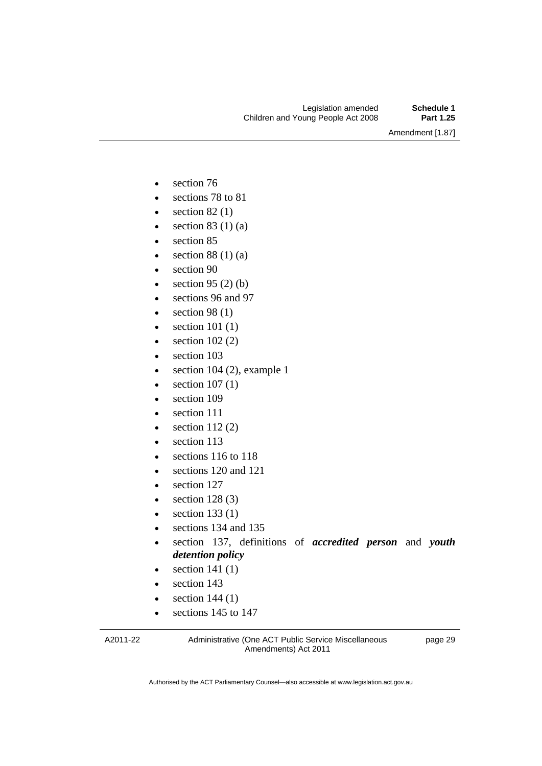Amendment [1.87]

- section 76
- sections 78 to 81
- $\bullet$  section 82 (1)
- $\bullet$  section 83 (1) (a)
- section 85
- $\bullet$  section 88 (1) (a)
- section 90
- $\bullet$  section 95 (2) (b)
- sections 96 and 97
- $\bullet$  section 98 (1)
- $\bullet$  section 101 (1)
- $\bullet$  section 102 (2)
- section 103
- $\bullet$  section 104 (2), example 1
- $\bullet$  section 107 (1)
- section 109
- section 111
- $\bullet$  section 112 (2)
- section 113
- e sections 116 to 118
- sections 120 and 121
- section 127
- $\bullet$  section 128 (3)
- $\bullet$  section 133 (1)
- sections 134 and 135
- section 137, definitions of *accredited person* and *youth detention policy*
- $\bullet$  section 141 (1)
- section 143
- $\bullet$  section 144 (1)
- sections 145 to 147

A2011-22

Administrative (One ACT Public Service Miscellaneous Amendments) Act 2011

page 29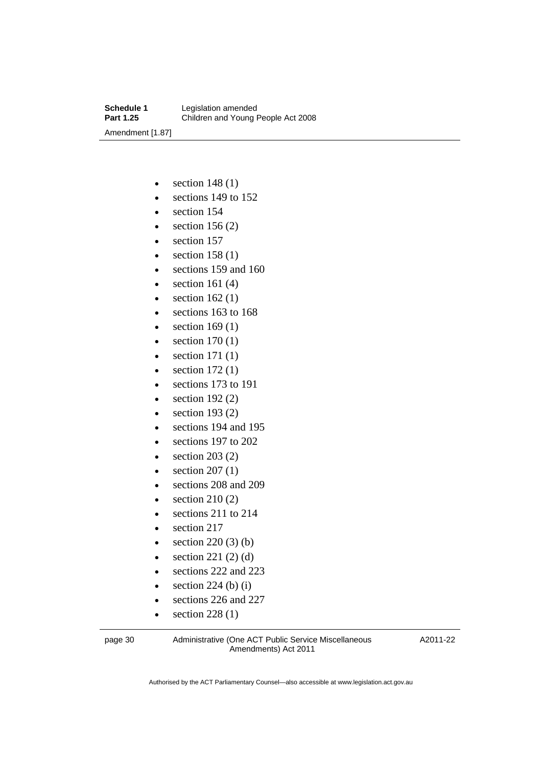- $\bullet$  section 148 (1)
- e sections 149 to 152
- section 154
- $\bullet$  section 156 (2)
- section 157
- $\bullet$  section 158 (1)
- sections 159 and 160
- $\bullet$  section 161 (4)
- $\bullet$  section 162(1)
- sections 163 to 168
- $\bullet$  section 169 (1)
- $\bullet$  section 170 (1)
- $\bullet$  section 171 (1)
- $\bullet$  section 172 $(1)$
- sections 173 to 191
- $\bullet$  section 192 $(2)$
- $\bullet$  section 193 $(2)$
- sections 194 and 195
- e sections 197 to 202
- $\bullet$  section 203 (2)
- $\bullet$  section 207 (1)
- sections 208 and 209
- $\bullet$  section 210 (2)
- $\bullet$  sections 211 to 214
- section 217
- $\bullet$  section 220 (3) (b)
- $\bullet$  section 221 (2) (d)
- sections 222 and 223
- $\bullet$  section 224 (b) (i)
- sections 226 and 227
- $\bullet$  section 228 (1)

page 30 Administrative (One ACT Public Service Miscellaneous Amendments) Act 2011

A2011-22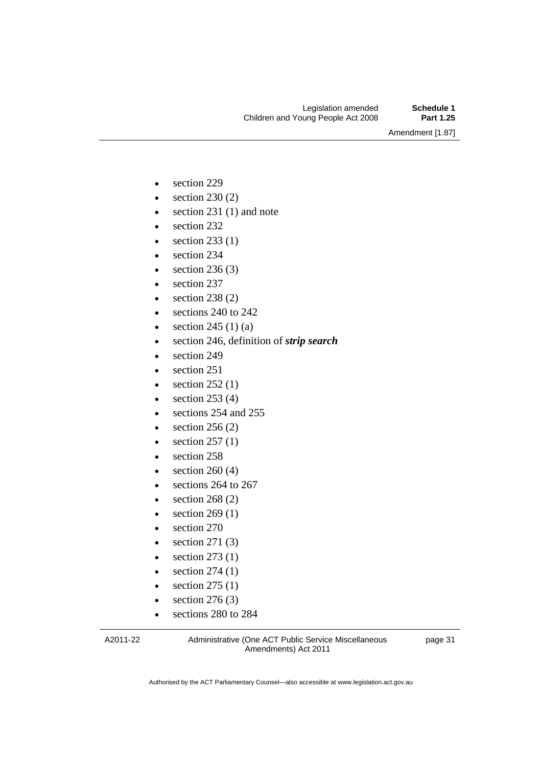Amendment [1.87]

- section 229
- $\bullet$  section 230 (2)
- $\bullet$  section 231 (1) and note
- section 232
- $\bullet$  section 233 (1)
- section 234
- $\bullet$  section 236 (3)
- section 237
- $\bullet$  section 238 (2)
- sections 240 to 242
- $\bullet$  section 245 (1) (a)
- section 246, definition of *strip search*
- $\bullet$  section 249
- section 251
- $\bullet$  section 252 (1)
- $\bullet$  section 253 (4)
- sections 254 and 255
- $\bullet$  section 256 (2)
- $\bullet$  section 257 (1)
- section 258
- $\bullet$  section 260 (4)
- $\cdot$  sections 264 to 267
- $\bullet$  section 268 (2)
- $\bullet$  section 269 (1)
- section 270
- $\bullet$  section 271 (3)
- $\bullet$  section 273 (1)
- $\bullet$  section 274 (1)
- $\bullet$  section 275 (1)
- $\bullet$  section 276 (3)
- sections 280 to 284

A2011-22

Administrative (One ACT Public Service Miscellaneous Amendments) Act 2011

page 31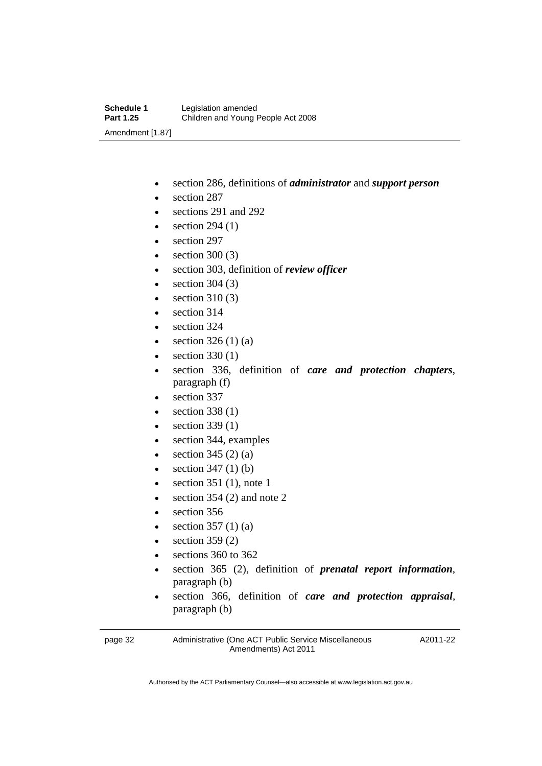- section 286, definitions of *administrator* and *support person*
- section 287
- sections 291 and 292
- $\bullet$  section 294 (1)
- section 297
- section 300 (3)
- section 303, definition of *review officer*
- $\bullet$  section 304 (3)
- section 310 (3)
- section 314
- section 324
- $\bullet$  section 326 (1) (a)
- $\bullet$  section 330 (1)
- section 336, definition of *care and protection chapters*, paragraph (f)
- section 337
- $\bullet$  section 338 (1)
- $\bullet$  section 339 (1)
- section 344, examples
- $\bullet$  section 345 (2) (a)
- $\bullet$  section 347 (1) (b)
- $\bullet$  section 351 (1), note 1
- $\bullet$  section 354 (2) and note 2
- section 356
- $\bullet$  section 357 (1) (a)
- section 359 (2)
- e sections 360 to 362
- section 365 (2), definition of *prenatal report information*, paragraph (b)
- section 366, definition of *care and protection appraisal*, paragraph (b)

page 32 Administrative (One ACT Public Service Miscellaneous Amendments) Act 2011

A2011-22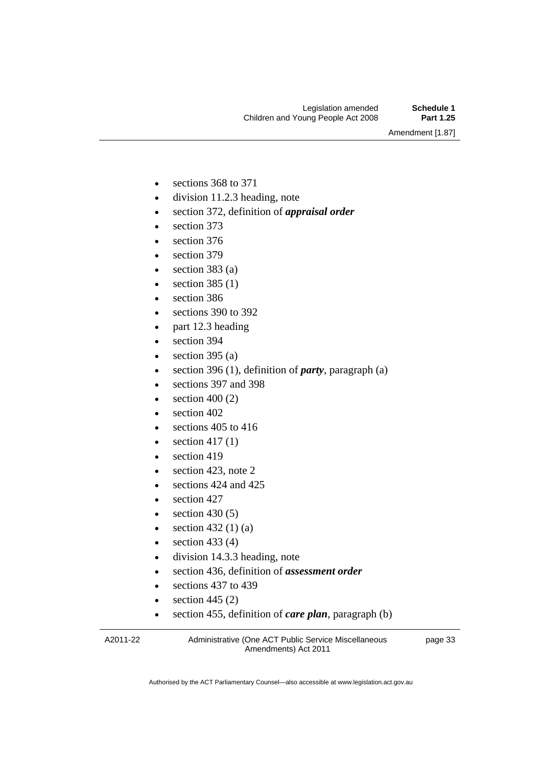Amendment [1.87]

- e sections 368 to 371
- division 11.2.3 heading, note
- section 372, definition of *appraisal order*
- section 373
- section 376
- section 379
- $\bullet$  section 383 (a)
- $\bullet$  section 385 (1)
- section 386
- e sections 390 to 392
- part 12.3 heading
- section 394
- $\bullet$  section 395 (a)
- section 396 (1), definition of *party*, paragraph (a)
- sections 397 and 398
- $\bullet$  section 400 (2)
- section 402
- $\bullet$  sections 405 to 416
- $\bullet$  section 417(1)
- $\bullet$  section 419
- e section 423, note 2
- $\bullet$  sections 424 and 425
- $\bullet$  section 427
- $\bullet$  section 430 (5)
- $\bullet$  section 432 (1) (a)
- $\bullet$  section 433 (4)
- division 14.3.3 heading, note
- section 436, definition of *assessment order*
- $\bullet$  sections 437 to 439
- $\bullet$  section 445 (2)
- section 455, definition of *care plan*, paragraph (b)

A2011-22

Administrative (One ACT Public Service Miscellaneous Amendments) Act 2011

page 33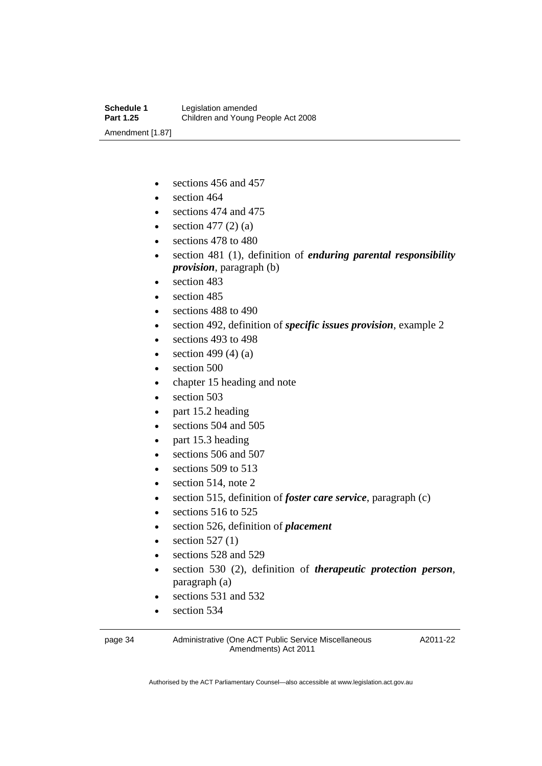- sections 456 and 457
- $\bullet$  section 464
- sections 474 and 475
- $\bullet$  section 477 (2) (a)
- e sections 478 to 480
- section 481 (1), definition of *enduring parental responsibility provision*, paragraph (b)
- section 483
- section 485
- sections 488 to 490
- section 492, definition of *specific issues provision*, example 2
- sections 493 to 498
- $\bullet$  section 499 (4) (a)
- section 500
- chapter 15 heading and note
- section 503
- part 15.2 heading
- sections 504 and 505
- part 15.3 heading
- $\bullet$  sections 506 and 507
- sections 509 to 513
- $\bullet$  section 514, note 2
- section 515, definition of *foster care service*, paragraph (c)
- sections 516 to 525
- section 526, definition of *placement*
- section 527 (1)
- sections 528 and 529
- section 530 (2), definition of *therapeutic protection person*, paragraph (a)
- sections 531 and 532
- section 534

page 34 Administrative (One ACT Public Service Miscellaneous Amendments) Act 2011

A2011-22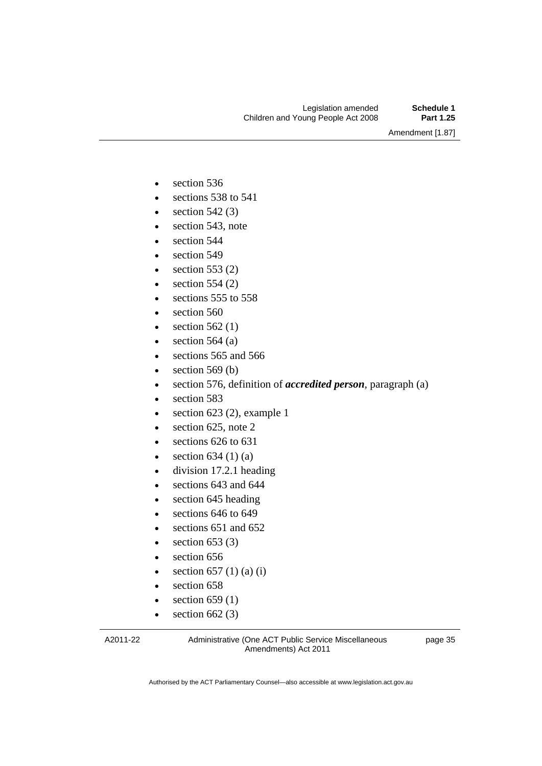Amendment [1.87]

- section 536
- $\bullet$  sections 538 to 541
- $\bullet$  section 542 (3)
- section 543, note
- section 544
- section 549
- $\bullet$  section 553 (2)
- $\bullet$  section 554 (2)
- sections 555 to 558
- section 560
- $\bullet$  section 562 (1)
- $\bullet$  section 564 (a)
- $\cdot$  sections 565 and 566
- section 569 (b)
- section 576, definition of *accredited person*, paragraph (a)
- section 583
- $\bullet$  section 623 (2), example 1
- $\bullet$  section 625, note 2
- $\cdot$  sections 626 to 631
- $\bullet$  section 634 (1) (a)
- division 17.2.1 heading
- sections 643 and 644
- section 645 heading
- $\cdot$  sections 646 to 649
- sections 651 and 652
- $\bullet$  section 653 (3)
- section 656
- $\bullet$  section 657 (1) (a) (i)
- section 658
- $\bullet$  section 659 (1)
- $\bullet$  section 662 (3)

A2011-22

Administrative (One ACT Public Service Miscellaneous Amendments) Act 2011

page 35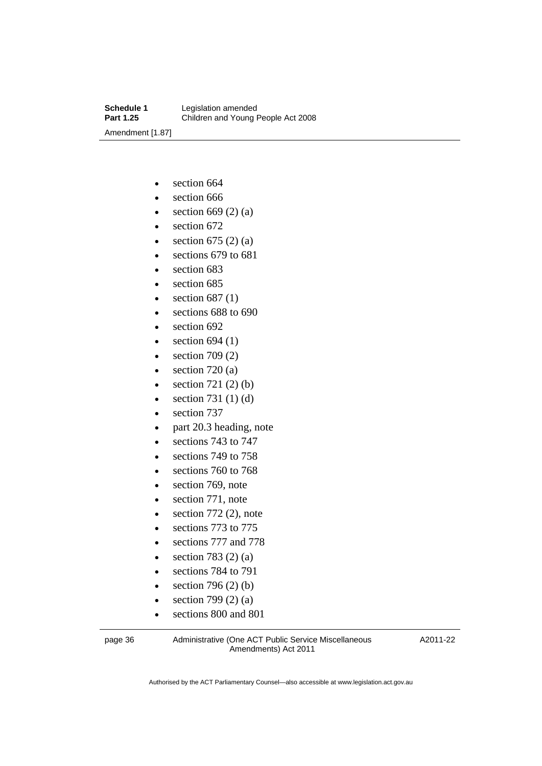- section 664
- section 666
- $\bullet$  section 669 (2) (a)
- section 672
- $\bullet$  section 675 (2) (a)
- sections 679 to 681
- $\bullet$  section 683
- section 685
- $\bullet$  section 687(1)
- e sections 688 to 690
- $\bullet$  section 692
- $\bullet$  section 694 (1)
- $\bullet$  section 709 (2)
- section 720 (a)
- $\bullet$  section 721 (2) (b)
- $\bullet$  section 731 (1) (d)
- section 737
- part 20.3 heading, note
- e sections 743 to 747
- e sections 749 to 758
- sections 760 to 768
- section 769, note
- section 771, note
- $\bullet$  section 772 (2), note
- e sections 773 to 775
- sections 777 and 778
- $\bullet$  section 783 (2) (a)
- e sections 784 to 791
- $\bullet$  section 796 (2) (b)
- $\bullet$  section 799 (2) (a)
- sections 800 and 801

page 36 Administrative (One ACT Public Service Miscellaneous Amendments) Act 2011

A2011-22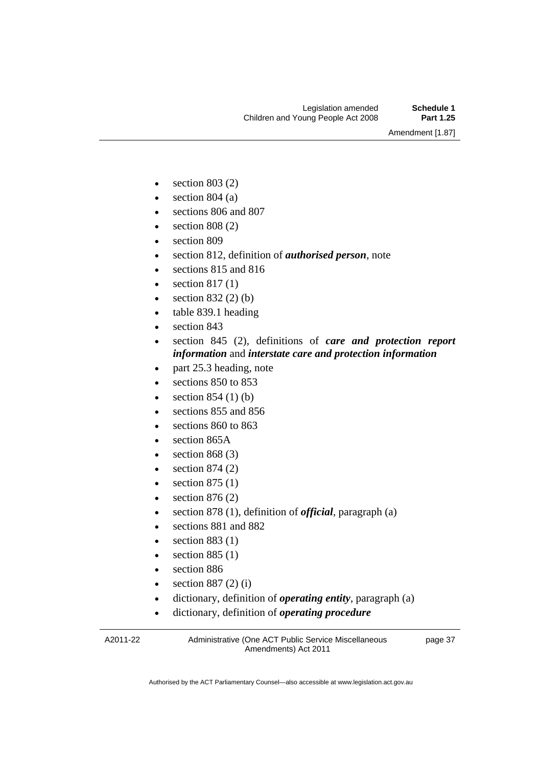Amendment [1.87]

- $\bullet$  section 803 (2)
- $\bullet$  section 804 (a)
- sections 806 and 807
- $\bullet$  section 808 (2)
- section 809
- section 812, definition of *authorised person*, note
- sections 815 and 816
- $\bullet$  section 817(1)
- section 832 (2) (b)
- table 839.1 heading
- section 843
- section 845 (2), definitions of *care and protection report information* and *interstate care and protection information*
- part 25.3 heading, note
- sections 850 to 853
- $\bullet$  section 854 (1) (b)
- sections 855 and 856
- $\cdot$  sections 860 to 863
- section 865A
- $\bullet$  section 868 (3)
- $\bullet$  section 874 (2)
- $\bullet$  section 875 (1)
- $\bullet$  section 876 (2)
- section 878 (1), definition of *official*, paragraph (a)
- sections 881 and 882
- section 883 (1)
- $\bullet$  section 885 (1)
- section 886
- $\bullet$  section 887 (2) (i)
- dictionary, definition of *operating entity*, paragraph (a)
- dictionary, definition of *operating procedure*

A2011-22

Administrative (One ACT Public Service Miscellaneous Amendments) Act 2011

page 37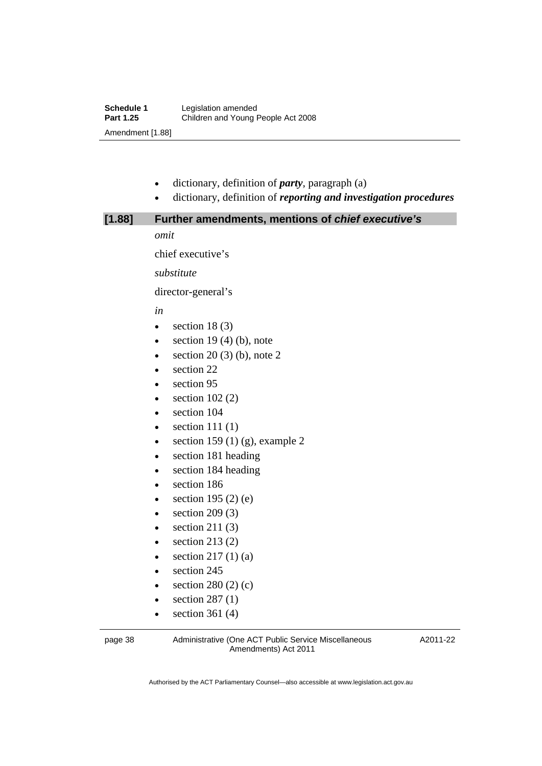- dictionary, definition of *party*, paragraph (a)
- dictionary, definition of *reporting and investigation procedures*

| [1.88] | Further amendments, mentions of chief executive's |
|--------|---------------------------------------------------|
|        | omit                                              |
|        | chief executive's                                 |
|        | substitute                                        |
|        | director-general's                                |
|        | in                                                |
|        | section 18 $(3)$<br>$\bullet$                     |
|        | section 19 $(4)$ $(b)$ , note<br>$\bullet$        |
|        | section $20(3)$ (b), note 2<br>$\bullet$          |
|        | section 22<br>$\bullet$                           |
|        | section 95<br>$\bullet$                           |
|        | section $102(2)$<br>$\bullet$                     |
|        | section 104<br>$\bullet$                          |
|        | section $111(1)$<br>$\bullet$                     |
|        | section 159 $(1)$ (g), example 2<br>$\bullet$     |
|        | section 181 heading<br>٠                          |
|        | section 184 heading<br>$\bullet$                  |
|        | section 186<br>٠                                  |
|        | section 195 $(2)$ $(e)$                           |
|        | section $209(3)$<br>$\bullet$                     |
|        | section 211 $(3)$<br>٠                            |
|        | section $213(2)$                                  |
|        | section $217(1)(a)$<br>$\bullet$                  |
|        | section 245<br>$\bullet$                          |
|        | section $280(2)(c)$                               |
|        | section $287(1)$<br>$\bullet$                     |

 $\bullet$  section 361 (4)

page 38 Administrative (One ACT Public Service Miscellaneous Amendments) Act 2011

A2011-22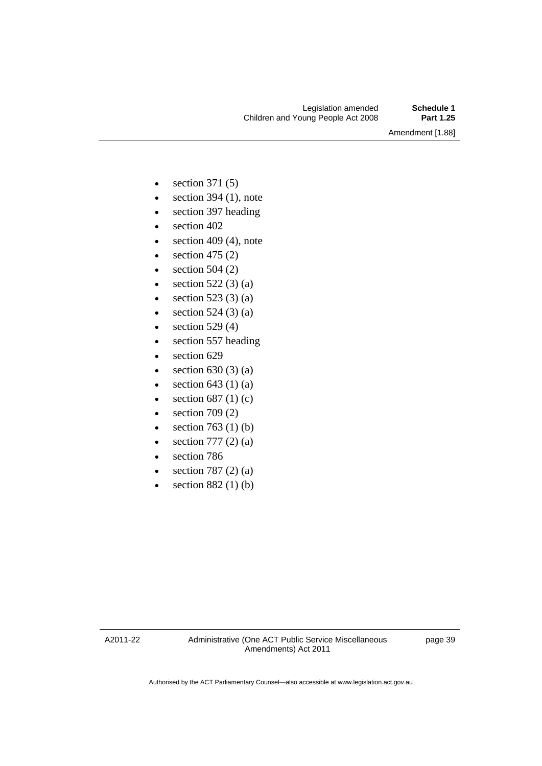Amendment [1.88]

- $\bullet$  section 371 (5)
- $\bullet$  section 394 (1), note
- section 397 heading
- section 402
- $\bullet$  section 409 (4), note
- $\bullet$  section 475 (2)
- $\bullet$  section 504 (2)
- $\bullet$  section 522 (3) (a)
- $\bullet$  section 523 (3) (a)
- $\bullet$  section 524 (3) (a)
- $\bullet$  section 529 (4)
- section 557 heading
- $\bullet$  section 629
- $\bullet$  section 630 (3) (a)
- $\bullet$  section 643 (1) (a)
- $\bullet$  section 687 (1) (c)
- $\bullet$  section 709 (2)
- $\bullet$  section 763 (1) (b)
- $\bullet$  section 777 (2) (a)
- section 786
- $\bullet$  section 787 (2) (a)
- $\bullet$  section 882 (1) (b)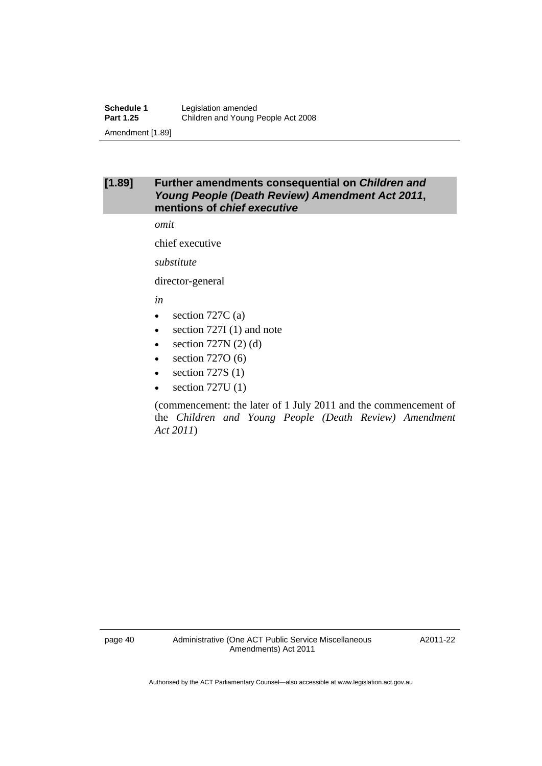#### **[1.89] Further amendments consequential on** *Children and Young People (Death Review) Amendment Act 2011***, mentions of** *chief executive*

*omit* 

chief executive

*substitute* 

director-general

*in* 

- $\bullet$  section 727C (a)
- section 727I (1) and note
- $\bullet$  section 727N (2) (d)
- $\bullet$  section 7270 (6)
- $\bullet$  section 727S (1)
- section 727U (1)

(commencement: the later of 1 July 2011 and the commencement of the *Children and Young People (Death Review) Amendment Act 2011*)

page 40 Administrative (One ACT Public Service Miscellaneous Amendments) Act 2011

A2011-22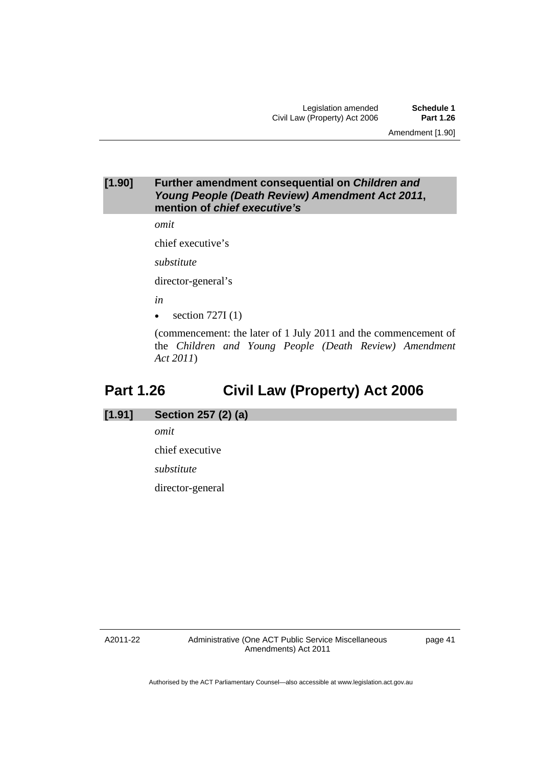Amendment [1.90]

#### **[1.90] Further amendment consequential on** *Children and Young People (Death Review) Amendment Act 2011***, mention of** *chief executive's*

*omit* 

chief executive's

*substitute* 

director-general's

*in* 

 $\bullet$  section 727I (1)

(commencement: the later of 1 July 2011 and the commencement of the *Children and Young People (Death Review) Amendment Act 2011*)

## **Part 1.26 Civil Law (Property) Act 2006**

#### **[1.91] Section 257 (2) (a)**

*omit* 

chief executive

*substitute* 

director-general

A2011-22

Administrative (One ACT Public Service Miscellaneous Amendments) Act 2011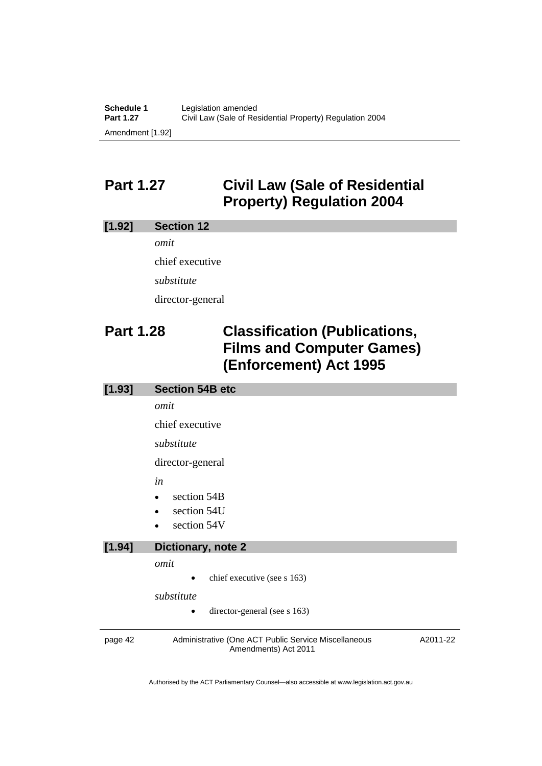## **Part 1.27 Civil Law (Sale of Residential Property) Regulation 2004**

#### **[1.92] Section 12**

*omit*  chief executive *substitute*  director-general

## **Part 1.28 Classification (Publications, Films and Computer Games) (Enforcement) Act 1995**

### page 42 Administrative (One ACT Public Service Miscellaneous Amendments) Act 2011 A2011-22 **[1.93] Section 54B etc**  *omit*  chief executive *substitute*  director-general *in*  • section 54B section 54U section 54V **[1.94] Dictionary, note 2**  *omit*  chief executive (see s 163) *substitute*  director-general (see s 163)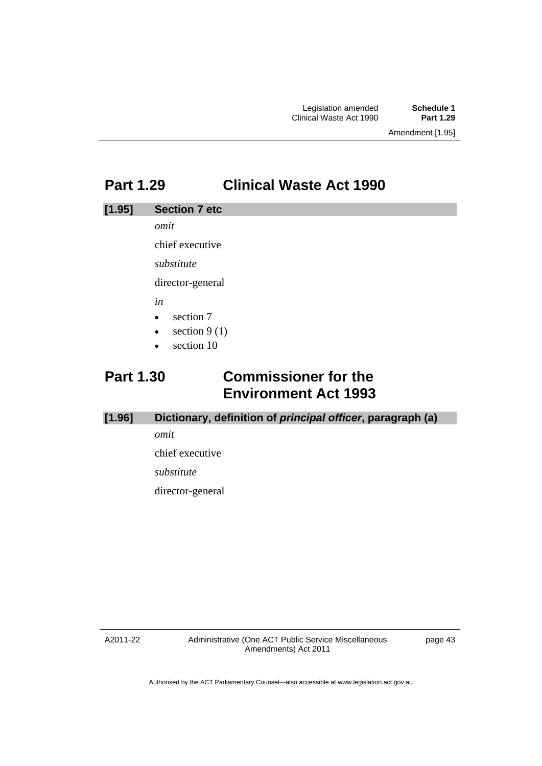## **Part 1.29 Clinical Waste Act 1990**

#### **[1.95] Section 7 etc**

*omit* 

chief executive

*substitute* 

director-general

*in* 

- $\bullet$  section 7
- $\bullet$  section 9 (1)
- section 10

## **Part 1.30 Commissioner for the Environment Act 1993**

#### **[1.96] Dictionary, definition of** *principal officer***, paragraph (a)**

*omit* 

chief executive

*substitute* 

director-general

A2011-22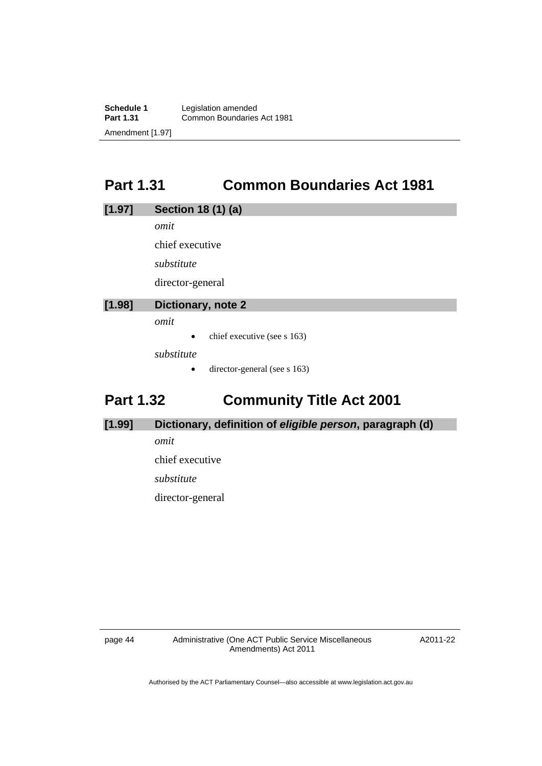**Schedule 1** Legislation amended<br> **Part 1.31** Common Boundaries **Part 1.31** Common Boundaries Act 1981 Amendment [1.97]

## **Part 1.31 Common Boundaries Act 1981**

#### **[1.97] Section 18 (1) (a)**

*omit* 

chief executive

*substitute* 

director-general

#### **[1.98] Dictionary, note 2**

*omit* 

 $\bullet$  chief executive (see s 163)

*substitute* 

• director-general (see s 163)

## **Part 1.32 Community Title Act 2001**

#### **[1.99] Dictionary, definition of** *eligible person***, paragraph (d)**

*omit* 

chief executive

*substitute* 

director-general

page 44 Administrative (One ACT Public Service Miscellaneous Amendments) Act 2011

A2011-22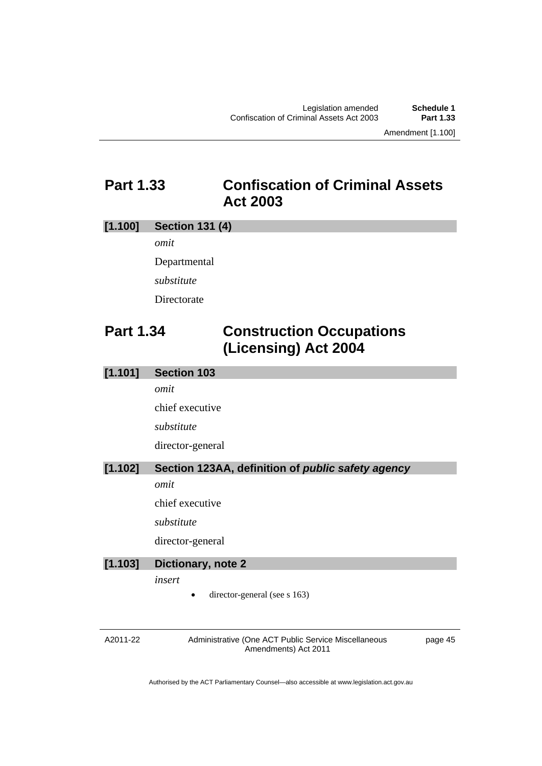Amendment [1.100]

## **Part 1.33 Confiscation of Criminal Assets Act 2003**

#### **[1.100] Section 131 (4)**

*omit* 

Departmental *substitute*  Directorate

**Part 1.34 Construction Occupations (Licensing) Act 2004** 

#### **[1.101] Section 103**

*omit* 

chief executive

*substitute* 

director-general

#### **[1.102] Section 123AA, definition of** *public safety agency*

*omit* 

chief executive

*substitute* 

director-general

#### **[1.103] Dictionary, note 2**

*insert* 

director-general (see s 163)

A2011-22

Administrative (One ACT Public Service Miscellaneous Amendments) Act 2011

page 45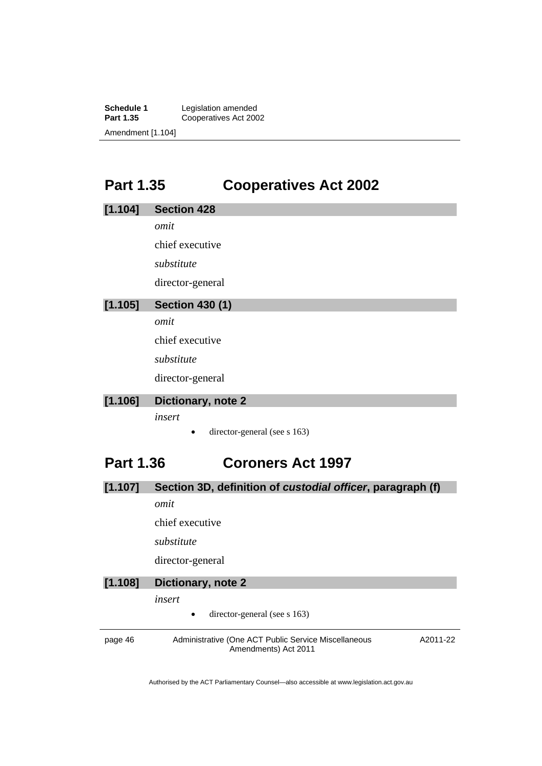**Schedule 1** Legislation amended<br>**Part 1.35** Cooperatives Act 200 Cooperatives Act 2002 Amendment [1.104]

## **Part 1.35 Cooperatives Act 2002**

| [1.104]          | <b>Section 428</b>                                         |
|------------------|------------------------------------------------------------|
|                  | omit                                                       |
|                  | chief executive                                            |
|                  | substitute                                                 |
|                  | director-general                                           |
| [1.105]          | <b>Section 430 (1)</b>                                     |
|                  | omit                                                       |
|                  | chief executive                                            |
|                  | substitute                                                 |
|                  | director-general                                           |
| [1.106]          | Dictionary, note 2                                         |
|                  | insert                                                     |
|                  | director-general (see s 163)                               |
| <b>Part 1.36</b> | <b>Coroners Act 1997</b>                                   |
| [1.107]          | Section 3D, definition of custodial officer, paragraph (f) |
|                  | omit                                                       |
|                  | chief executive                                            |
|                  | substitute                                                 |
|                  | director-general                                           |
| [1.108]          | Dictionary, note 2                                         |

*insert* 

• director-general (see s 163)

page 46 Administrative (One ACT Public Service Miscellaneous Amendments) Act 2011 A2011-22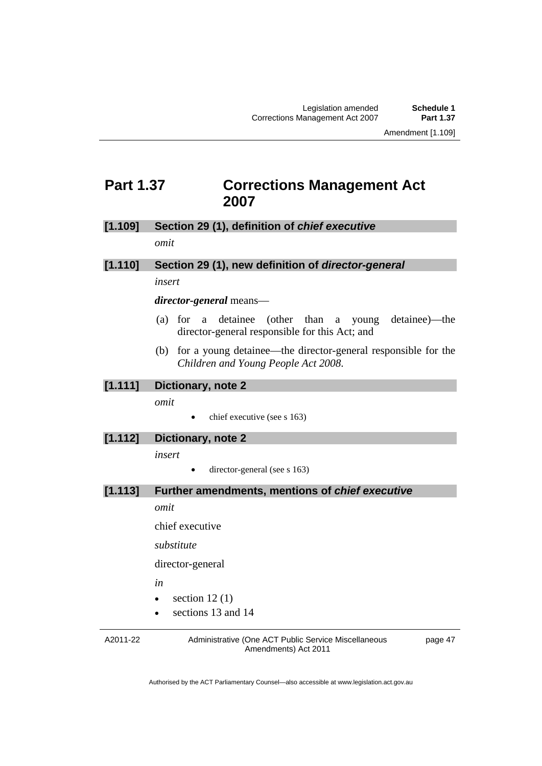### **Part 1.37 Corrections Management Act 2007**

#### **[1.109] Section 29 (1), definition of** *chief executive omit*

# **[1.110] Section 29 (1), new definition of** *director-general*

#### *insert*

#### *director-general* means—

- (a) for a detainee (other than a young detainee)—the director-general responsible for this Act; and
- (b) for a young detainee—the director-general responsible for the *Children and Young People Act 2008*.

#### **[1.111] Dictionary, note 2**

*omit* 

 $\bullet$  chief executive (see s 163)

#### **[1.112] Dictionary, note 2**

*insert* 

director-general (see s 163)

#### **[1.113] Further amendments, mentions of** *chief executive*

*omit* 

chief executive

*substitute* 

director-general

*in* 

- $\bullet$  section 12(1)
- sections 13 and 14

A2011-22

Administrative (One ACT Public Service Miscellaneous Amendments) Act 2011

page 47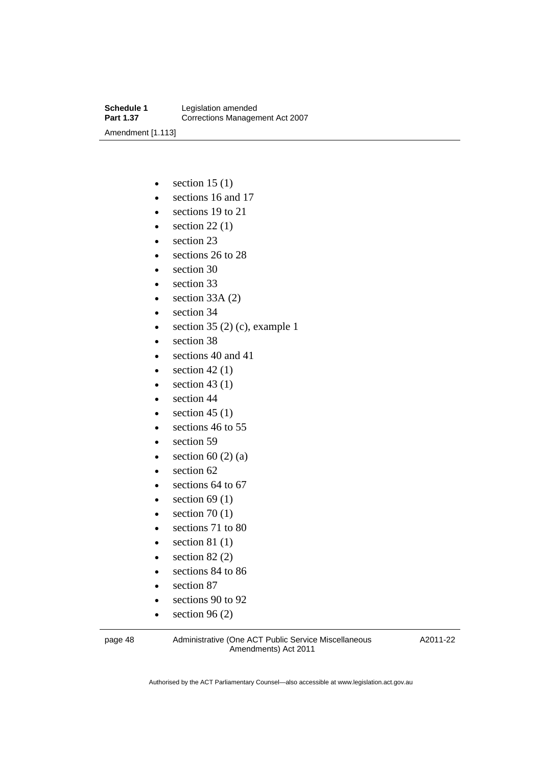- $\bullet$  section 15 (1)
- sections 16 and 17
- sections 19 to 21
- $\bullet$  section 22(1)
- section 23
- $\cdot$  sections 26 to 28
- section 30
- section 33
- $\bullet$  section 33A (2)
- section 34
- $\bullet$  section 35 (2) (c), example 1
- section 38
- $\bullet$  sections 40 and 41
- $\bullet$  section 42 (1)
- $\bullet$  section 43 (1)
- section 44
- $\bullet$  section 45 (1)
- e sections 46 to 55
- section 59
- $\bullet$  section 60 (2) (a)
- section 62
- $\cdot$  sections 64 to 67
- $\bullet$  section 69 (1)
- $\bullet$  section 70 (1)
- e sections 71 to 80
- $\bullet$  section 81 (1)
- $\bullet$  section 82 (2)
- sections 84 to 86
- section 87
- sections 90 to 92
- $\bullet$  section 96 (2)

page 48 Administrative (One ACT Public Service Miscellaneous Amendments) Act 2011

A2011-22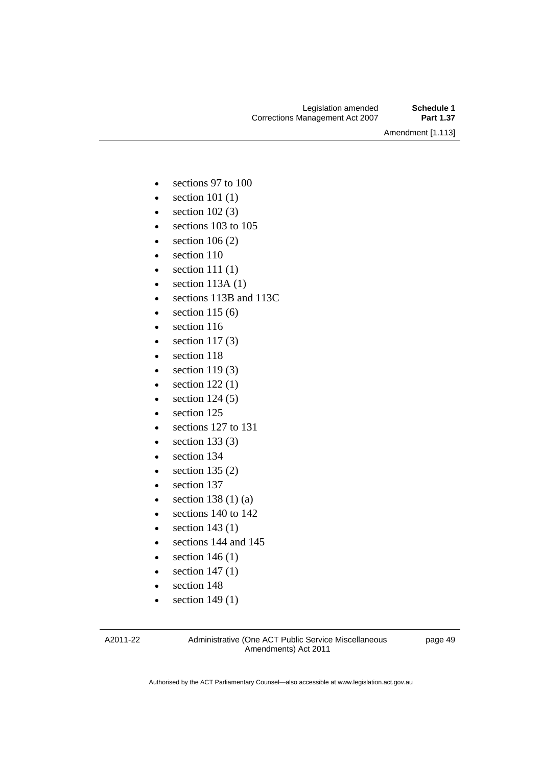Amendment [1.113]

- sections 97 to 100
- $\bullet$  section 101 (1)
- $\bullet$  section 102 $(3)$
- sections 103 to 105
- $\bullet$  section 106 (2)
- $\bullet$  section 110
- $\bullet$  section 111 (1)
- $\bullet$  section 113A (1)
- sections 113B and 113C
- $\bullet$  section 115 (6)
- section 116
- $\bullet$  section 117(3)
- section 118
- $\bullet$  section 119(3)
- $\bullet$  section 122 $(1)$
- $\bullet$  section 124 (5)
- section 125
- e sections 127 to 131
- $\bullet$  section 133 (3)
- section 134
- $\bullet$  section 135 (2)
- section 137
- $\bullet$  section 138 (1) (a)
- e sections 140 to 142
- $\bullet$  section 143 (1)
- sections 144 and 145
- $\bullet$  section 146 (1)
- $\bullet$  section 147 $(1)$
- section 148
- $\bullet$  section 149 $(1)$

A2011-22

Administrative (One ACT Public Service Miscellaneous Amendments) Act 2011

page 49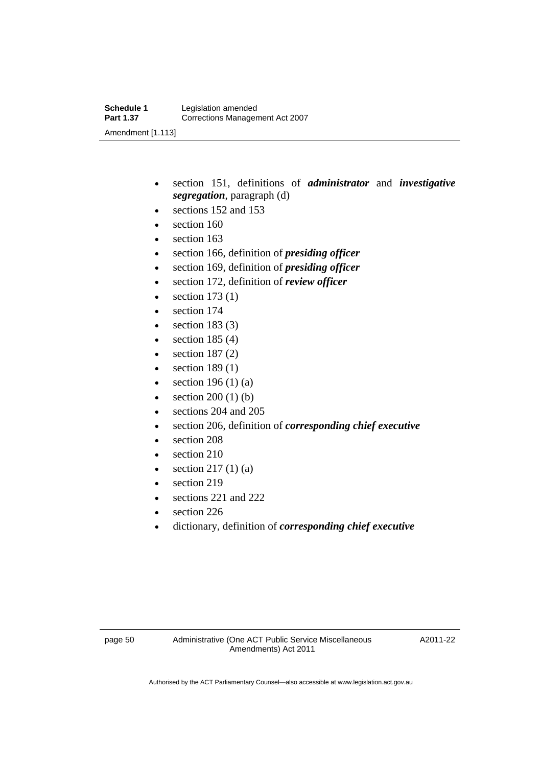- section 151, definitions of *administrator* and *investigative segregation*, paragraph (d)
- sections 152 and 153
- section 160
- section 163
- section 166, definition of *presiding officer*
- section 169, definition of *presiding officer*
- section 172, definition of *review officer*
- $\bullet$  section 173 (1)
- section 174
- $\bullet$  section 183 (3)
- $\bullet$  section 185 (4)
- $\bullet$  section 187 $(2)$
- $\bullet$  section 189 $(1)$
- $\bullet$  section 196 (1) (a)
- $\bullet$  section 200 (1) (b)
- sections 204 and 205
- section 206, definition of *corresponding chief executive*
- section 208
- $\bullet$  section 210
- $\bullet$  section 217 (1) (a)
- $\bullet$  section 219
- sections 221 and 222
- section 226
- dictionary, definition of *corresponding chief executive*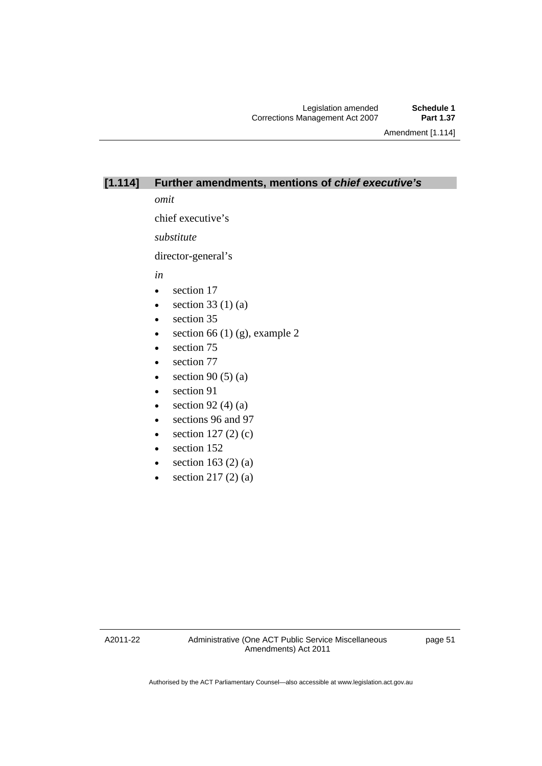Amendment [1.114]

#### **[1.114] Further amendments, mentions of** *chief executive's*

*omit* 

chief executive's

*substitute* 

director-general's

*in* 

- section 17
- $\bullet$  section 33 (1) (a)
- section 35
- $\bullet$  section 66 (1) (g), example 2
- section 75
- section 77
- $\bullet$  section 90 (5) (a)
- section 91
- $\bullet$  section 92 (4) (a)
- sections 96 and 97
- $\bullet$  section 127 (2) (c)
- $\bullet$  section 152
- $\bullet$  section 163 (2) (a)
- $\bullet$  section 217 (2) (a)

A2011-22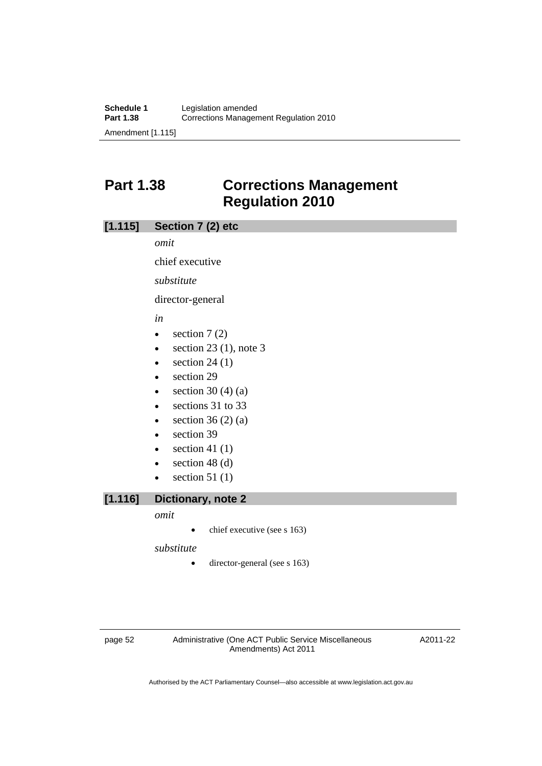## **Part 1.38 Corrections Management Regulation 2010**

#### **[1.115] Section 7 (2) etc**

*omit* 

chief executive

*substitute* 

director-general

*in* 

- $\bullet$  section 7 (2)
- $\bullet$  section 23 (1), note 3
- $\bullet$  section 24 (1)
- section 29
- $\bullet$  section 30 (4) (a)
- e sections 31 to 33
- $\bullet$  section 36 (2) (a)
- section 39
- $\bullet$  section 41 (1)
- $\bullet$  section 48 (d)
- section  $51(1)$

#### **[1.116] Dictionary, note 2**

#### *omit*

 $\bullet$  chief executive (see s 163)

*substitute* 

• director-general (see s 163)

page 52 Administrative (One ACT Public Service Miscellaneous Amendments) Act 2011

A2011-22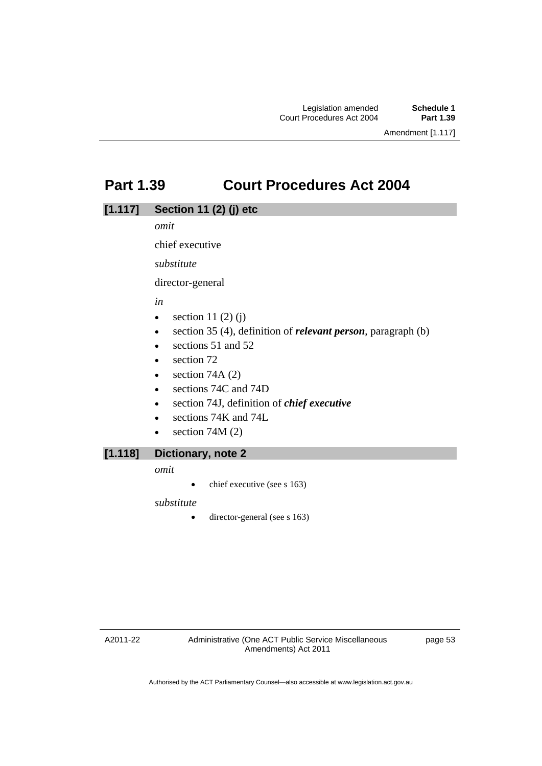### **Part 1.39 Court Procedures Act 2004**

#### **[1.117] Section 11 (2) (j) etc**

*omit* 

chief executive

*substitute* 

director-general

#### *in*

- $\bullet$  section 11 (2) (j)
- section 35 (4), definition of *relevant person*, paragraph (b)
- e sections 51 and 52
- section 72
- $\bullet$  section 74A (2)
- sections 74C and 74D
- section 74J, definition of *chief executive*
- sections 74K and 74L
- $\bullet$  section 74M (2)

#### **[1.118] Dictionary, note 2**

*omit* 

 $\bullet$  chief executive (see s 163)

*substitute* 

• director-general (see s 163)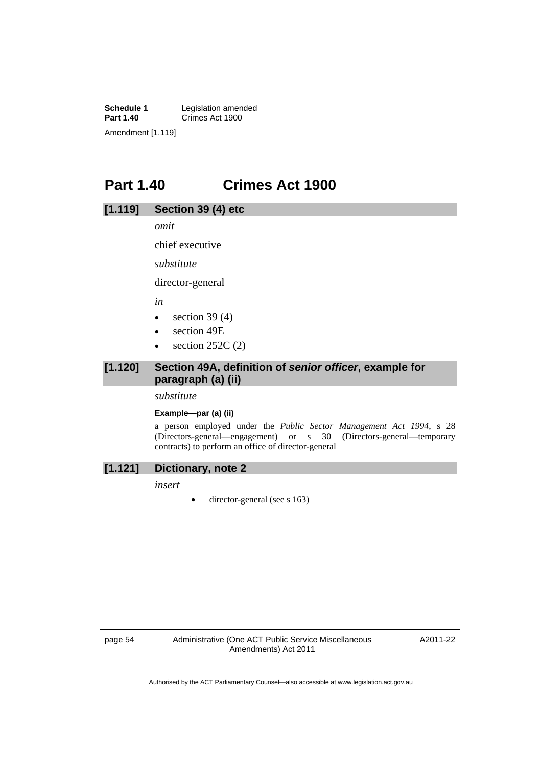**Schedule 1** Legislation amended<br> **Part 1.40** Crimes Act 1900 **Crimes Act 1900** Amendment [1.119]

### **Part 1.40 Crimes Act 1900**

#### **[1.119] Section 39 (4) etc**

*omit* 

chief executive

*substitute* 

director-general

*in* 

- $\bullet$  section 39 (4)
- section 49E
- $\bullet$  section 252C (2)

#### **[1.120] Section 49A, definition of** *senior officer***, example for paragraph (a) (ii)**

*substitute* 

#### **Example—par (a) (ii)**

a person employed under the *Public Sector Management Act 1994*, s 28 (Directors-general—engagement) or s 30 (Directors-general—temporary contracts) to perform an office of director-general

#### **[1.121] Dictionary, note 2**

*insert* 

• director-general (see s 163)

page 54 Administrative (One ACT Public Service Miscellaneous Amendments) Act 2011

A2011-22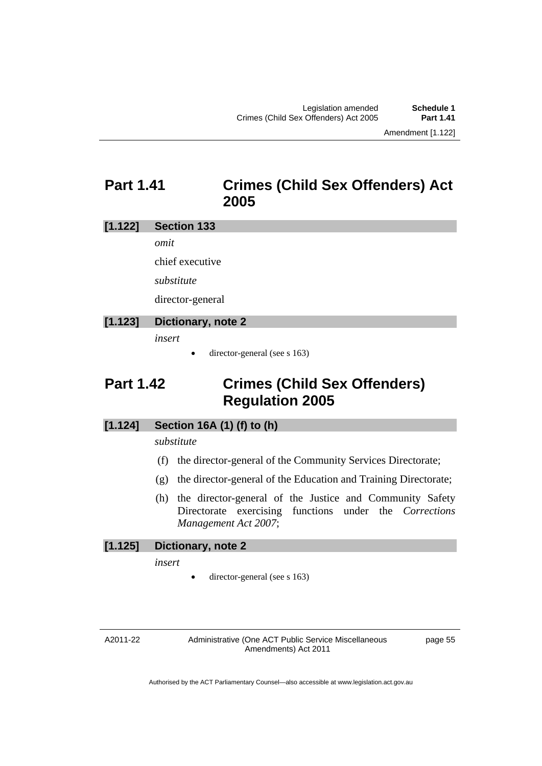### **Part 1.41 Crimes (Child Sex Offenders) Act 2005**

#### **[1.122] Section 133**

*omit* 

chief executive

*substitute* 

director-general

#### **[1.123] Dictionary, note 2**

*insert* 

director-general (see s 163)

## **Part 1.42 Crimes (Child Sex Offenders) Regulation 2005**

#### **[1.124] Section 16A (1) (f) to (h)**

#### *substitute*

- (f) the director-general of the Community Services Directorate;
- (g) the director-general of the Education and Training Directorate;
- (h) the director-general of the Justice and Community Safety Directorate exercising functions under the *Corrections Management Act 2007*;

#### **[1.125] Dictionary, note 2**

*insert* 

director-general (see s 163)

A2011-22

Administrative (One ACT Public Service Miscellaneous Amendments) Act 2011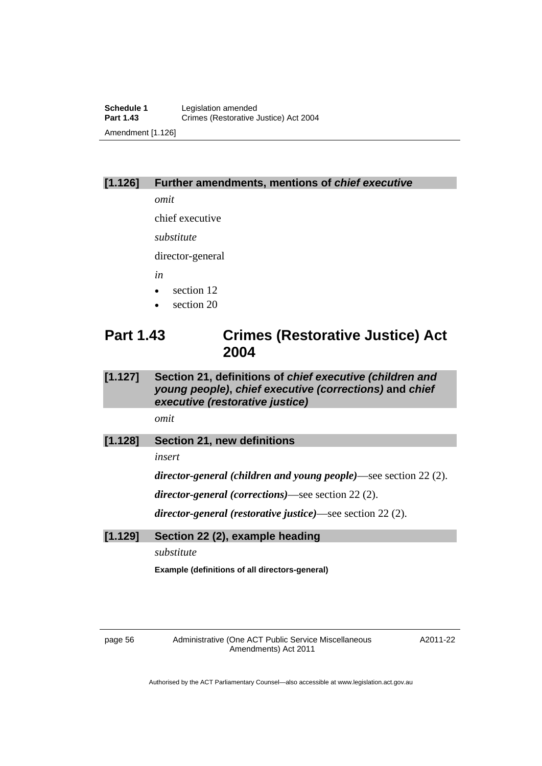#### **[1.126] Further amendments, mentions of** *chief executive*

*omit* 

chief executive

*substitute* 

director-general

*in* 

- section 12
- section 20

### **Part 1.43 Crimes (Restorative Justice) Act 2004**

#### **[1.127] Section 21, definitions of** *chief executive (children and young people)***,** *chief executive (corrections)* **and** *chief executive (restorative justice)*

*omit* 

**[1.128] Section 21, new definitions** 

*insert* 

*director-general (children and young people)*—see section 22 (2).

*director-general (corrections)*—see section 22 (2).

*director-general (restorative justice)*—see section 22 (2).

**[1.129] Section 22 (2), example heading** 

*substitute* 

**Example (definitions of all directors-general)** 

page 56 Administrative (One ACT Public Service Miscellaneous Amendments) Act 2011

A2011-22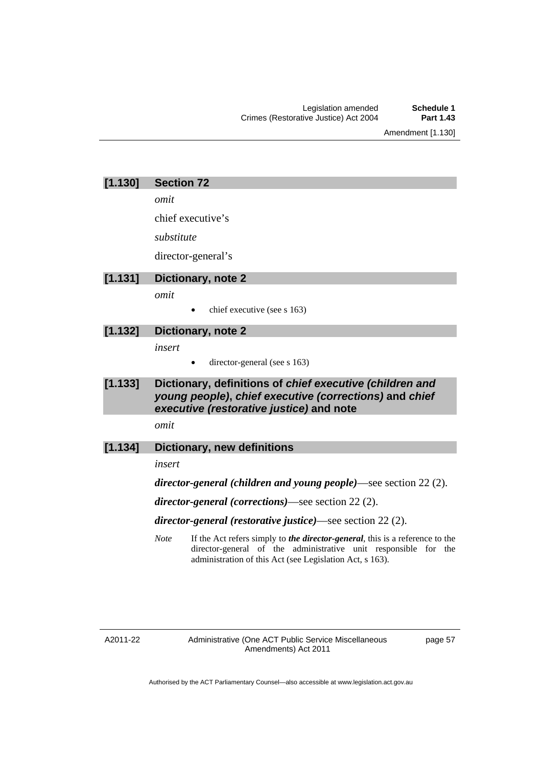Amendment [1.130]

| [1.130]<br><b>Section 72</b> |
|------------------------------|
|------------------------------|

*omit* 

chief executive's

*substitute* 

director-general's

#### **[1.131] Dictionary, note 2**

*omit* 

chief executive (see s 163)

#### **[1.132] Dictionary, note 2**

*insert* 

- director-general (see s 163)
- **[1.133] Dictionary, definitions of** *chief executive (children and young people)***,** *chief executive (corrections)* **and** *chief executive (restorative justice)* **and note**

*omit* 

#### **[1.134] Dictionary, new definitions**

*insert* 

*director-general (children and young people)*—see section 22 (2).

*director-general (corrections)*—see section 22 (2).

*director-general (restorative justice)*—see section 22 (2).

*Note* If the Act refers simply to *the director-general*, this is a reference to the director-general of the administrative unit responsible for the administration of this Act (see Legislation Act, s 163).

A2011-22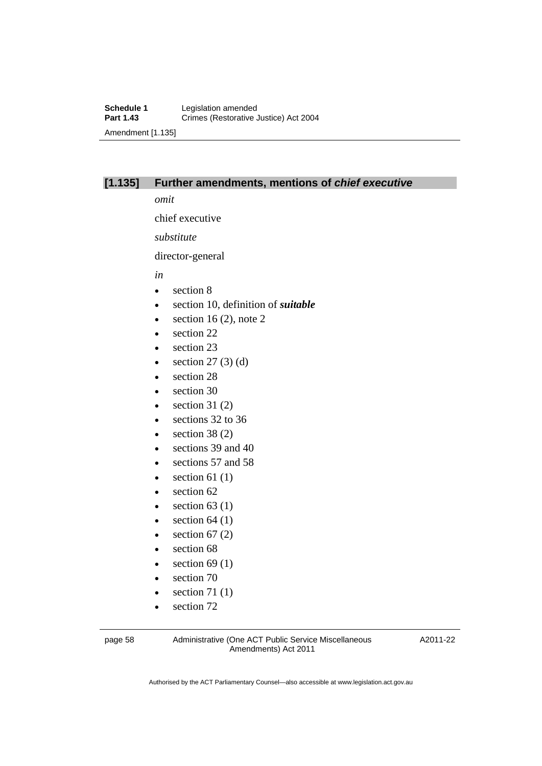#### **[1.135] Further amendments, mentions of** *chief executive*

*omit* 

chief executive

*substitute* 

director-general

*in* 

- section 8
- section 10, definition of *suitable*
- $\bullet$  section 16 (2), note 2
- section 22
- section 23
- $\bullet$  section 27 (3) (d)
- section 28
- section 30
- $\bullet$  section 31 (2)
- e sections 32 to 36
- $\bullet$  section 38 (2)
- e sections 39 and 40
- e sections 57 and 58
- $\bullet$  section 61 (1)
- section 62
- $\bullet$  section 63 (1)
- $\bullet$  section 64 (1)
- $\bullet$  section 67 (2)
- section 68
- $\bullet$  section 69 (1)
- section 70
- $\bullet$  section 71 (1)
- section 72

page 58 Administrative (One ACT Public Service Miscellaneous Amendments) Act 2011

A2011-22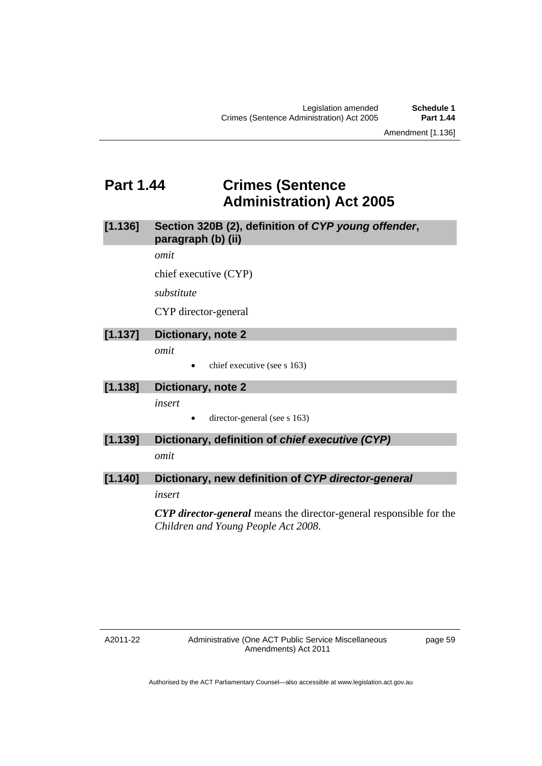### **Part 1.44 Crimes (Sentence Administration) Act 2005**

**[1.136] Section 320B (2), definition of** *CYP young offender***, paragraph (b) (ii)** 

*omit* 

chief executive (CYP)

*substitute* 

CYP director-general

#### **[1.137] Dictionary, note 2**

*omit* 

chief executive (see s 163)

#### **[1.138] Dictionary, note 2**

*insert* 

• director-general (see s 163)

#### **[1.139] Dictionary, definition of** *chief executive (CYP)*

*omit* 

#### **[1.140] Dictionary, new definition of** *CYP director-general*

*insert* 

*CYP director-general* means the director-general responsible for the *Children and Young People Act 2008*.

A2011-22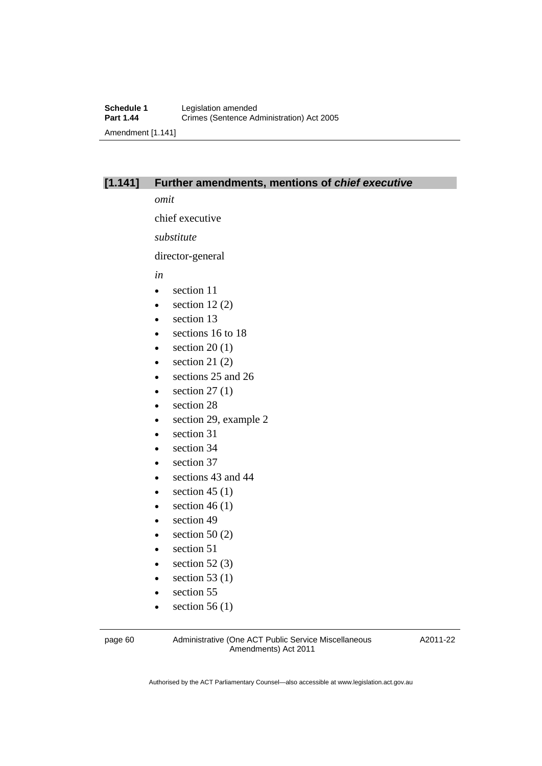#### **[1.141] Further amendments, mentions of** *chief executive*

*omit* 

chief executive

*substitute* 

director-general

*in* 

- section 11
- $\bullet$  section 12 (2)
- $\bullet$  section 13
- e sections 16 to 18
- $\bullet$  section 20 (1)
- $\bullet$  section 21 (2)
- sections 25 and 26
- $\bullet$  section 27 (1)
- section 28
- section 29, example 2
- section 31
- section 34
- section 37
- sections 43 and 44
- $\bullet$  section 45 (1)
- $\bullet$  section 46 (1)
- section 49
- $\bullet$  section 50 (2)
- section 51
- $\bullet$  section 52 (3)
- $\bullet$  section 53 (1)
- section 55
- $\bullet$  section 56 (1)

page 60 Administrative (One ACT Public Service Miscellaneous Amendments) Act 2011

A2011-22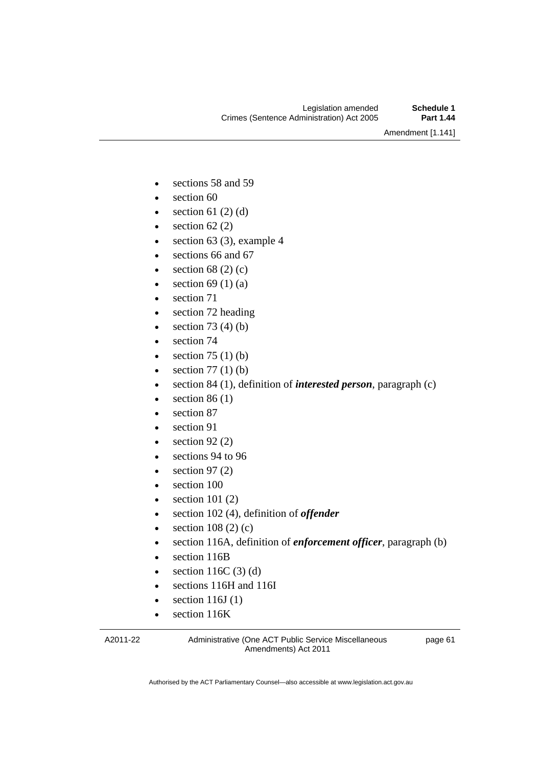Amendment [1.141]

- sections 58 and 59
- section 60
- $\bullet$  section 61 (2) (d)
- $\bullet$  section 62 (2)
- $\bullet$  section 63 (3), example 4
- e sections 66 and 67
- $\bullet$  section 68 (2) (c)
- $\bullet$  section 69 (1) (a)
- section 71
- section 72 heading
- $\bullet$  section 73 (4) (b)
- section 74
- $\bullet$  section 75 (1) (b)
- $\bullet$  section 77 (1) (b)
- section 84 (1), definition of *interested person*, paragraph (c)
- $\bullet$  section 86 (1)
- section 87
- section 91
- $\bullet$  section 92 (2)
- sections 94 to 96
- $\bullet$  section 97 (2)
- section 100
- $\bullet$  section 101 (2)
- section 102 (4), definition of *offender*
- $\bullet$  section 108 (2) (c)
- section 116A, definition of *enforcement officer*, paragraph (b)
- section 116B
- $\bullet$  section 116C (3) (d)
- sections 116H and 116I
- $\bullet$  section 116J (1)
- section 116K

A2011-22

Administrative (One ACT Public Service Miscellaneous Amendments) Act 2011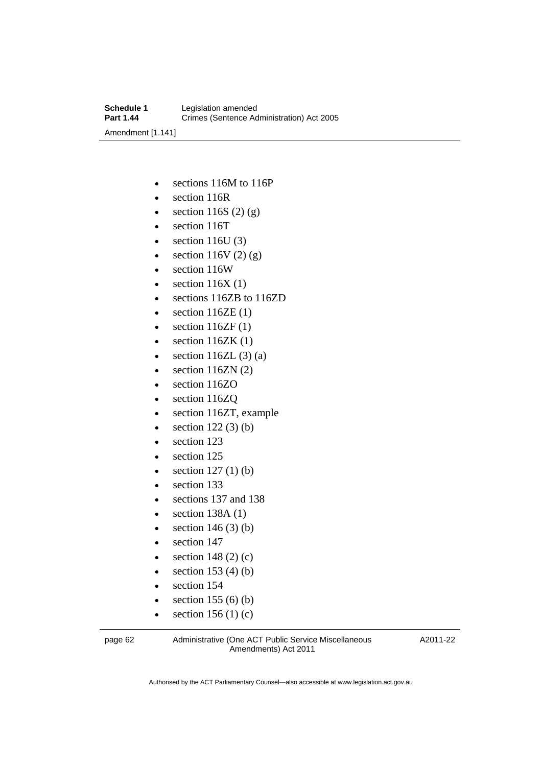- sections 116M to 116P
- section 116R
- $\bullet$  section 116S (2) (g)
- section 116T
- $\bullet$  section 116U (3)
- $\bullet$  section 116V (2) (g)
- section 116W
- $\bullet$  section 116X (1)
- sections 116ZB to 116ZD
- $\bullet$  section 116ZE (1)
- $\bullet$  section 116ZF (1)
- $\bullet$  section 116ZK (1)
- $\bullet$  section 116ZL (3) (a)
- $\bullet$  section 116ZN (2)
- section 116ZO
- section 116ZQ
- section 116ZT, example
- $\bullet$  section 122 (3) (b)
- section 123
- section 125
- $\bullet$  section 127 (1) (b)
- section 133
- sections 137 and 138
- $\bullet$  section 138A (1)
- $\bullet$  section 146 (3) (b)
- section 147
- $\bullet$  section 148 (2) (c)
- $\bullet$  section 153 (4) (b)
- section 154
- $\bullet$  section 155 (6) (b)
- $\bullet$  section 156 (1) (c)

page 62 Administrative (One ACT Public Service Miscellaneous Amendments) Act 2011

A2011-22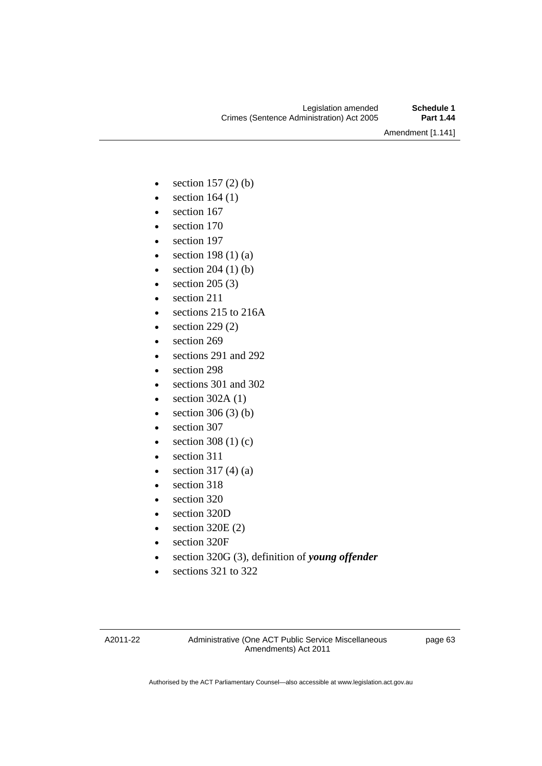Amendment [1.141]

- $\bullet$  section 157 (2) (b)
- $\bullet$  section 164 (1)
- section 167
- section 170
- section 197
- $\bullet$  section 198 (1) (a)
- $\bullet$  section 204 (1) (b)
- $\bullet$  section 205 (3)
- section 211
- sections 215 to 216A
- $\bullet$  section 229 (2)
- section 269
- sections 291 and 292
- section 298
- sections 301 and 302
- $\bullet$  section 302A (1)
- $\bullet$  section 306 (3) (b)
- section 307
- $\bullet$  section 308 (1) (c)
- section 311
- $\bullet$  section 317 (4) (a)
- section 318
- section 320
- section 320D
- $\bullet$  section 320E (2)
- section 320F
- section 320G (3), definition of *young offender*
- sections 321 to 322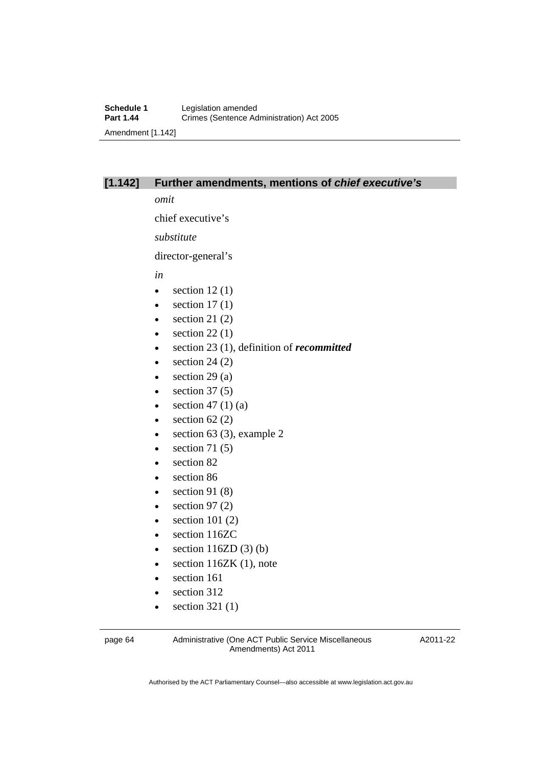#### **[1.142] Further amendments, mentions of** *chief executive's*

*omit* 

chief executive's

*substitute* 

director-general's

*in* 

- $\bullet$  section 12(1)
- $\bullet$  section 17(1)
- $\bullet$  section 21 (2)
- $\bullet$  section 22(1)
- section 23 (1), definition of *recommitted*
- $\bullet$  section 24 (2)
- $\bullet$  section 29 (a)
- $\bullet$  section 37 (5)
- $\bullet$  section 47 (1) (a)
- $\bullet$  section 62 (2)
- $\bullet$  section 63 (3), example 2
- $\bullet$  section 71 (5)
- section 82
- section 86
- $\bullet$  section 91 (8)
- $\bullet$  section 97 (2)
- $\bullet$  section 101 (2)
- section 116ZC
- $\bullet$  section 116ZD (3) (b)
- $\bullet$  section 116ZK (1), note
- section 161
- section 312
- $\bullet$  section 321 (1)

page 64 Administrative (One ACT Public Service Miscellaneous Amendments) Act 2011

A2011-22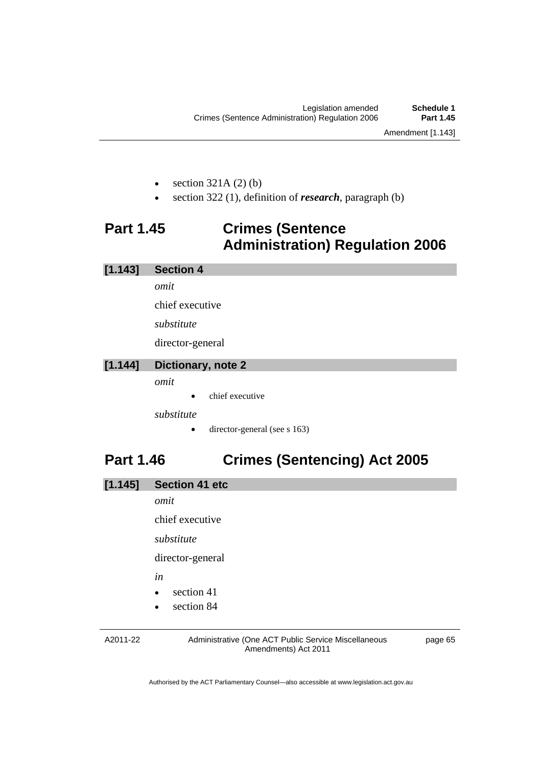- section 321A (2) (b)
- section 322 (1), definition of *research*, paragraph (b)

# **Part 1.45 Crimes (Sentence Administration) Regulation 2006**

**[1.143] Section 4** 

*omit* 

chief executive

*substitute* 

director-general

### **[1.144] Dictionary, note 2**

*omit* 

chief executive

*substitute* 

• director-general (see s 163)

# **Part 1.46 Crimes (Sentencing) Act 2005**

| [1.145] | <b>Section 41 etc</b> |
|---------|-----------------------|
|         | omit                  |
|         | chief executive       |
|         | substitute            |
|         | director-general      |
|         | ın                    |

- section 41
- section 84

A2011-22

Administrative (One ACT Public Service Miscellaneous Amendments) Act 2011

page 65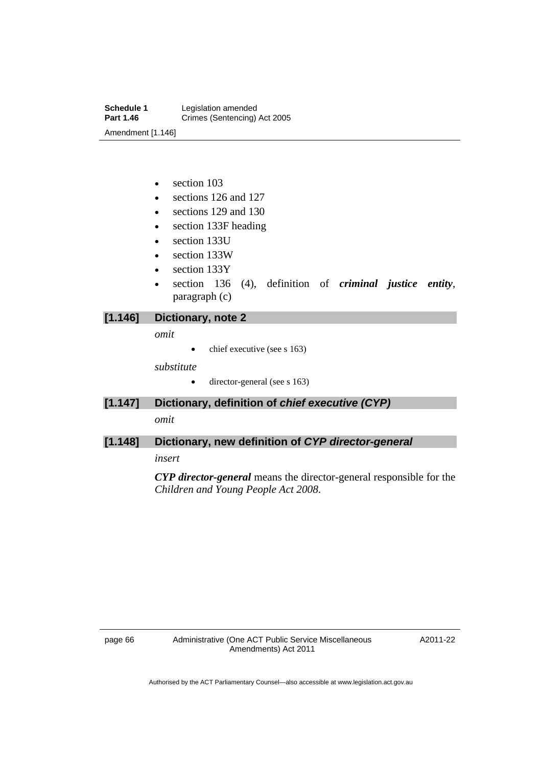**Schedule 1** Legislation amended<br> **Part 1.46** Crimes (Sentencing) **Crimes (Sentencing) Act 2005** Amendment [1.146]

- section 103
- sections 126 and 127
- sections 129 and 130
- section 133F heading
- section 133U
- section 133W
- section 133Y
- section 136 (4), definition of *criminal justice entity*, paragraph (c)

### **[1.146] Dictionary, note 2**

*omit* 

 $\bullet$  chief executive (see s 163)

*substitute* 

- director-general (see s 163)
- **[1.147] Dictionary, definition of** *chief executive (CYP)*

*omit* 

### **[1.148] Dictionary, new definition of** *CYP director-general*

*insert* 

*CYP director-general* means the director-general responsible for the *Children and Young People Act 2008*.

A2011-22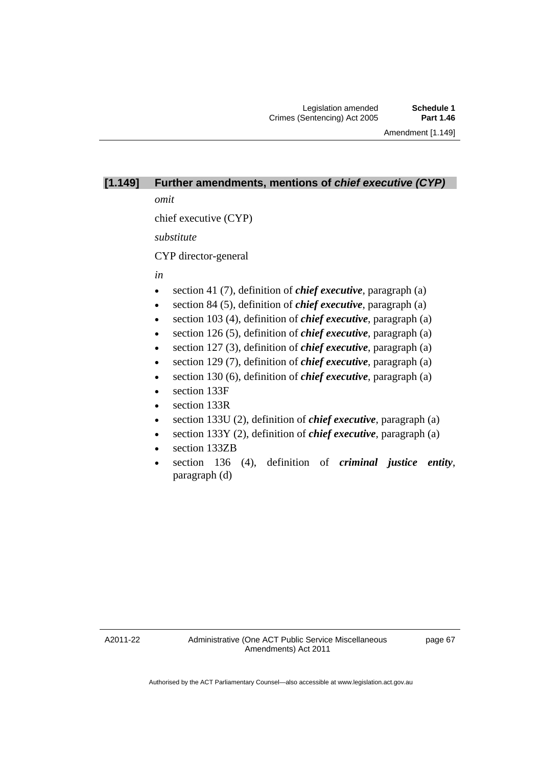# **[1.149] Further amendments, mentions of** *chief executive (CYP)*

*omit* 

chief executive (CYP)

*substitute* 

CYP director-general

#### *in*

- section 41 (7), definition of *chief executive*, paragraph (a)
- section 84 (5), definition of *chief executive*, paragraph (a)
- section 103 (4), definition of *chief executive*, paragraph (a)
- section 126 (5), definition of *chief executive*, paragraph (a)
- section 127 (3), definition of *chief executive*, paragraph (a)
- section 129 (7), definition of *chief executive*, paragraph (a)
- section 130 (6), definition of *chief executive*, paragraph (a)
- section 133F
- section 133R
- section 133U (2), definition of *chief executive*, paragraph (a)
- section 133Y (2), definition of *chief executive*, paragraph (a)
- section 133ZB
- section 136 (4), definition of *criminal justice entity*, paragraph (d)

A2011-22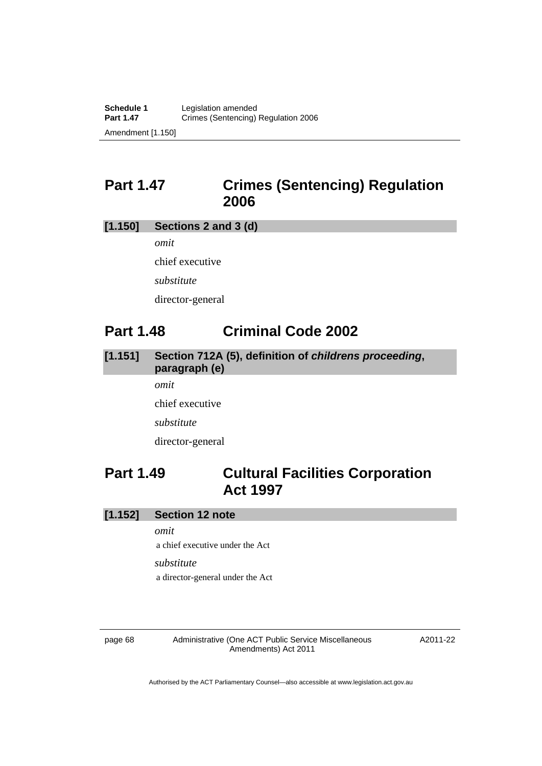# **Part 1.47 Crimes (Sentencing) Regulation 2006**

### **[1.150] Sections 2 and 3 (d)**

*omit*  chief executive *substitute*  director-general

# **Part 1.48 Criminal Code 2002**

### **[1.151] Section 712A (5), definition of** *childrens proceeding***, paragraph (e)**  *omit*

chief executive *substitute*  director-general

# **Part 1.49 Cultural Facilities Corporation Act 1997**

**[1.152] Section 12 note** 

*omit* 

a chief executive under the Act

*substitute* 

a director-general under the Act

page 68 Administrative (One ACT Public Service Miscellaneous Amendments) Act 2011

A2011-22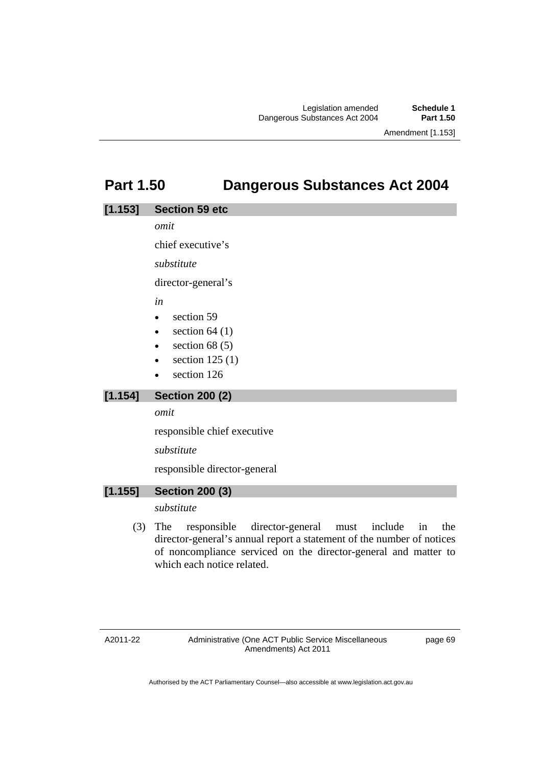# **Part 1.50 Dangerous Substances Act 2004**

### **[1.153] Section 59 etc**

*omit* 

chief executive's

*substitute*

director-general's

*in* 

- section 59
- $\bullet$  section 64 (1)
- $\bullet$  section 68 (5)
- section 125 (1)
- section 126

### **[1.154] Section 200 (2)**

*omit* 

responsible chief executive

*substitute* 

responsible director-general

### **[1.155] Section 200 (3)**

### *substitute*

 (3) The responsible director-general must include in the director-general's annual report a statement of the number of notices of noncompliance serviced on the director-general and matter to which each notice related.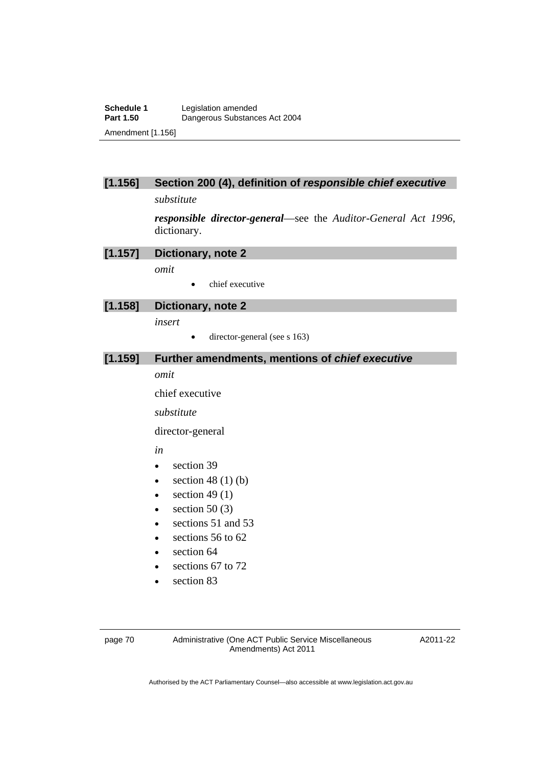### **[1.156] Section 200 (4), definition of** *responsible chief executive*

*substitute* 

*responsible director-general*—see the *Auditor-General Act 1996*, dictionary.

#### **[1.157] Dictionary, note 2**

*omit* 

chief executive

**[1.158] Dictionary, note 2** 

*insert* 

 $\bullet$  director-general (see s 163)

#### **[1.159] Further amendments, mentions of** *chief executive*

*omit* 

chief executive

*substitute* 

director-general

*in* 

- section 39
- $\bullet$  section 48 (1) (b)
- $\bullet$  section 49 (1)
- $\bullet$  section 50 (3)
- e sections 51 and 53
- $\cdot$  sections 56 to 62
- section 64
- e sections 67 to 72
- section 83

page 70 Administrative (One ACT Public Service Miscellaneous Amendments) Act 2011

A2011-22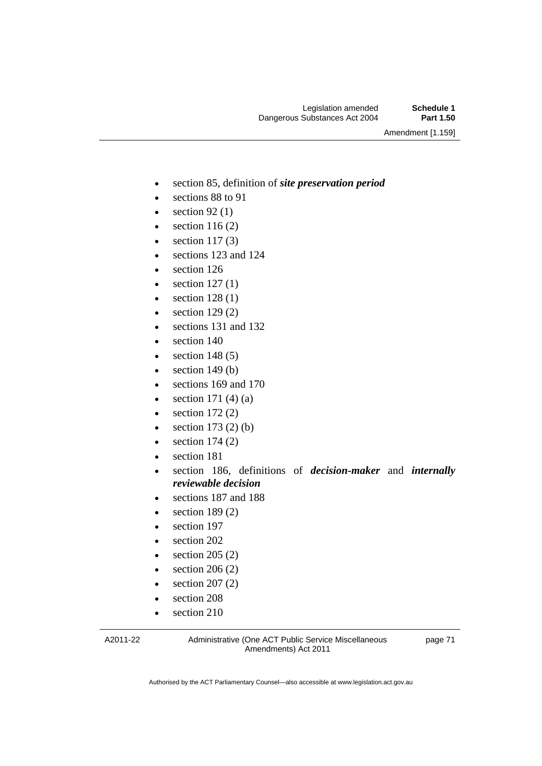Amendment [1.159]

- section 85, definition of *site preservation period*
- sections 88 to 91
- $\bullet$  section 92 (1)
- $\bullet$  section 116 (2)
- $\bullet$  section 117(3)
- sections 123 and 124
- section 126
- $\bullet$  section 127(1)
- $\bullet$  section 128 (1)
- $\bullet$  section 129 $(2)$
- sections 131 and 132
- section 140
- $\bullet$  section 148 (5)
- $\bullet$  section 149 (b)
- sections 169 and 170
- $\bullet$  section 171 (4) (a)
- $\bullet$  section 172 $(2)$
- $\bullet$  section 173 (2) (b)
- $\bullet$  section 174 (2)
- section 181
- section 186, definitions of *decision-maker* and *internally reviewable decision*
- sections 187 and 188
- $\bullet$  section 189 $(2)$
- section 197
- section 202
- $\bullet$  section 205 (2)
- $\bullet$  section 206 (2)
- $\bullet$  section 207 (2)
- section 208
- section 210

A2011-22

Administrative (One ACT Public Service Miscellaneous Amendments) Act 2011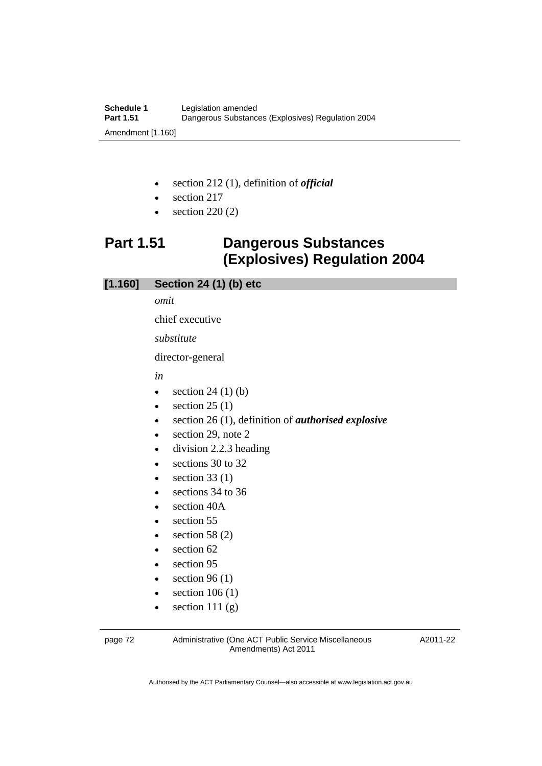- section 212 (1), definition of *official*
- section 217
- section 220 (2)

# **Part 1.51 Dangerous Substances (Explosives) Regulation 2004**

## **[1.160] Section 24 (1) (b) etc**

*omit* 

chief executive

*substitute* 

director-general

#### *in*

- $\bullet$  section 24 (1) (b)
- $\bullet$  section 25 (1)
- section 26 (1), definition of *authorised explosive*
- section 29, note 2
- division 2.2.3 heading
- e sections 30 to 32
- $\bullet$  section 33 (1)
- sections 34 to 36
- section 40A
- section 55
- $\bullet$  section 58 (2)
- section 62
- section 95
- $\bullet$  section 96 (1)
- $\bullet$  section 106 (1)
- $\bullet$  section 111 (g)

page 72 Administrative (One ACT Public Service Miscellaneous Amendments) Act 2011

A2011-22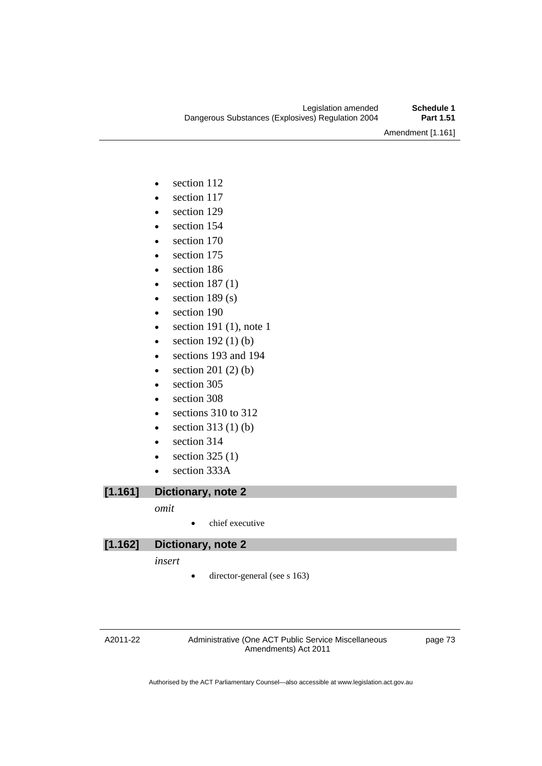Amendment [1.161]

- section 112
- section 117
- section 129
- section 154
- section 170
- section 175
- section 186
- $\bullet$  section 187(1)
- $\bullet$  section 189 (s)
- section 190
- $\bullet$  section 191 (1), note 1
- $\bullet$  section 192(1)(b)
- sections 193 and 194
- $\bullet$  section 201 (2) (b)
- section 305
- section 308
- e sections 310 to 312
- $\bullet$  section 313 (1) (b)
- section 314
- $\bullet$  section 325 (1)
- section 333A

**[1.161] Dictionary, note 2** 

#### *omit*

• chief executive

### **[1.162] Dictionary, note 2**

*insert* 

director-general (see s 163)

A2011-22

Administrative (One ACT Public Service Miscellaneous Amendments) Act 2011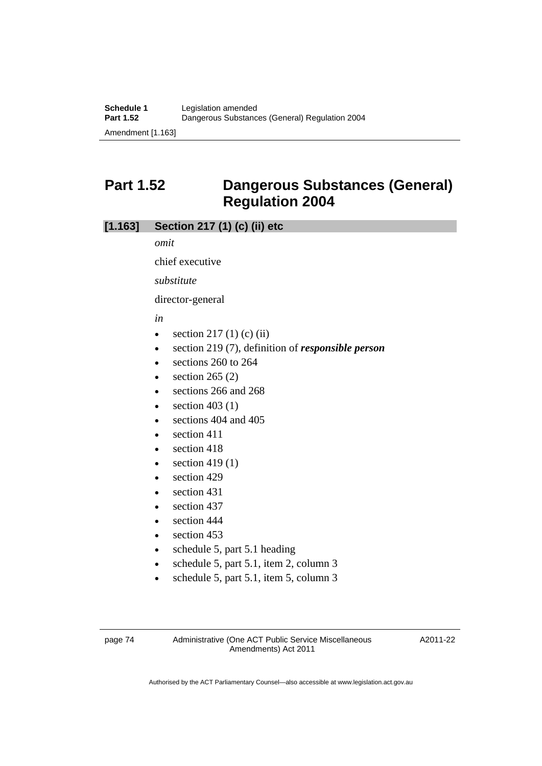# **Part 1.52 Dangerous Substances (General) Regulation 2004**

## **[1.163] Section 217 (1) (c) (ii) etc**

*omit* 

chief executive

*substitute* 

director-general

*in* 

- $\bullet$  section 217 (1) (c) (ii)
- section 219 (7), definition of *responsible person*
- sections 260 to 264
- section 265 (2)
- sections 266 and 268
- $\bullet$  section 403 (1)
- sections 404 and 405
- $\bullet$  section 411
- section 418
- $\bullet$  section 419(1)
- section 429
- section 431
- $\bullet$  section 437
- section 444
- $\bullet$  section 453
- schedule 5, part 5.1 heading
- schedule 5, part 5.1, item 2, column 3
- schedule 5, part 5.1, item 5, column 3

page 74 Administrative (One ACT Public Service Miscellaneous Amendments) Act 2011

A2011-22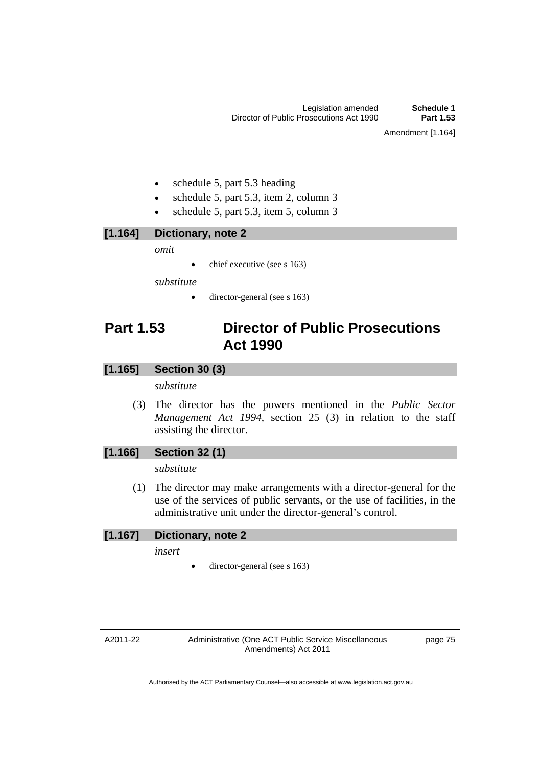- schedule 5, part 5.3 heading
- schedule 5, part 5.3, item 2, column 3
- schedule 5, part 5.3, item 5, column 3

**[1.164] Dictionary, note 2** 

*omit* 

 $\bullet$  chief executive (see s 163)

*substitute* 

director-general (see s 163)

# **Part 1.53 Director of Public Prosecutions Act 1990**

### **[1.165] Section 30 (3)**

*substitute* 

 (3) The director has the powers mentioned in the *Public Sector Management Act 1994*, section 25 (3) in relation to the staff assisting the director.

### **[1.166] Section 32 (1)**

*substitute* 

 (1) The director may make arrangements with a director-general for the use of the services of public servants, or the use of facilities, in the administrative unit under the director-general's control.

### **[1.167] Dictionary, note 2**

*insert* 

director-general (see s 163)

A2011-22

Administrative (One ACT Public Service Miscellaneous Amendments) Act 2011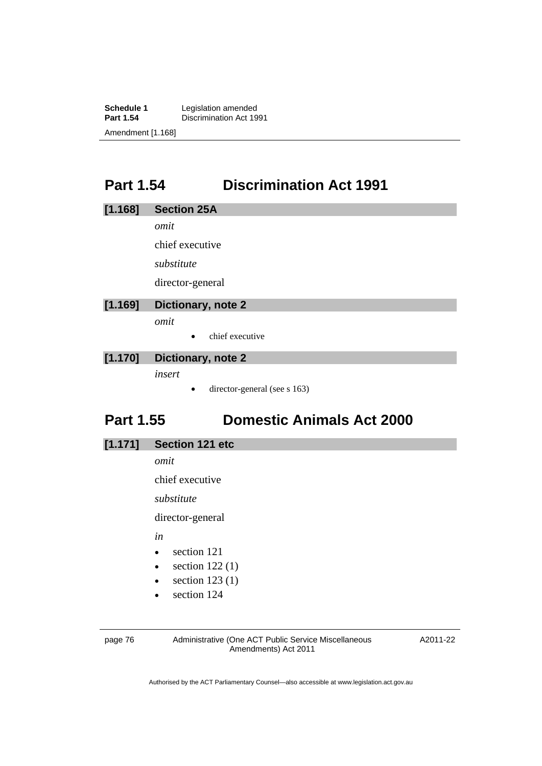**Schedule 1** Legislation amended<br>**Part 1.54** Discrimination Act 19 **Discrimination Act 1991** Amendment [1.168]

# **Part 1.54 Discrimination Act 1991**

|  | [1.168] | <b>Section 25A</b> |  |
|--|---------|--------------------|--|
|  |         |                    |  |

*omit* 

chief executive

*substitute* 

director-general

## **[1.169] Dictionary, note 2**

*omit* 

 $\bullet$  chief executive

### **[1.170] Dictionary, note 2**

*insert* 

director-general (see s 163)

# **Part 1.55 Domestic Animals Act 2000**

**[1.171] Section 121 etc** 

*omit* 

chief executive

*substitute* 

director-general

*in* 

- section 121
- $\bullet$  section 122(1)
- $\bullet$  section 123 (1)
- section 124

page 76 Administrative (One ACT Public Service Miscellaneous Amendments) Act 2011

A2011-22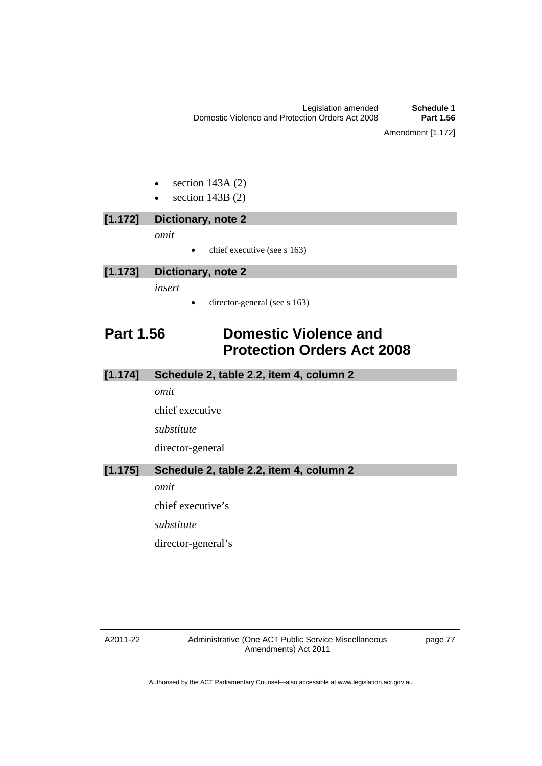- section 143A (2)
- section 143B (2)

| $\bm{\left[1.172\right]}$ | Dictionary, note 2                       |
|---------------------------|------------------------------------------|
|                           | omit                                     |
|                           | chief executive (see s 163)<br>$\bullet$ |
| [1.173]                   | Dictionary, note 2                       |
|                           |                                          |

*insert* 

director-general (see s 163)

# **Part 1.56 Domestic Violence and Protection Orders Act 2008**

### **[1.174] Schedule 2, table 2.2, item 4, column 2**

*omit* 

chief executive

*substitute* 

director-general

**[1.175] Schedule 2, table 2.2, item 4, column 2** 

*omit* 

chief executive's

*substitute* 

director-general's

#### A2011-22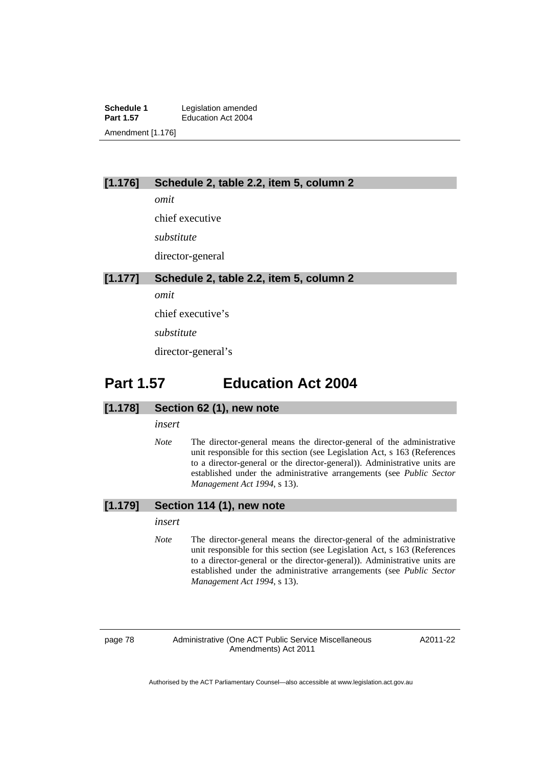**Schedule 1** Legislation amended<br> **Part 1.57** Education Act 2004 **Education Act 2004** Amendment [1.176]

#### **[1.176] Schedule 2, table 2.2, item 5, column 2**

*omit* 

chief executive

*substitute* 

director-general

#### **[1.177] Schedule 2, table 2.2, item 5, column 2**

*omit* 

chief executive's

*substitute*

director-general's

# **Part 1.57 Education Act 2004**

#### **[1.178] Section 62 (1), new note**

*insert* 

*Note* The director-general means the director-general of the administrative unit responsible for this section (see Legislation Act, s 163 (References to a director-general or the director-general)). Administrative units are established under the administrative arrangements (see *Public Sector Management Act 1994*, s 13).

#### **[1.179] Section 114 (1), new note**

#### *insert*

*Note* The director-general means the director-general of the administrative unit responsible for this section (see Legislation Act, s 163 (References to a director-general or the director-general)). Administrative units are established under the administrative arrangements (see *Public Sector Management Act 1994*, s 13).

page 78 Administrative (One ACT Public Service Miscellaneous Amendments) Act 2011

A2011-22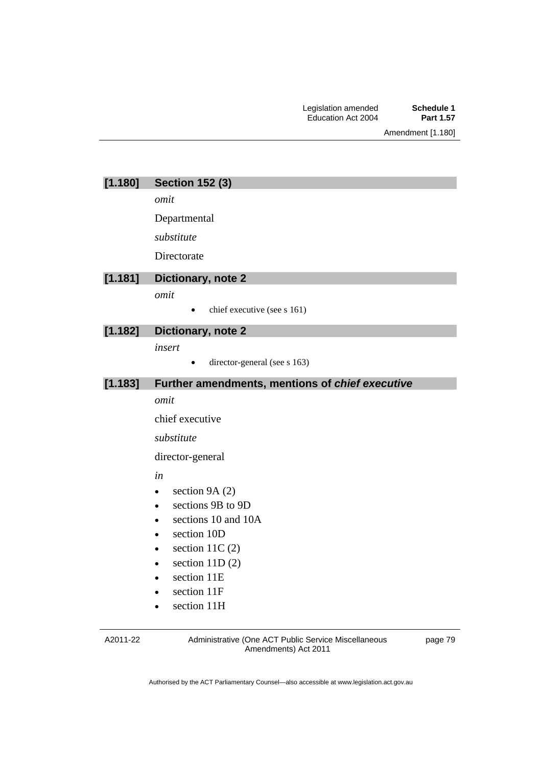| [1.180] | <b>Section 152 (3)</b> |  |  |
|---------|------------------------|--|--|
|---------|------------------------|--|--|

*omit* 

Departmental

*substitute* 

**Directorate** 

### **[1.181] Dictionary, note 2**

*omit* 

 $\bullet$  chief executive (see s 161)

### **[1.182] Dictionary, note 2**

*insert* 

• director-general (see s 163)

### **[1.183] Further amendments, mentions of** *chief executive*

#### *omit*

chief executive

*substitute* 

director-general

*in* 

- $\bullet$  section 9A (2)
- sections 9B to 9D
- sections 10 and 10A
- section 10D
- $\bullet$  section 11C (2)
- $\bullet$  section 11D (2)
- section 11E
- section 11F
- section 11H

A2011-22

Administrative (One ACT Public Service Miscellaneous Amendments) Act 2011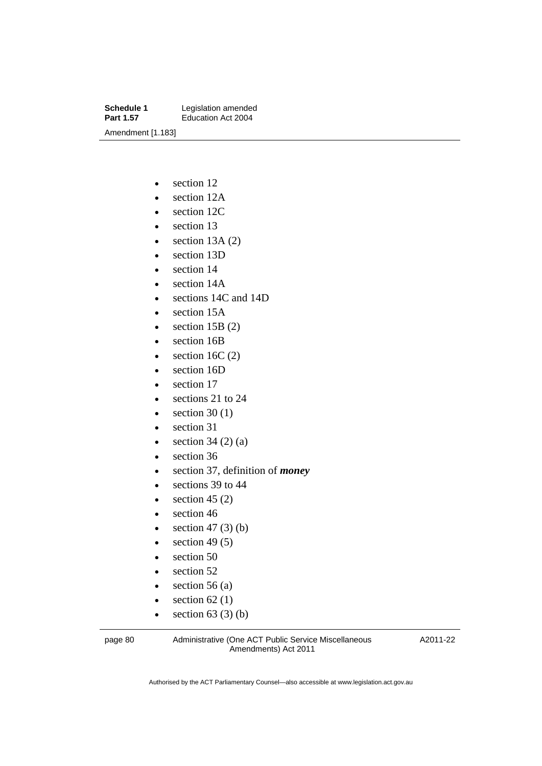**Schedule 1** Legislation amended<br> **Part 1.57** Education Act 2004 **Education Act 2004** Amendment [1.183]

- section 12
- section 12A
- section 12C
- section 13
- $\bullet$  section 13A (2)
- section 13D
- section 14
- section 14A
- sections 14C and 14D
- section 15A
- $\bullet$  section 15B (2)
- section 16B
- $\bullet$  section 16C (2)
- section 16D
- section 17
- sections 21 to 24
- $\bullet$  section 30 (1)
- section 31
- $\bullet$  section 34 (2) (a)
- section 36
- section 37, definition of *money*
- e sections 39 to 44
- $\bullet$  section 45 (2)
- $\bullet$  section 46
- $\bullet$  section 47 (3) (b)
- $\bullet$  section 49 (5)
- section 50
- section 52
- $\bullet$  section 56 (a)
- $\bullet$  section 62 (1)
- $\bullet$  section 63 (3) (b)

page 80 Administrative (One ACT Public Service Miscellaneous Amendments) Act 2011

A2011-22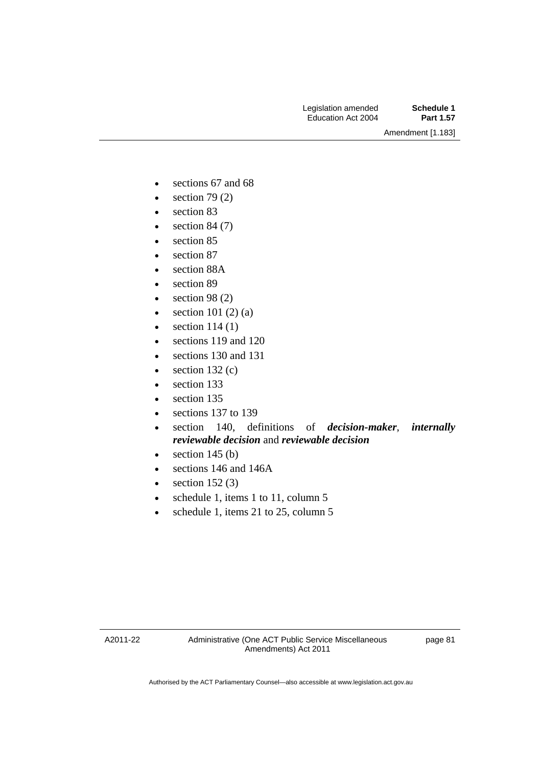- sections 67 and 68
- $\bullet$  section 79 (2)
- section 83
- $\bullet$  section 84 (7)
- section 85
- section 87
- section 88A
- section 89
- $\bullet$  section 98 (2)
- $\bullet$  section 101 (2) (a)
- $\bullet$  section 114 (1)
- sections 119 and 120
- sections 130 and 131
- $\bullet$  section 132 $(c)$
- section 133
- section 135
- sections 137 to 139
- section 140, definitions of *decision-maker*, *internally reviewable decision* and *reviewable decision*
- $\bullet$  section 145 (b)
- sections 146 and 146A
- $\bullet$  section 152(3)
- $\bullet$  schedule 1, items 1 to 11, column 5
- schedule 1, items 21 to 25, column 5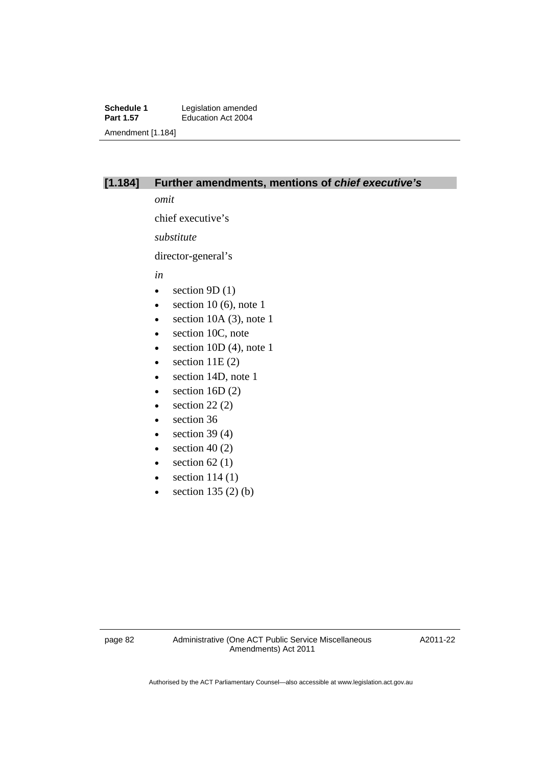**Schedule 1** Legislation amended<br> **Part 1.57** Education Act 2004 **Education Act 2004** Amendment [1.184]

### **[1.184] Further amendments, mentions of** *chief executive's*

*omit* 

chief executive's

*substitute* 

director-general's

*in* 

- $\bullet$  section 9D (1)
- $\bullet$  section 10 (6), note 1
- $\bullet$  section 10A (3), note 1
- section 10C, note
- $\bullet$  section 10D (4), note 1
- $\bullet$  section 11E (2)
- section 14D, note 1
- $\bullet$  section 16D (2)
- $\bullet$  section 22 (2)
- section 36
- $\bullet$  section 39 (4)
- $\bullet$  section 40 (2)
- $\bullet$  section 62(1)
- $\bullet$  section 114 (1)
- $\bullet$  section 135 (2) (b)

A2011-22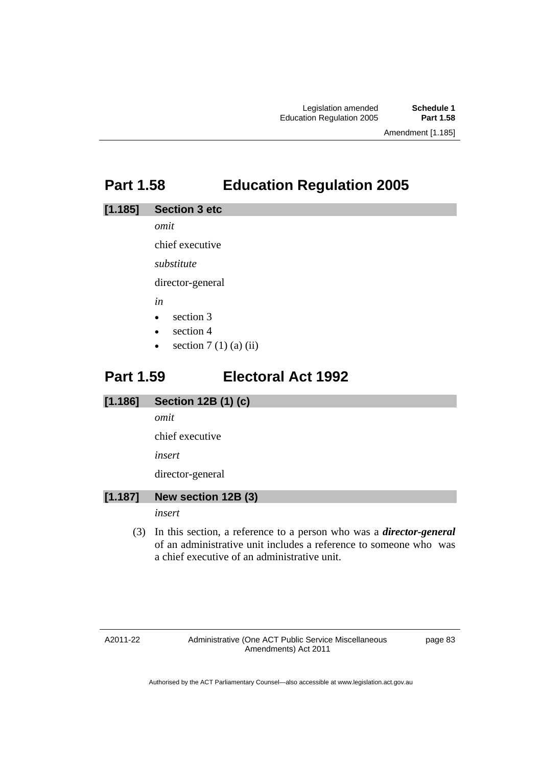# **Part 1.58 Education Regulation 2005**

#### **[1.185] Section 3 etc**

*omit* 

chief executive

*substitute* 

director-general

*in* 

- $\bullet$  section 3
- section 4
- $\bullet$  section 7 (1) (a) (ii)

# **Part 1.59 Electoral Act 1992**

### **[1.186] Section 12B (1) (c)**

*omit* 

chief executive

*insert* 

director-general

### **[1.187] New section 12B (3)**

*insert* 

 (3) In this section, a reference to a person who was a *director-general*  of an administrative unit includes a reference to someone who was a chief executive of an administrative unit.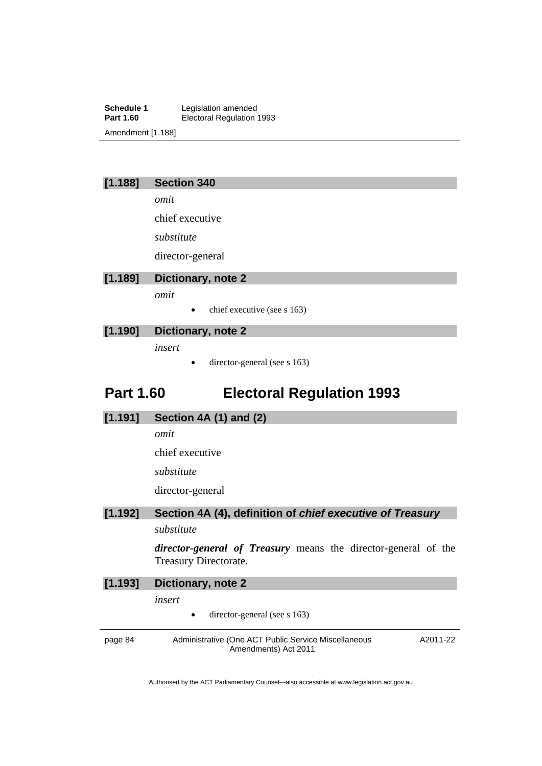**Schedule 1** Legislation amended<br> **Part 1.60** Electoral Regulation **Electoral Regulation 1993** Amendment [1.188]

### **[1.188] Section 340**

*omit* 

chief executive

*substitute* 

director-general

### **[1.189] Dictionary, note 2**

*omit* 

chief executive (see s 163)

### **[1.190] Dictionary, note 2**

*insert* 

director-general (see s 163)

# **Part 1.60 Electoral Regulation 1993**

#### **[1.191] Section 4A (1) and (2)**

*omit* 

chief executive

*substitute* 

director-general

# **[1.192] Section 4A (4), definition of** *chief executive of Treasury*

### *substitute*

*director-general of Treasury* means the director-general of the Treasury Directorate.

| [1.193] | Dictionary, note 2                                                           |          |  |
|---------|------------------------------------------------------------------------------|----------|--|
|         | insert                                                                       |          |  |
|         | director-general (see s $163$ )<br>$\bullet$                                 |          |  |
| page 84 | Administrative (One ACT Public Service Miscellaneous<br>Amendments) Act 2011 | A2011-22 |  |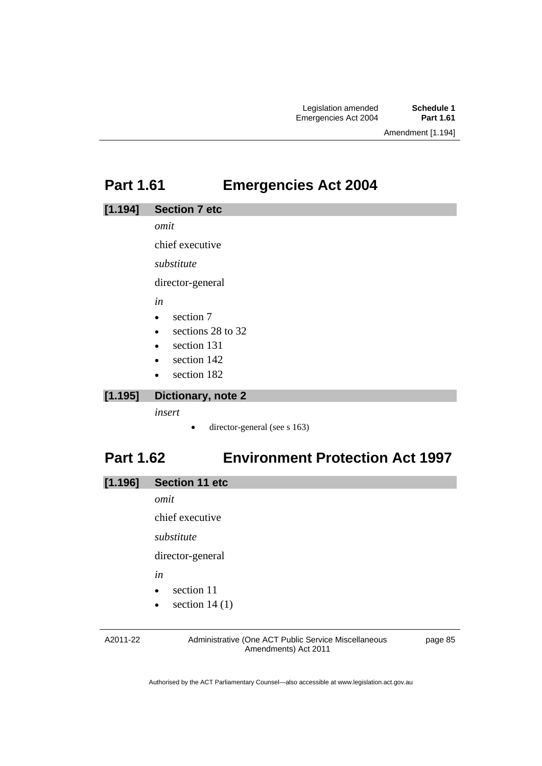# **Part 1.61 Emergencies Act 2004**

#### **[1.194] Section 7 etc**

*omit* 

chief executive

*substitute* 

director-general

*in* 

- $\bullet$  section 7
- e sections 28 to 32
- section 131
- section 142
- section 182

### **[1.195] Dictionary, note 2**

*insert* 

director-general (see s 163)

# **Part 1.62 Environment Protection Act 1997**

*omit* 

chief executive

*substitute* 

director-general

*in* 

- section 11
- $\bullet$  section 14 (1)

A2011-22

Administrative (One ACT Public Service Miscellaneous Amendments) Act 2011

page 85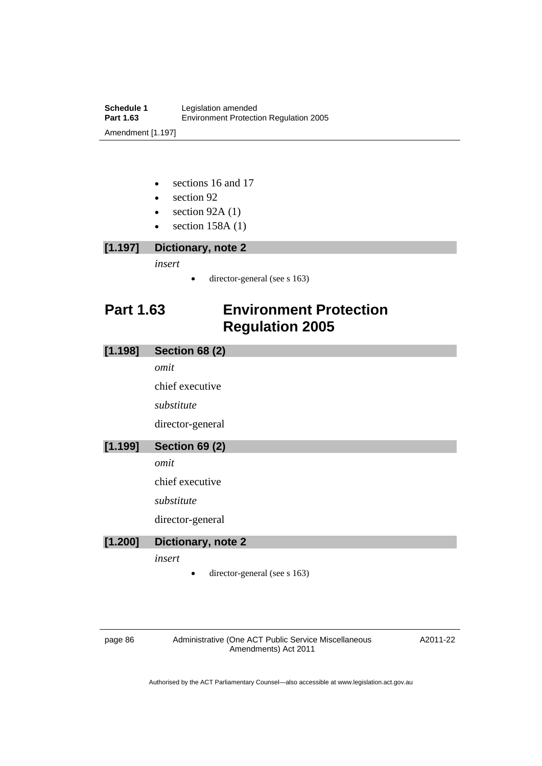- sections 16 and 17
- section 92
- $\bullet$  section 92A (1)
- $\bullet$  section 158A (1)

# **[1.197] Dictionary, note 2**

*insert* 

• director-general (see s 163)

# **Part 1.63 Environment Protection Regulation 2005**

| [1.198] | <b>Section 68 (2)</b>        |  |  |
|---------|------------------------------|--|--|
|         | omit                         |  |  |
|         | chief executive              |  |  |
|         | substitute                   |  |  |
|         | director-general             |  |  |
| [1.199] | <b>Section 69 (2)</b>        |  |  |
|         | omit                         |  |  |
|         | chief executive              |  |  |
|         | substitute                   |  |  |
|         | director-general             |  |  |
| [1.200] | Dictionary, note 2           |  |  |
|         | insert                       |  |  |
|         | director-general (see s 163) |  |  |

page 86 Administrative (One ACT Public Service Miscellaneous Amendments) Act 2011

A2011-22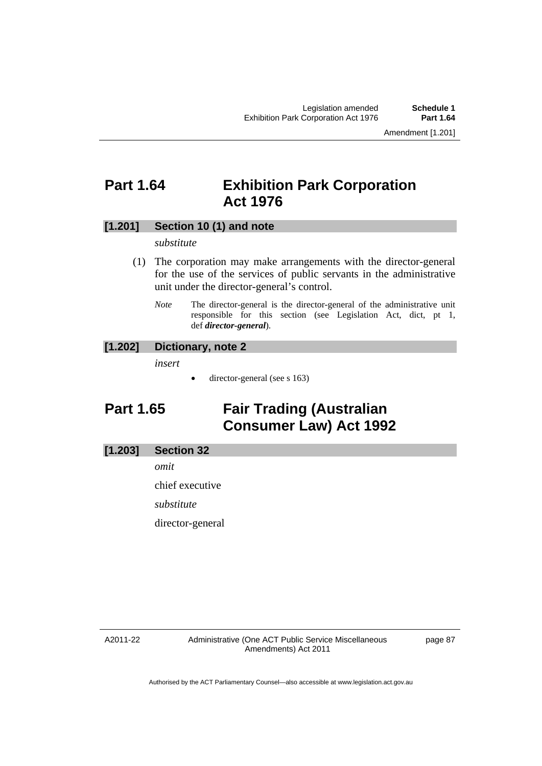# **Part 1.64 Exhibition Park Corporation Act 1976**

### **[1.201] Section 10 (1) and note**

#### *substitute*

- (1) The corporation may make arrangements with the director-general for the use of the services of public servants in the administrative unit under the director-general's control.
	- *Note* The director-general is the director-general of the administrative unit responsible for this section (see Legislation Act, dict, pt 1, def *director-general*).

#### **[1.202] Dictionary, note 2**

*insert* 

• director-general (see s 163)

# **Part 1.65 Fair Trading (Australian Consumer Law) Act 1992**

#### **[1.203] Section 32**

*omit* 

chief executive

*substitute* 

director-general

A2011-22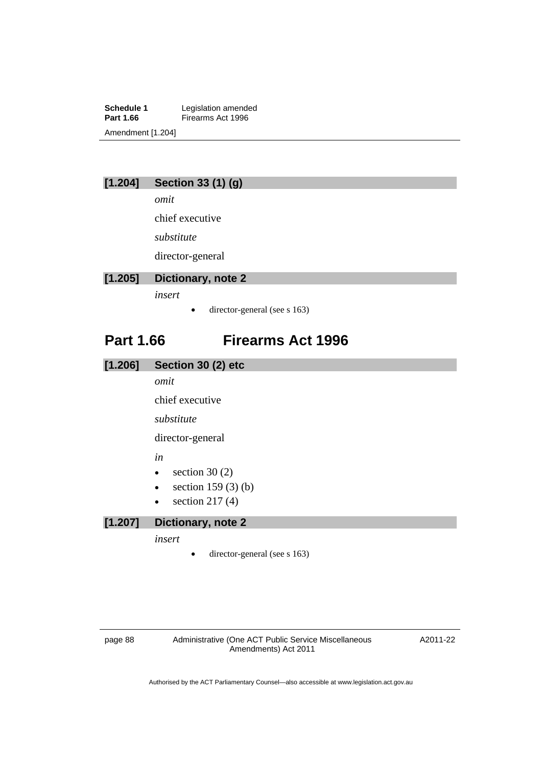**Schedule 1** Legislation amended<br>**Part 1.66** Firearms Act 1996 **Firearms Act 1996** Amendment [1.204]

# **[1.204] Section 33 (1) (g)**

*omit* 

chief executive

*substitute* 

director-general

# **[1.205] Dictionary, note 2**

*insert* 

• director-general (see s 163)

# **Part 1.66 Firearms Act 1996**

| [1.206] | Section 30 (2) etc                |  |  |
|---------|-----------------------------------|--|--|
|         | omit                              |  |  |
|         | chief executive                   |  |  |
|         | substitute                        |  |  |
|         | director-general                  |  |  |
|         | in                                |  |  |
|         | section $30(2)$<br>$\bullet$      |  |  |
|         | section $159(3)$ (b)<br>$\bullet$ |  |  |
|         | section $217(4)$<br>$\bullet$     |  |  |
| [1.207] | Dictionary, note 2                |  |  |
|         | insert                            |  |  |
|         | director-general (see s 163)      |  |  |

page 88 Administrative (One ACT Public Service Miscellaneous Amendments) Act 2011

A2011-22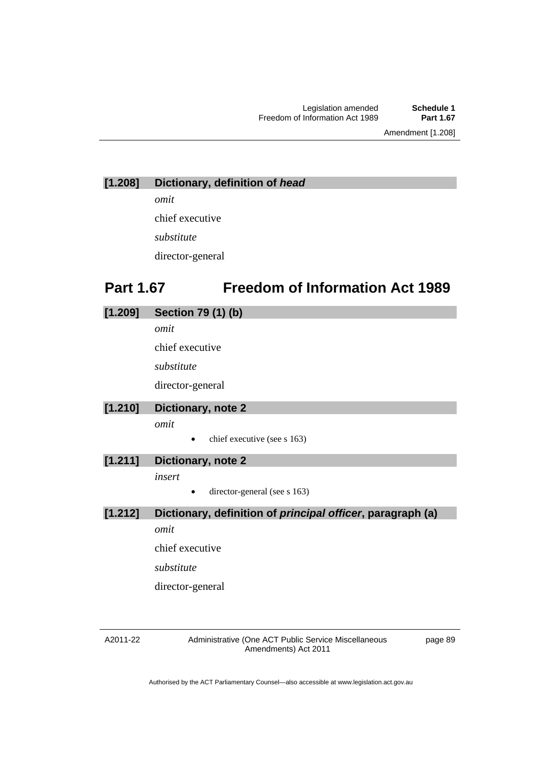Amendment [1.208]

# **[1.208] Dictionary, definition of** *head*

*omit* 

chief executive

*substitute* 

director-general

# **Part 1.67 Freedom of Information Act 1989**

| [1.209] | <b>Section 79 (1) (b)</b>                                         |  |  |
|---------|-------------------------------------------------------------------|--|--|
|         | omit                                                              |  |  |
|         | chief executive                                                   |  |  |
|         | substitute                                                        |  |  |
|         | director-general                                                  |  |  |
| [1.210] | Dictionary, note 2                                                |  |  |
|         | omit                                                              |  |  |
|         | chief executive (see s 163)<br>$\bullet$                          |  |  |
| [1.211] | Dictionary, note 2                                                |  |  |
|         | insert                                                            |  |  |
|         | director-general (see s 163)                                      |  |  |
| [1.212] | Dictionary, definition of <i>principal</i> officer, paragraph (a) |  |  |
|         | omit                                                              |  |  |
|         | chief executive                                                   |  |  |
|         | substitute                                                        |  |  |

director-general

#### A2011-22

Administrative (One ACT Public Service Miscellaneous Amendments) Act 2011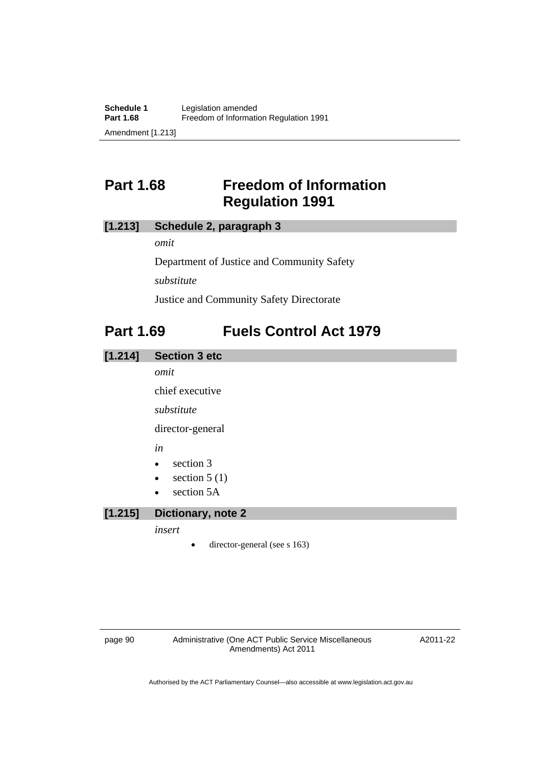# **Part 1.68 Freedom of Information Regulation 1991**

### **[1.213] Schedule 2, paragraph 3**

*omit* 

Department of Justice and Community Safety

*substitute* 

Justice and Community Safety Directorate

# **Part 1.69 Fuels Control Act 1979**

### **[1.214] Section 3 etc**

*omit* 

chief executive

*substitute* 

director-general

*in* 

- $\bullet$  section 3
- $\bullet$  section 5 (1)
- section 5A

### **[1.215] Dictionary, note 2**

#### *insert*

director-general (see s 163)

page 90 Administrative (One ACT Public Service Miscellaneous Amendments) Act 2011

A2011-22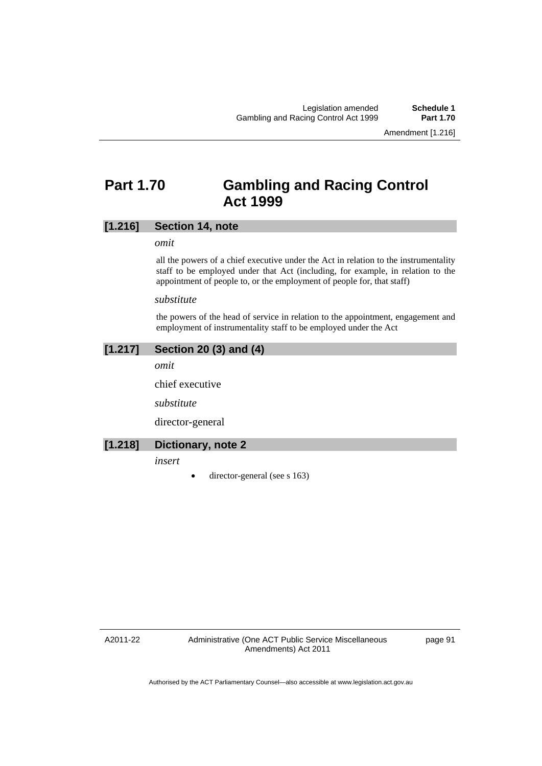Amendment [1.216]

# **Part 1.70 Gambling and Racing Control Act 1999**

### **[1.216] Section 14, note**

#### *omit*

all the powers of a chief executive under the Act in relation to the instrumentality staff to be employed under that Act (including, for example, in relation to the appointment of people to, or the employment of people for, that staff)

#### *substitute*

the powers of the head of service in relation to the appointment, engagement and employment of instrumentality staff to be employed under the Act

### **[1.217] Section 20 (3) and (4)**

*omit* 

chief executive

*substitute* 

director-general

#### **[1.218] Dictionary, note 2**

*insert* 

 $\bullet$  director-general (see s 163)

A2011-22

Administrative (One ACT Public Service Miscellaneous Amendments) Act 2011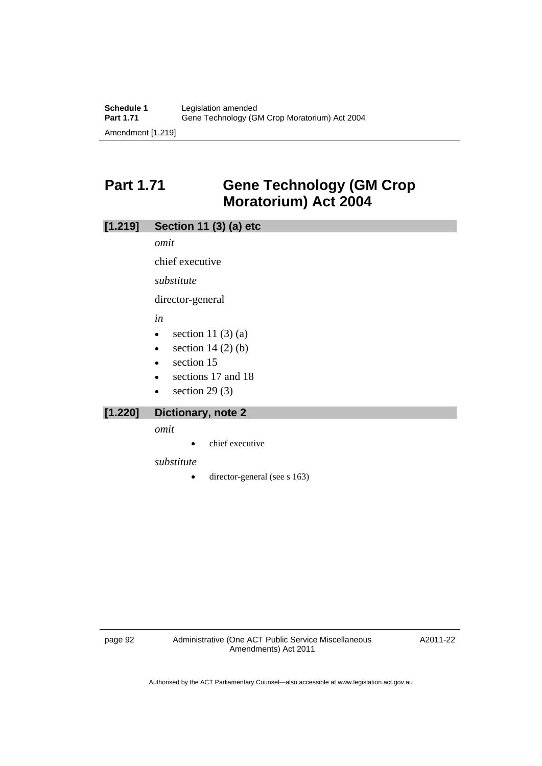# **Part 1.71 Gene Technology (GM Crop Moratorium) Act 2004**

### **[1.219] Section 11 (3) (a) etc**

*omit* 

chief executive

*substitute* 

director-general

*in* 

- $\bullet$  section 11 (3) (a)
- $\bullet$  section 14 (2) (b)
- section 15
- sections 17 and 18
- $\bullet$  section 29 (3)

### **[1.220] Dictionary, note 2**

*omit* 

• chief executive

*substitute* 

• director-general (see s 163)

A2011-22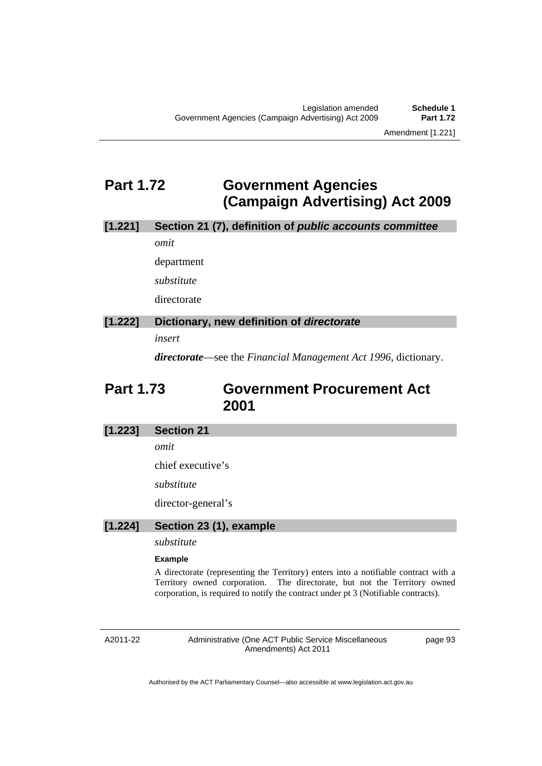# **Part 1.72 Government Agencies (Campaign Advertising) Act 2009**

# **[1.221] Section 21 (7), definition of** *public accounts committee*

*omit* 

department *substitute* 

directorate

### **[1.222] Dictionary, new definition of** *directorate*

*insert* 

*directorate*—see the *Financial Management Act 1996*, dictionary.

# **Part 1.73 Government Procurement Act 2001**

### **[1.223] Section 21**

*omit* 

chief executive's

*substitute* 

director-general's

#### **[1.224] Section 23 (1), example**

*substitute* 

#### **Example**

A directorate (representing the Territory) enters into a notifiable contract with a Territory owned corporation. The directorate, but not the Territory owned corporation, is required to notify the contract under pt 3 (Notifiable contracts).

A2011-22

Administrative (One ACT Public Service Miscellaneous Amendments) Act 2011

page 93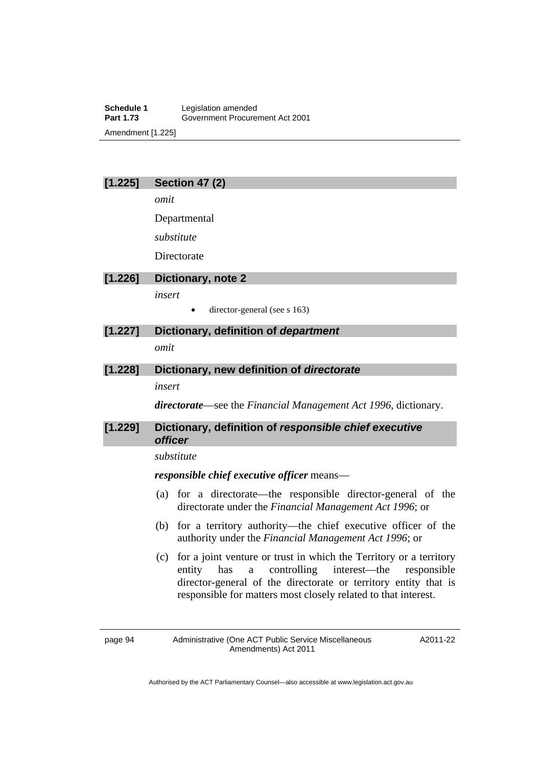**Schedule 1** Legislation amended<br> **Part 1.73** Government Procure **Part 1.73** Government Procurement Act 2001 Amendment [1.225]

### **[1.225] Section 47 (2)**

*omit* 

Departmental

*substitute* 

**Directorate** 

#### **[1.226] Dictionary, note 2**

*insert* 

director-general (see s 163)

# **[1.227] Dictionary, definition of** *department*

*omit* 

### **[1.228] Dictionary, new definition of** *directorate*

*insert* 

*directorate*––see the *Financial Management Act 1996*, dictionary.

### **[1.229] Dictionary, definition of** *responsible chief executive officer*

#### *substitute*

*responsible chief executive officer* means––

- (a) for a directorate—the responsible director-general of the directorate under the *Financial Management Act 1996*; or
- (b) for a territory authority—the chief executive officer of the authority under the *Financial Management Act 1996*; or
- (c) for a joint venture or trust in which the Territory or a territory entity has a controlling interest—the responsible director-general of the directorate or territory entity that is responsible for matters most closely related to that interest.

A2011-22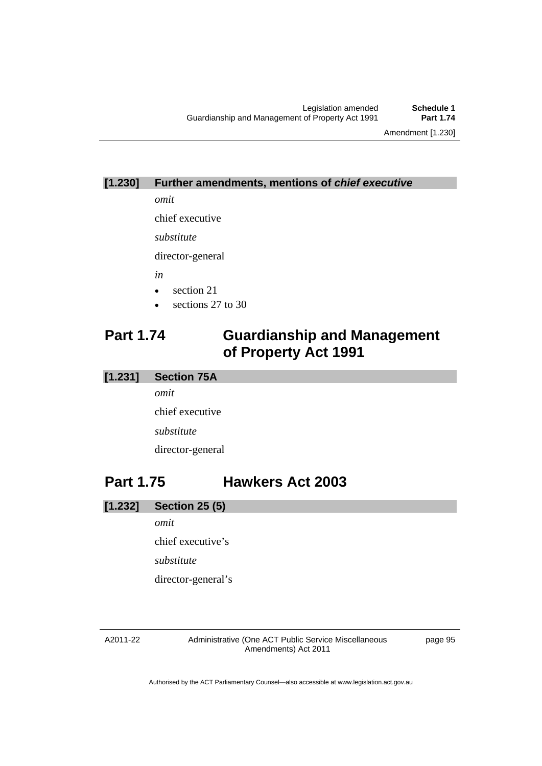Amendment [1.230]

### **[1.230] Further amendments, mentions of** *chief executive*

*omit* 

chief executive

*substitute* 

director-general

*in* 

- section 21
- sections 27 to 30

# **Part 1.74 Guardianship and Management of Property Act 1991**

### **[1.231] Section 75A**

*omit*  chief executive *substitute*  director-general

# **Part 1.75 Hawkers Act 2003**

- **[1.232] Section 25 (5)** 
	- *omit*

chief executive's *substitute* 

director-general's

#### A2011-22

Administrative (One ACT Public Service Miscellaneous Amendments) Act 2011

page 95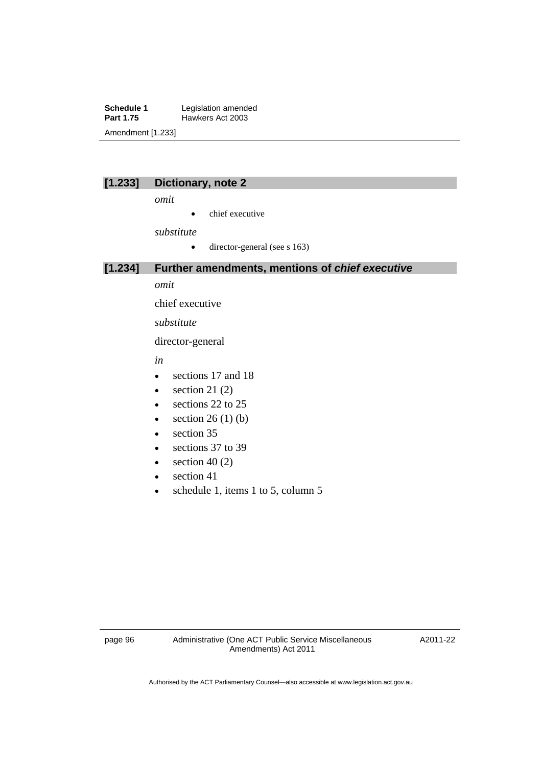**Schedule 1** Legislation amended<br> **Part 1.75** Hawkers Act 2003 **Hawkers Act 2003** Amendment [1.233]

|  | --<br>$\sim$ |
|--|--------------|
|  |              |

#### **[1.233] Dictionary, note 2**

*omit* 

• chief executive

*substitute* 

 $\bullet$  director-general (see s 163)

**[1.234] Further amendments, mentions of** *chief executive*

*omit* 

chief executive

*substitute* 

director-general

*in* 

- sections 17 and 18
- $\bullet$  section 21 (2)
- e sections 22 to 25
- $\bullet$  section 26 (1) (b)
- section 35
- e sections 37 to 39
- $\bullet$  section 40 (2)
- $\bullet$  section 41
- schedule 1, items 1 to 5, column 5

A2011-22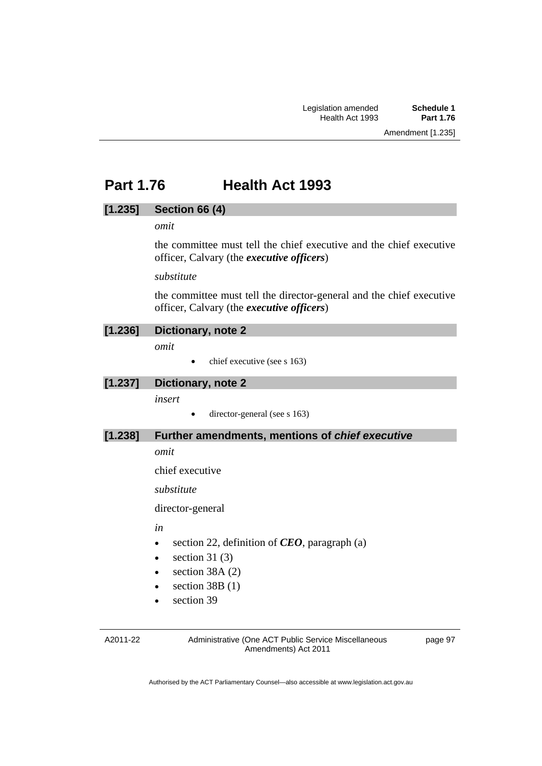# **Part 1.76 Health Act 1993**

### **[1.235] Section 66 (4)**

### *omit*

the committee must tell the chief executive and the chief executive officer, Calvary (the *executive officers*)

*substitute* 

the committee must tell the director-general and the chief executive officer, Calvary (the *executive officers*)

#### **[1.236] Dictionary, note 2**

*omit* 

 $\bullet$  chief executive (see s 163)

### **[1.237] Dictionary, note 2**

*insert* 

 $\bullet$  director-general (see s 163)

### **[1.238] Further amendments, mentions of** *chief executive*

*omit* 

chief executive

*substitute* 

director-general

*in* 

- section 22, definition of *CEO*, paragraph (a)
- $\bullet$  section 31 (3)
- section 38A (2)
- $\bullet$  section 38B (1)
- section 39

A2011-22

Administrative (One ACT Public Service Miscellaneous Amendments) Act 2011

page 97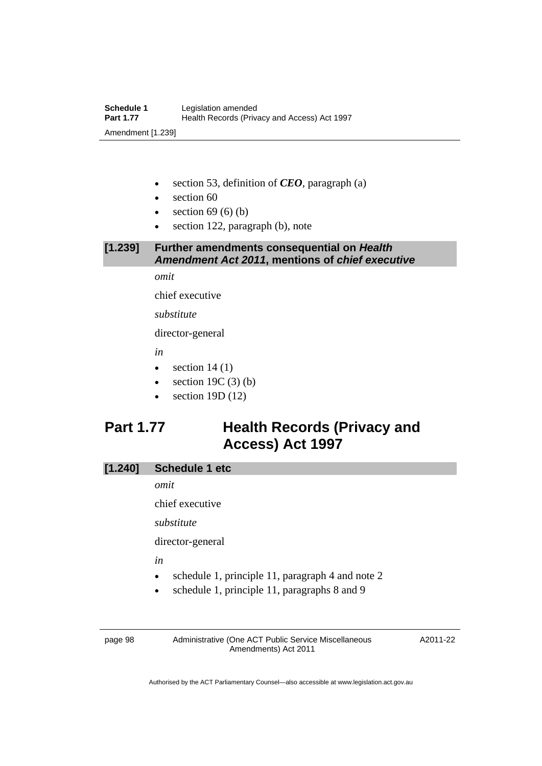- section 53, definition of *CEO*, paragraph (a)
- section 60
- $\bullet$  section 69 (6) (b)
- section 122, paragraph (b), note

# **[1.239] Further amendments consequential on** *Health Amendment Act 2011***, mentions of** *chief executive*

*omit* 

chief executive

*substitute* 

director-general

*in* 

- $\bullet$  section 14 (1)
- $\bullet$  section 19C (3) (b)
- section 19D (12)

# **Part 1.77 Health Records (Privacy and Access) Act 1997**

# **[1.240] Schedule 1 etc**

*omit* 

chief executive

*substitute* 

director-general

*in* 

- schedule 1, principle 11, paragraph 4 and note 2
- schedule 1, principle 11, paragraphs 8 and 9

page 98 Administrative (One ACT Public Service Miscellaneous Amendments) Act 2011

A2011-22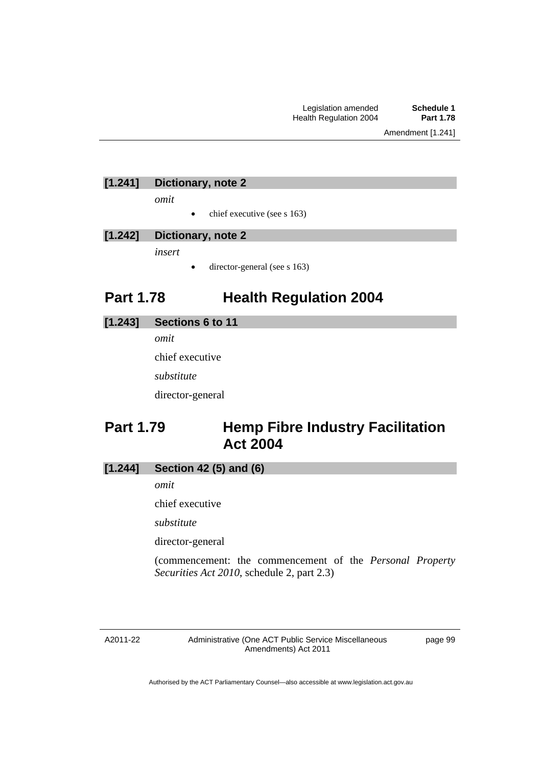### **[1.241] Dictionary, note 2**

*omit* 

 $\bullet$  chief executive (see s 163)

#### **[1.242] Dictionary, note 2**

*insert* 

director-general (see s 163)

# **Part 1.78 Health Regulation 2004**

#### **[1.243] Sections 6 to 11**

*omit* 

chief executive

*substitute* 

director-general

# **Part 1.79 Hemp Fibre Industry Facilitation Act 2004**

### **[1.244] Section 42 (5) and (6)**

*omit* 

chief executive

*substitute* 

director-general

(commencement: the commencement of the *Personal Property Securities Act 2010*, schedule 2, part 2.3)

Administrative (One ACT Public Service Miscellaneous Amendments) Act 2011

page 99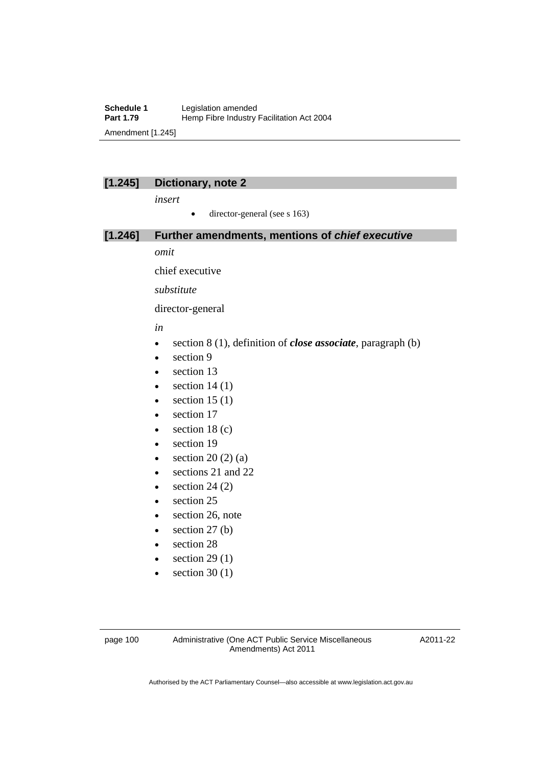#### **Schedule 1** Legislation amended<br> **Part 1.79** Hemp Fibre Industry Hemp Fibre Industry Facilitation Act 2004 Amendment [1.245]

### **[1.245] Dictionary, note 2**

*insert* 

 $\bullet$  director-general (see s 163)

#### **[1.246] Further amendments, mentions of** *chief executive*

*omit* 

chief executive

*substitute* 

director-general

*in* 

- section 8 (1), definition of *close associate*, paragraph (b)
- $\bullet$  section 9
- section 13
- $\bullet$  section 14 (1)
- $\bullet$  section 15 (1)
- section 17
- $\bullet$  section 18 (c)
- section 19
- $\bullet$  section 20 (2) (a)
- sections 21 and 22
- $\bullet$  section 24 (2)
- section 25
- section 26, note
- $\bullet$  section 27 (b)
- section 28
- $\bullet$  section 29 (1)
- $\bullet$  section 30 (1)

A2011-22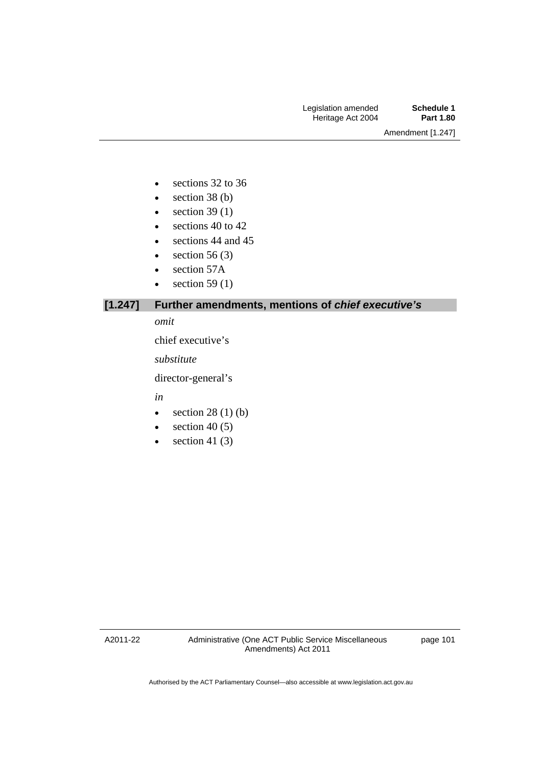- e sections 32 to 36
- $\bullet$  section 38 (b)
- $\bullet$  section 39 (1)
- e sections 40 to 42
- sections 44 and 45
- $\bullet$  section 56 (3)
- section 57A
- $\bullet$  section 59 (1)

### **[1.247] Further amendments, mentions of** *chief executive's*

#### *omit*

chief executive's

*substitute* 

director-general's

*in* 

- $\bullet$  section 28 (1) (b)
- $\bullet$  section 40 (5)
- $\bullet$  section 41 (3)

A2011-22

page 101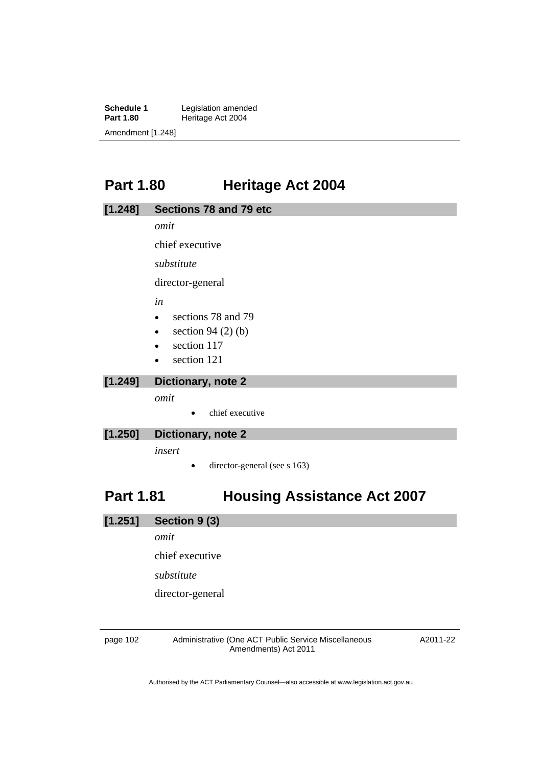**Schedule 1** Legislation amended<br> **Part 1.80** Heritage Act 2004 **Heritage Act 2004** Amendment [1.248]

# **Part 1.80 Heritage Act 2004**

| [1.248] | Sections 78 and 79 etc              |  |  |  |
|---------|-------------------------------------|--|--|--|
|         | omit                                |  |  |  |
|         | chief executive                     |  |  |  |
|         | substitute                          |  |  |  |
|         | director-general                    |  |  |  |
|         | in                                  |  |  |  |
|         | sections 78 and 79<br>$\bullet$     |  |  |  |
|         | section 94 $(2)$ $(b)$<br>$\bullet$ |  |  |  |
|         | section 117<br>$\bullet$            |  |  |  |
|         | section 121                         |  |  |  |

#### **[1.249] Dictionary, note 2**

*omit* 

• chief executive

### **[1.250] Dictionary, note 2**

*insert* 

• director-general (see s 163)

# **Part 1.81 Housing Assistance Act 2007**

**[1.251] Section 9 (3)** 

*omit* 

chief executive

*substitute* 

director-general

page 102 Administrative (One ACT Public Service Miscellaneous Amendments) Act 2011

A2011-22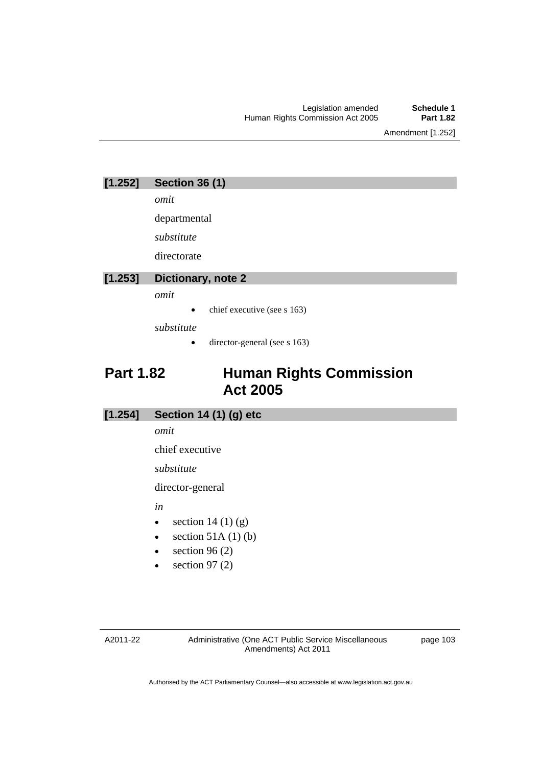Amendment [1.252]

| [1.252] | <b>Section 36 (1)</b> |
|---------|-----------------------|
|---------|-----------------------|

*omit* 

departmental

*substitute* 

directorate

### **[1.253] Dictionary, note 2**

*omit* 

chief executive (see s 163)

*substitute* 

• director-general (see s 163)

# **Part 1.82 Human Rights Commission Act 2005**

### **[1.254] Section 14 (1) (g) etc**

*omit* 

chief executive

*substitute* 

director-general

*in* 

- $\bullet$  section 14 (1) (g)
- $\bullet$  section 51A (1) (b)
- $\bullet$  section 96 (2)
- $\bullet$  section 97 (2)

A2011-22

Administrative (One ACT Public Service Miscellaneous Amendments) Act 2011

page 103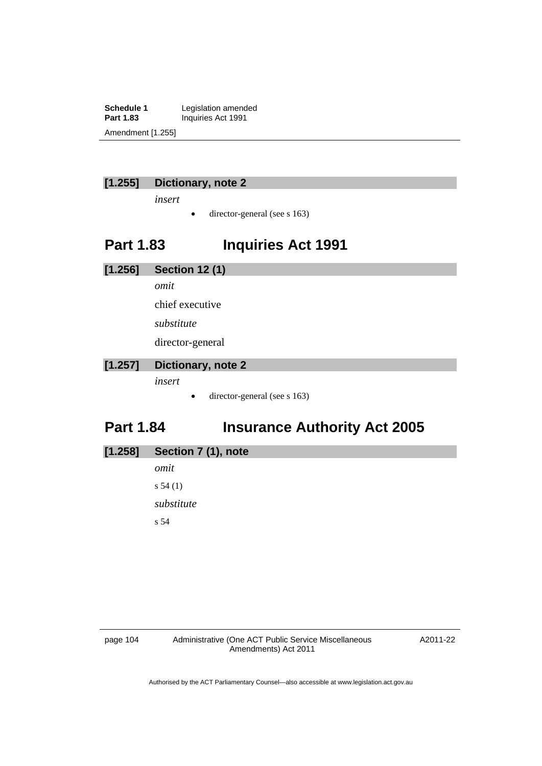**Schedule 1** Legislation amended<br> **Part 1.83** Inquiries Act 1991 **Part 1.83** Inquiries Act 1991 Amendment [1.255]

### **[1.255] Dictionary, note 2**

*insert* 

 $\bullet$  director-general (see s 163)

# **Part 1.83 Inquiries Act 1991**

**[1.256] Section 12 (1)**  *omit*  chief executive *substitute*  director-general **[1.257] Dictionary, note 2** 

*insert* 

• director-general (see s 163)

# **Part 1.84 Insurance Authority Act 2005**

| $[1.258]$ | Section 7 (1), note |  |
|-----------|---------------------|--|
|-----------|---------------------|--|

*omit*  s 54 (1) *substitute*  s 54

A2011-22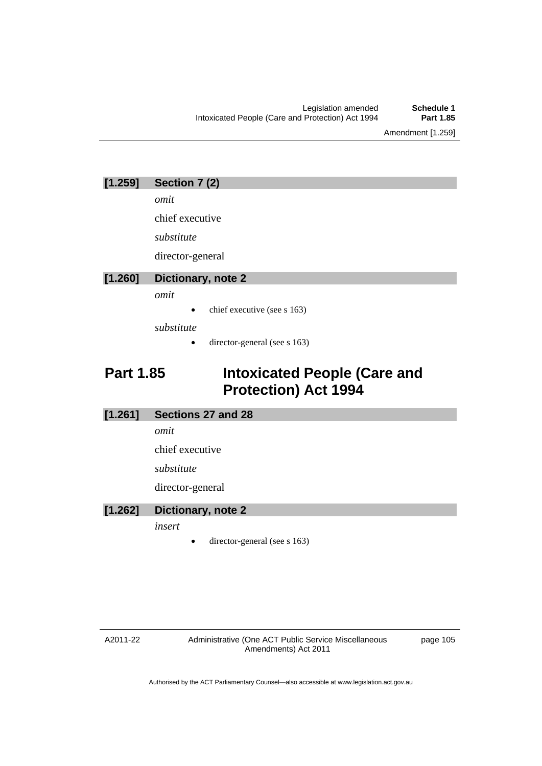Amendment [1.259]

| [1.259] | Section 7 (2) |  |
|---------|---------------|--|
|---------|---------------|--|

*omit* 

chief executive

*substitute* 

director-general

### **[1.260] Dictionary, note 2**

*omit* 

chief executive (see s 163)

*substitute* 

director-general (see s 163)

# **Part 1.85 Intoxicated People (Care and Protection) Act 1994**

#### **[1.261] Sections 27 and 28**

*omit* 

chief executive

*substitute* 

director-general

### **[1.262] Dictionary, note 2**

*insert* 

director-general (see s 163)

#### A2011-22

Administrative (One ACT Public Service Miscellaneous Amendments) Act 2011

page 105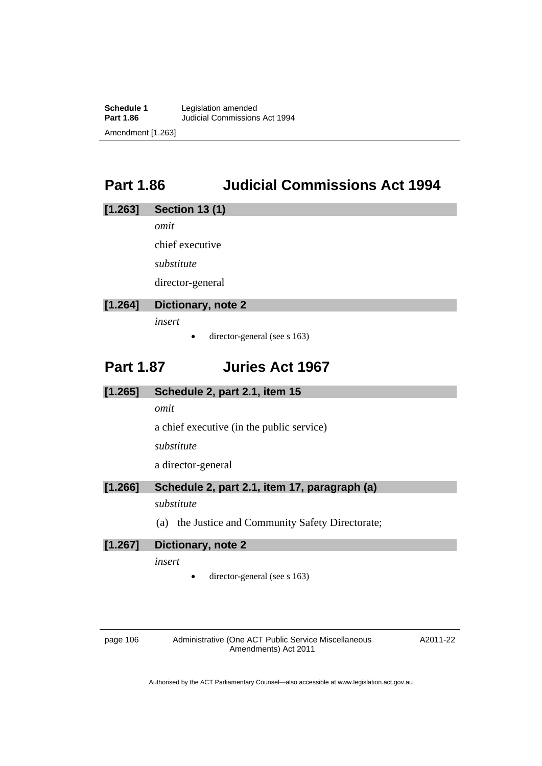**Schedule 1** Legislation amended<br> **Part 1.86** Judicial Commissions **Part 1.86** Judicial Commissions Act 1994 Amendment [1.263]

# **Part 1.86 Judicial Commissions Act 1994**

#### **[1.263] Section 13 (1)**

*omit* 

chief executive

*substitute* 

director-general

### **[1.264] Dictionary, note 2**

*insert* 

 $\bullet$  director-general (see s 163)

### **Part 1.87 Juries Act 1967**

### **[1.265] Schedule 2, part 2.1, item 15**

*omit* 

a chief executive (in the public service)

*substitute* 

a director-general

**[1.266] Schedule 2, part 2.1, item 17, paragraph (a)** 

#### *substitute*

(a) the Justice and Community Safety Directorate;

**[1.267] Dictionary, note 2** 

*insert* 

director-general (see s 163)

page 106 Administrative (One ACT Public Service Miscellaneous Amendments) Act 2011

A2011-22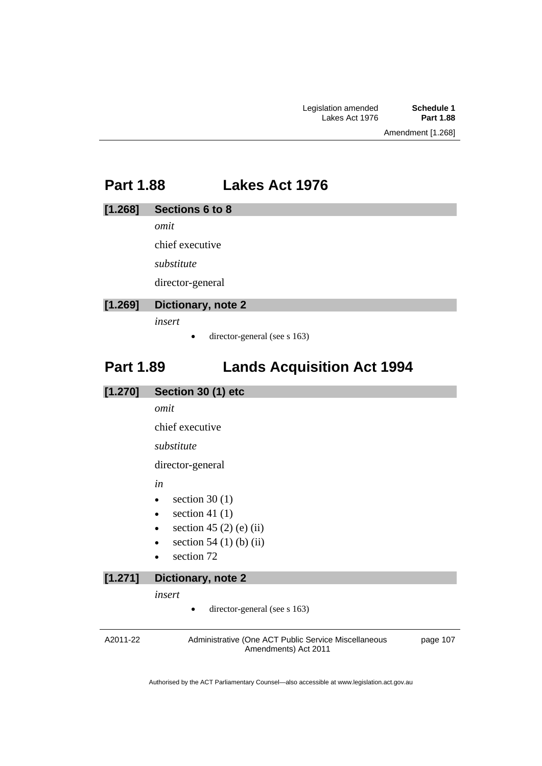Amendment [1.268]

### **Part 1.88 Lakes Act 1976**

#### **[1.268] Sections 6 to 8**

*omit* 

chief executive

*substitute* 

director-general

### **[1.269] Dictionary, note 2**

*insert* 

 $\bullet$  director-general (see s 163)

# **Part 1.89 Lands Acquisition Act 1994**

#### **[1.270] Section 30 (1) etc**

*omit* 

chief executive

*substitute* 

director-general

*in* 

- $\bullet$  section 30 (1)
- $\bullet$  section 41 (1)
- $\bullet$  section 45 (2) (e) (ii)
- $\bullet$  section 54 (1) (b) (ii)
- section 72

#### **[1.271] Dictionary, note 2**

*insert* 

director-general (see s 163)

A2011-22 Administrative (One ACT Public Service Miscellaneous Amendments) Act 2011 page 107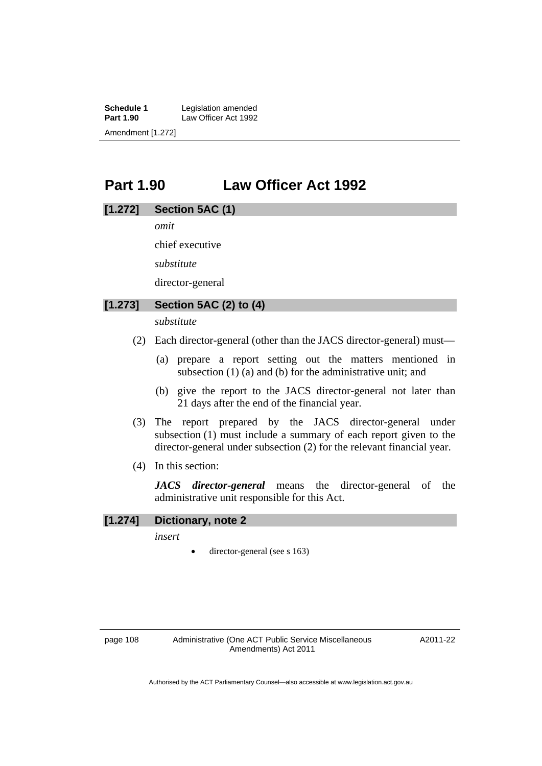**Schedule 1** Legislation amended<br> **Part 1.90** Law Officer Act 1992 Law Officer Act 1992 Amendment [1.272]

# **Part 1.90 Law Officer Act 1992**

### **[1.272] Section 5AC (1)**

*omit* 

chief executive

*substitute* 

director-general

### **[1.273] Section 5AC (2) to (4)**

*substitute* 

- (2) Each director-general (other than the JACS director-general) must—
	- (a) prepare a report setting out the matters mentioned in subsection (1) (a) and (b) for the administrative unit; and
	- (b) give the report to the JACS director-general not later than 21 days after the end of the financial year.
- (3) The report prepared by the JACS director-general under subsection (1) must include a summary of each report given to the director-general under subsection (2) for the relevant financial year.
- (4) In this section:

*JACS director-general* means the director-general of the administrative unit responsible for this Act.

#### **[1.274] Dictionary, note 2**

*insert* 

director-general (see s 163)

A2011-22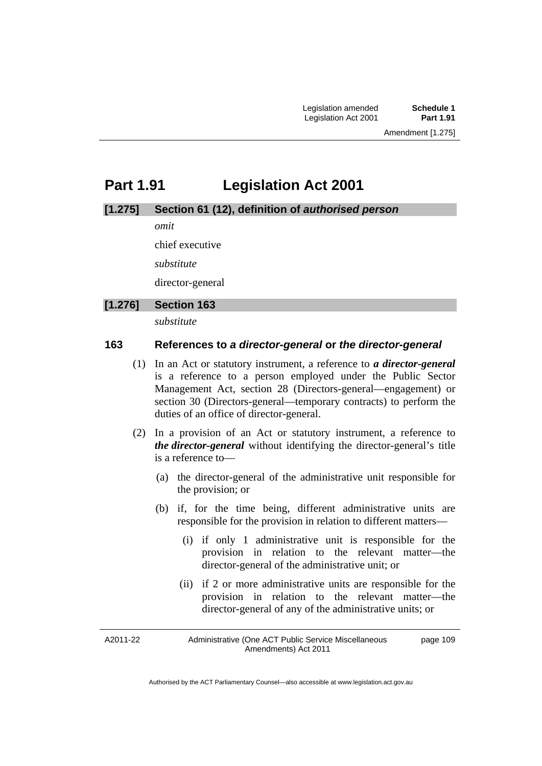# **Part 1.91 Legislation Act 2001**

#### **[1.275] Section 61 (12), definition of** *authorised person*

*omit* 

chief executive

*substitute* 

director-general

#### **[1.276] Section 163**

*substitute* 

#### **163 References to** *a director-general* **or** *the director-general*

- (1) In an Act or statutory instrument, a reference to *a director-general* is a reference to a person employed under the Public Sector Management Act, section 28 (Directors-general—engagement) or section 30 (Directors-general—temporary contracts) to perform the duties of an office of director-general.
- (2) In a provision of an Act or statutory instrument, a reference to *the director-general* without identifying the director-general's title is a reference to—
	- (a) the director-general of the administrative unit responsible for the provision; or
	- (b) if, for the time being, different administrative units are responsible for the provision in relation to different matters—
		- (i) if only 1 administrative unit is responsible for the provision in relation to the relevant matter—the director-general of the administrative unit; or
		- (ii) if 2 or more administrative units are responsible for the provision in relation to the relevant matter—the director-general of any of the administrative units; or

A2011-22

Administrative (One ACT Public Service Miscellaneous Amendments) Act 2011 page 109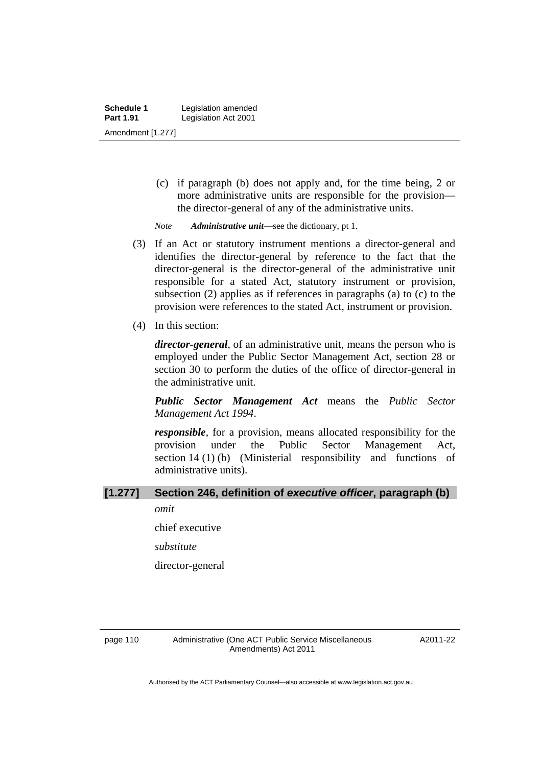(c) if paragraph (b) does not apply and, for the time being, 2 or more administrative units are responsible for the provision the director-general of any of the administrative units.

*Note Administrative unit*—see the dictionary, pt 1.

- (3) If an Act or statutory instrument mentions a director-general and identifies the director-general by reference to the fact that the director-general is the director-general of the administrative unit responsible for a stated Act, statutory instrument or provision, subsection (2) applies as if references in paragraphs (a) to (c) to the provision were references to the stated Act, instrument or provision.
- (4) In this section:

*director-general*, of an administrative unit, means the person who is employed under the Public Sector Management Act, section 28 or section 30 to perform the duties of the office of director-general in the administrative unit.

*Public Sector Management Act* means the *Public Sector Management Act 1994*.

*responsible*, for a provision, means allocated responsibility for the provision under the Public Sector Management Act, section 14 (1) (b) (Ministerial responsibility and functions of administrative units).

# **[1.277] Section 246, definition of** *executive officer***, paragraph (b)**

*omit* 

chief executive

*substitute* 

director-general

A2011-22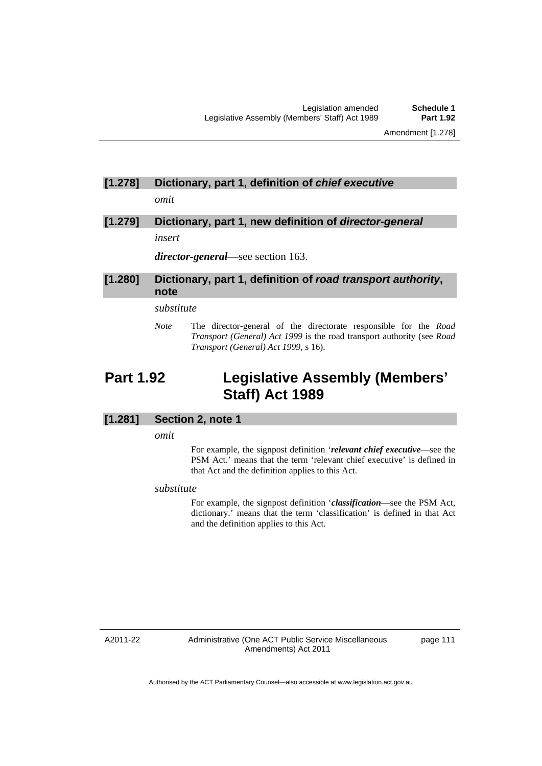# **[1.278] Dictionary, part 1, definition of** *chief executive*

*omit* 

# **[1.279] Dictionary, part 1, new definition of** *director-general*

*insert* 

*director-general*—see section 163.

#### **[1.280] Dictionary, part 1, definition of** *road transport authority***, note**

#### *substitute*

*Note* The director-general of the directorate responsible for the *Road Transport (General) Act 1999* is the road transport authority (see *Road Transport (General) Act 1999*, s 16).

# **Part 1.92 Legislative Assembly (Members' Staff) Act 1989**

#### **[1.281] Section 2, note 1**

*omit* 

For example, the signpost definition '*relevant chief executive*—see the PSM Act.' means that the term 'relevant chief executive' is defined in that Act and the definition applies to this Act.

#### *substitute*

For example, the signpost definition '*classification*—see the PSM Act, dictionary.' means that the term 'classification' is defined in that Act and the definition applies to this Act.

A2011-22

Administrative (One ACT Public Service Miscellaneous Amendments) Act 2011

page 111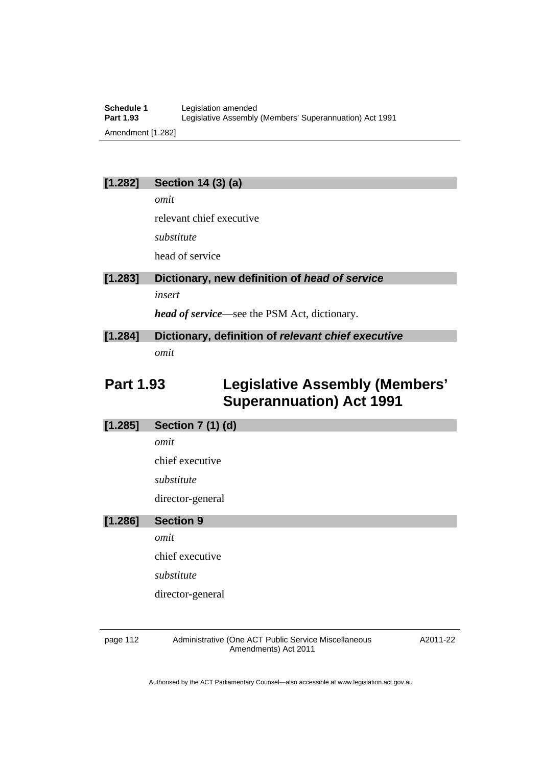### **[1.282] Section 14 (3) (a)**

*omit* 

relevant chief executive

*substitute* 

head of service

### **[1.283] Dictionary, new definition of** *head of service insert*

*head of service*—see the PSM Act, dictionary.

### **[1.284] Dictionary, definition of** *relevant chief executive omit*

# **Part 1.93 Legislative Assembly (Members' Superannuation) Act 1991**

### **[1.285] Section 7 (1) (d)**

*omit* 

chief executive

*substitute* 

director-general

### **[1.286] Section 9**

*omit* 

chief executive

*substitute* 

director-general

page 112 Administrative (One ACT Public Service Miscellaneous Amendments) Act 2011

A2011-22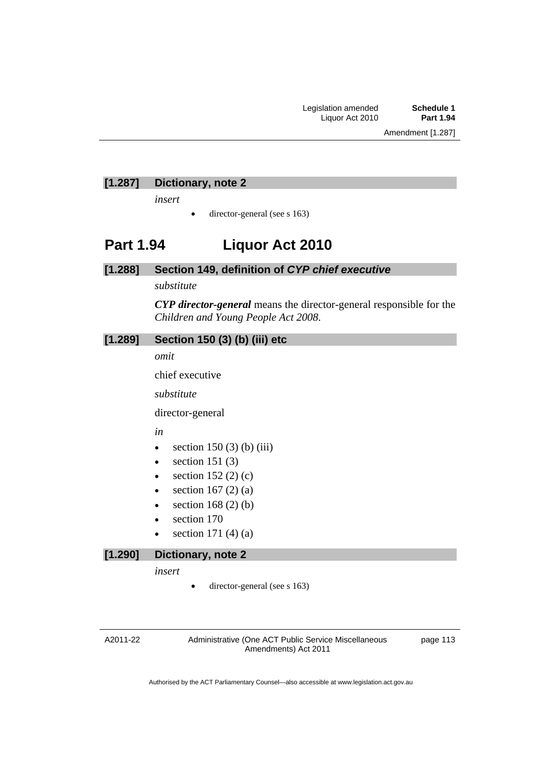### **[1.287] Dictionary, note 2**

*insert* 

 $\bullet$  director-general (see s 163)

### **Part 1.94 Liquor Act 2010**

#### **[1.288] Section 149, definition of** *CYP chief executive*

*substitute* 

*CYP director-general* means the director-general responsible for the *Children and Young People Act 2008*.

#### **[1.289] Section 150 (3) (b) (iii) etc**

*omit* 

chief executive

*substitute* 

director-general

*in* 

- $\bullet$  section 150 (3) (b) (iii)
- $\bullet$  section 151 (3)
- $\bullet$  section 152 (2) (c)
- $\bullet$  section 167 (2) (a)
- $\bullet$  section 168 (2) (b)
- section 170
- section 171 (4) (a)

### **[1.290] Dictionary, note 2**

*insert* 

director-general (see s 163)

A2011-22

Administrative (One ACT Public Service Miscellaneous Amendments) Act 2011

page 113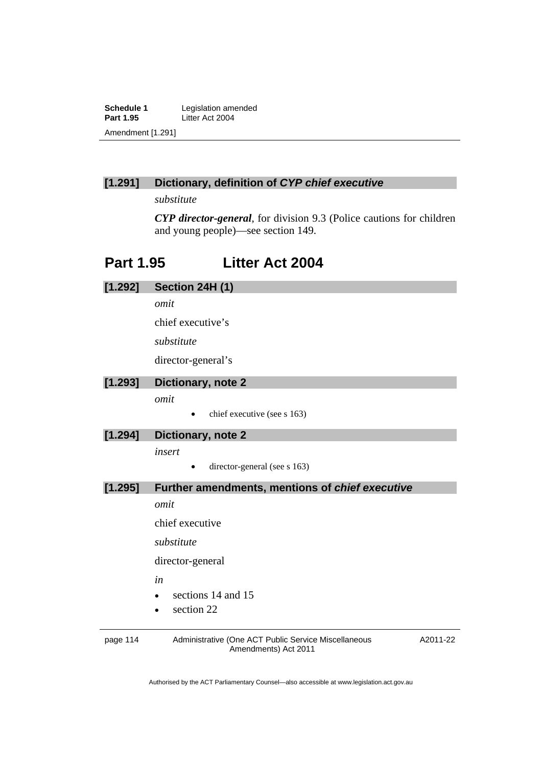**Schedule 1** Legislation amended<br>**Part 1.95** Litter Act 2004 Litter Act 2004 Amendment [1.291]

### **[1.291] Dictionary, definition of** *CYP chief executive*

*substitute* 

*CYP director-general*, for division 9.3 (Police cautions for children and young people)—see section 149.

# **Part 1.95 Litter Act 2004**

| [1.292]  | Section 24H (1)                                                              |          |  |  |
|----------|------------------------------------------------------------------------------|----------|--|--|
|          | omit                                                                         |          |  |  |
|          | chief executive's                                                            |          |  |  |
|          | substitute                                                                   |          |  |  |
|          | director-general's                                                           |          |  |  |
| [1.293]  | Dictionary, note 2                                                           |          |  |  |
|          | omit                                                                         |          |  |  |
|          | chief executive (see s 163)<br>٠                                             |          |  |  |
| [1.294]  | Dictionary, note 2                                                           |          |  |  |
|          | insert                                                                       |          |  |  |
|          | director-general (see s 163)                                                 |          |  |  |
| [1.295]  | Further amendments, mentions of chief executive                              |          |  |  |
|          | omit                                                                         |          |  |  |
|          | chief executive                                                              |          |  |  |
|          | substitute                                                                   |          |  |  |
|          | director-general                                                             |          |  |  |
|          | in                                                                           |          |  |  |
|          | sections 14 and 15                                                           |          |  |  |
|          | section 22                                                                   |          |  |  |
| page 114 | Administrative (One ACT Public Service Miscellaneous<br>Amendments) Act 2011 | A2011-22 |  |  |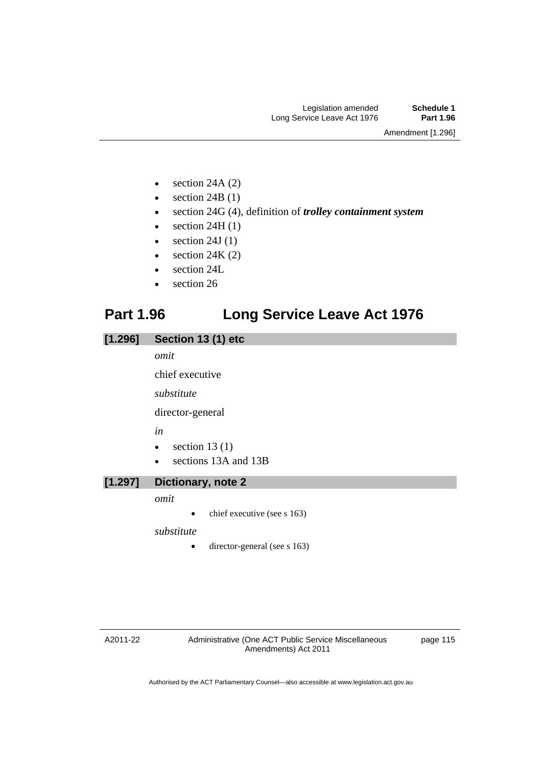Amendment [1.296]

- $\bullet$  section 24A (2)
- $\bullet$  section 24B (1)
- section 24G (4), definition of *trolley containment system*
- $\bullet$  section 24H (1)
- $\bullet$  section 24J (1)
- $\bullet$  section 24K (2)
- section 24L
- section 26

# **Part 1.96 Long Service Leave Act 1976**

### **[1.296] Section 13 (1) etc**

*omit* 

chief executive

*substitute* 

director-general

*in* 

- $\bullet$  section 13 (1)
- sections 13A and 13B

#### **[1.297] Dictionary, note 2**

*omit* 

chief executive (see s 163)

*substitute* 

 $\bullet$  director-general (see s 163)

A2011-22

Administrative (One ACT Public Service Miscellaneous Amendments) Act 2011

page 115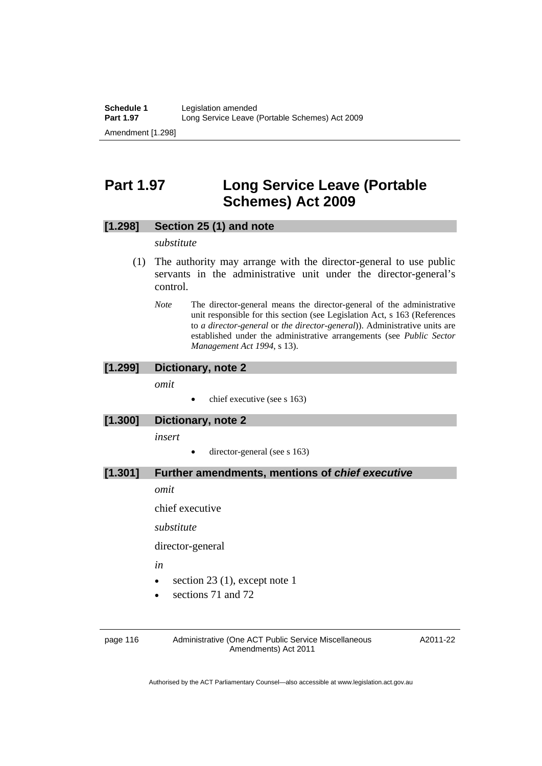# **Part 1.97 Long Service Leave (Portable Schemes) Act 2009**

#### **[1.298] Section 25 (1) and note**

#### *substitute*

- (1) The authority may arrange with the director-general to use public servants in the administrative unit under the director-general's control.
	- *Note* The director-general means the director-general of the administrative unit responsible for this section (see Legislation Act, s 163 (References to *a director-general* or *the director-general*)). Administrative units are established under the administrative arrangements (see *Public Sector Management Act 1994*, s 13).

#### **[1.299] Dictionary, note 2**

*omit* 

chief executive (see s 163)

#### **[1.300] Dictionary, note 2**

*insert* 

director-general (see s 163)

#### **[1.301] Further amendments, mentions of** *chief executive*

*omit* 

chief executive

*substitute* 

director-general

*in* 

- $\bullet$  section 23 (1), except note 1
- sections 71 and 72

page 116 Administrative (One ACT Public Service Miscellaneous Amendments) Act 2011

A2011-22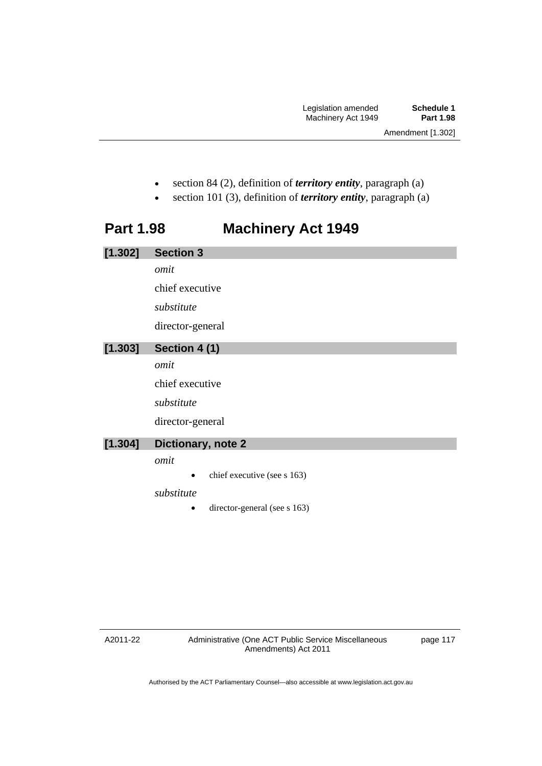- section 84 (2), definition of *territory entity*, paragraph (a)
- section 101 (3), definition of *territory entity*, paragraph (a)

# **Part 1.98 Machinery Act 1949**

| [1.302] | <b>Section 3</b>             |
|---------|------------------------------|
|         | omit                         |
|         | chief executive              |
|         | substitute                   |
|         | director-general             |
| [1.303] | Section 4 (1)                |
|         | omit                         |
|         | chief executive              |
|         | substitute                   |
|         | director-general             |
| [1.304] | Dictionary, note 2           |
|         | omit                         |
|         | chief executive (see s 163)  |
|         | substitute                   |
|         | director-general (see s 163) |

A2011-22

page 117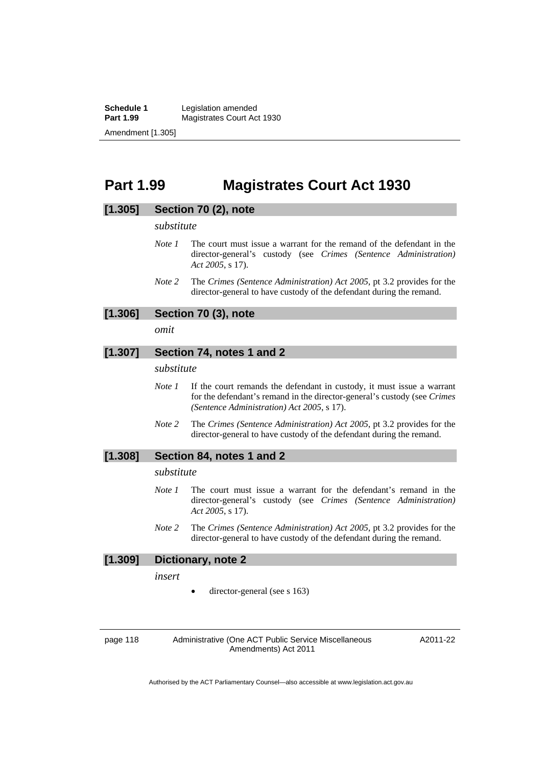**Schedule 1** Legislation amended<br> **Part 1.99** Magistrates Court Ac **Magistrates Court Act 1930** Amendment [1.305]

### **Part 1.99 Magistrates Court Act 1930**

#### **[1.305] Section 70 (2), note**

#### *substitute*

- *Note 1* The court must issue a warrant for the remand of the defendant in the director-general's custody (see *Crimes (Sentence Administration) Act 2005*, s 17).
- *Note 2* The *Crimes (Sentence Administration) Act 2005*, pt 3.2 provides for the director-general to have custody of the defendant during the remand.

### **[1.306] Section 70 (3), note**

*omit* 

#### **[1.307] Section 74, notes 1 and 2**

*substitute* 

- *Note 1* If the court remands the defendant in custody, it must issue a warrant for the defendant's remand in the director-general's custody (see *Crimes (Sentence Administration) Act 2005*, s 17).
- *Note 2* The *Crimes (Sentence Administration) Act 2005*, pt 3.2 provides for the director-general to have custody of the defendant during the remand.

#### **[1.308] Section 84, notes 1 and 2**

#### *substitute*

- *Note 1* The court must issue a warrant for the defendant's remand in the director-general's custody (see *Crimes (Sentence Administration) Act 2005*, s 17).
- *Note 2* The *Crimes (Sentence Administration) Act 2005*, pt 3.2 provides for the director-general to have custody of the defendant during the remand.

#### **[1.309] Dictionary, note 2**

*insert* 

director-general (see s 163)

page 118 Administrative (One ACT Public Service Miscellaneous Amendments) Act 2011

A2011-22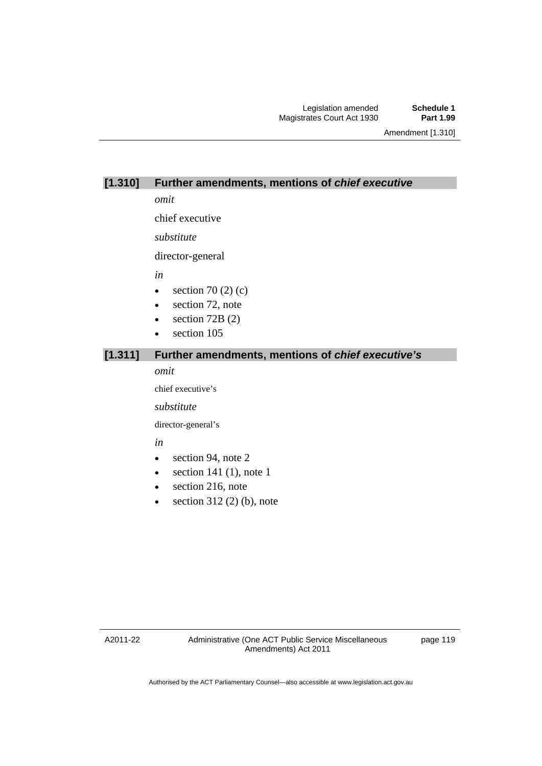Amendment [1.310]

#### **[1.310] Further amendments, mentions of** *chief executive*

*omit* 

chief executive

*substitute* 

director-general

*in* 

- $\bullet$  section 70 (2) (c)
- section 72, note
- $\bullet$  section 72B (2)
- section 105

### **[1.311] Further amendments, mentions of** *chief executive's*

*omit* 

chief executive's

*substitute* 

director-general's

*in* 

- section 94, note 2
- $\bullet$  section 141 (1), note 1
- section 216, note
- $\bullet$  section 312 (2) (b), note

A2011-22

page 119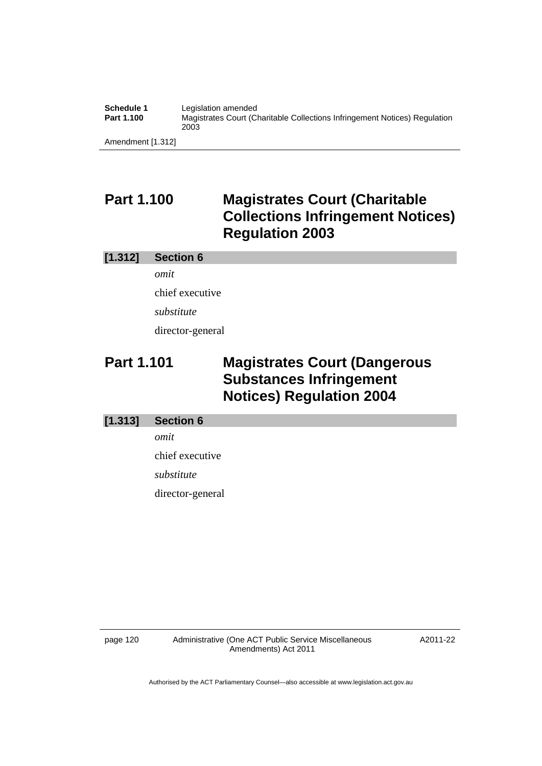| Schedule 1        | Legislation amended                                                                |
|-------------------|------------------------------------------------------------------------------------|
| Part 1.100        | Magistrates Court (Charitable Collections Infringement Notices) Regulation<br>2003 |
| Amendment [1.312] |                                                                                    |

**Part 1.100 Magistrates Court (Charitable Collections Infringement Notices) Regulation 2003** 

#### **[1.312] Section 6**

*omit*  chief executive *substitute*  director-general

# **Part 1.101 Magistrates Court (Dangerous Substances Infringement Notices) Regulation 2004**

#### **[1.313] Section 6**

*omit* 

chief executive

*substitute* 

director-general

page 120 Administrative (One ACT Public Service Miscellaneous Amendments) Act 2011

A2011-22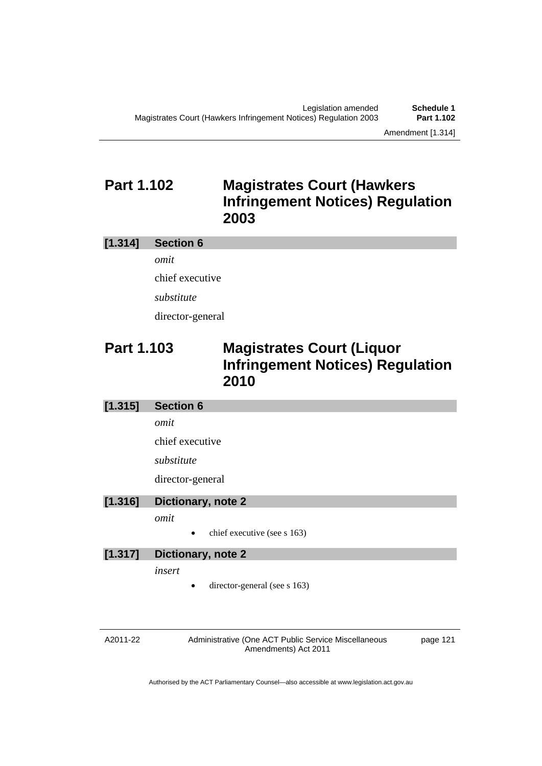# **Part 1.102 Magistrates Court (Hawkers Infringement Notices) Regulation 2003**

### **[1.314] Section 6**  *omit*

chief executive *substitute*  director-general

# **Part 1.103 Magistrates Court (Liquor Infringement Notices) Regulation 2010**

### **[1.315] Section 6**

*omit* 

chief executive

*substitute* 

director-general

### **[1.316] Dictionary, note 2**

*omit* 

chief executive (see s 163)

#### **[1.317] Dictionary, note 2**

*insert* 

director-general (see s 163)

A2011-22

Administrative (One ACT Public Service Miscellaneous Amendments) Act 2011

page 121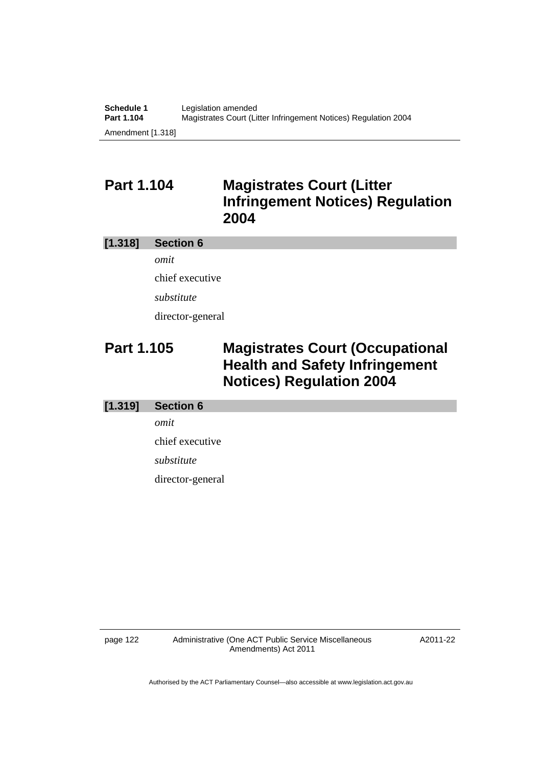# **Part 1.104 Magistrates Court (Litter Infringement Notices) Regulation 2004**

#### **[1.318] Section 6**

*omit*  chief executive *substitute*  director-general

# **Part 1.105 Magistrates Court (Occupational Health and Safety Infringement Notices) Regulation 2004**

### **[1.319] Section 6**

*omit* 

chief executive

*substitute* 

director-general

page 122 Administrative (One ACT Public Service Miscellaneous Amendments) Act 2011

A2011-22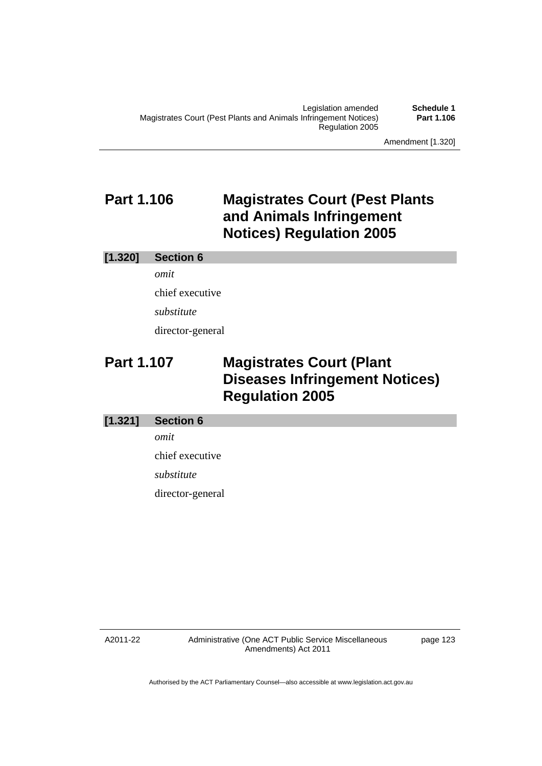**Part 1.106**

Amendment [1.320]

# **Part 1.106 Magistrates Court (Pest Plants and Animals Infringement Notices) Regulation 2005**

#### **[1.320] Section 6**

*omit*  chief executive *substitute*  director-general

# **Part 1.107 Magistrates Court (Plant Diseases Infringement Notices) Regulation 2005**

#### **[1.321] Section 6**

*omit* 

chief executive

*substitute* 

director-general

A2011-22

Administrative (One ACT Public Service Miscellaneous Amendments) Act 2011

page 123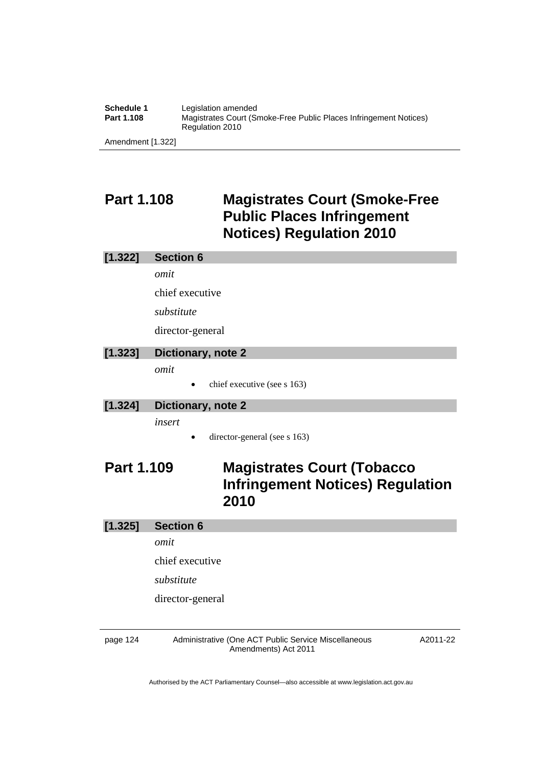| Schedule 1 | Legislation amended                                                                  |
|------------|--------------------------------------------------------------------------------------|
| Part 1.108 | Magistrates Court (Smoke-Free Public Places Infringement Notices)<br>Regulation 2010 |

Amendment [1.322]

# **Part 1.108 Magistrates Court (Smoke-Free Public Places Infringement Notices) Regulation 2010**

#### **[1.322] Section 6**

*omit* 

chief executive

*substitute* 

director-general

### **[1.323] Dictionary, note 2**

*omit* 

 $\bullet$  chief executive (see s 163)

### **[1.324] Dictionary, note 2**

*insert* 

• director-general (see s 163)

# **Part 1.109 Magistrates Court (Tobacco Infringement Notices) Regulation 2010**

#### **[1.325] Section 6**

*omit* 

chief executive

*substitute* 

director-general

page 124 Administrative (One ACT Public Service Miscellaneous Amendments) Act 2011

A2011-22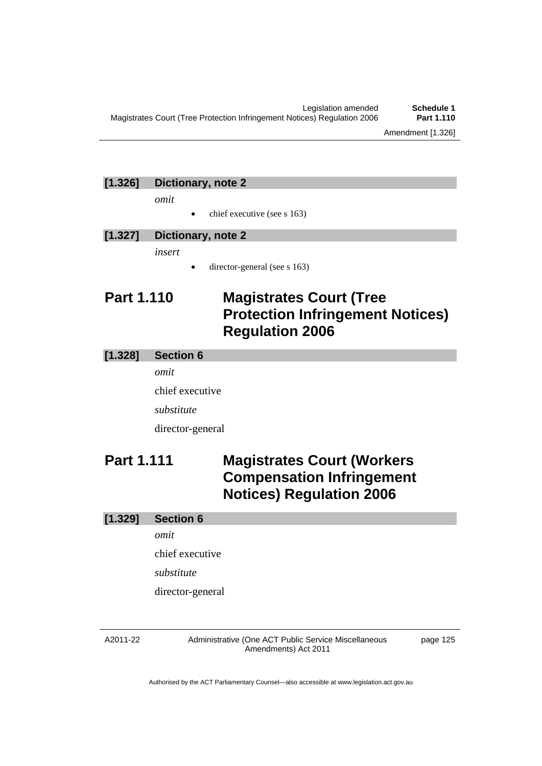### **[1.326] Dictionary, note 2**

*omit* 

chief executive (see s 163)

| [1.327] Dictionary, note 2 |
|----------------------------|
| insert                     |

director-general (see s 163)

# **Part 1.110 Magistrates Court (Tree Protection Infringement Notices) Regulation 2006**

#### **[1.328] Section 6**

*omit* 

chief executive

*substitute* 

director-general

# **Part 1.111 Magistrates Court (Workers Compensation Infringement Notices) Regulation 2006**

### **[1.329] Section 6**

*omit* 

chief executive

*substitute* 

director-general

#### A2011-22

Administrative (One ACT Public Service Miscellaneous Amendments) Act 2011

page 125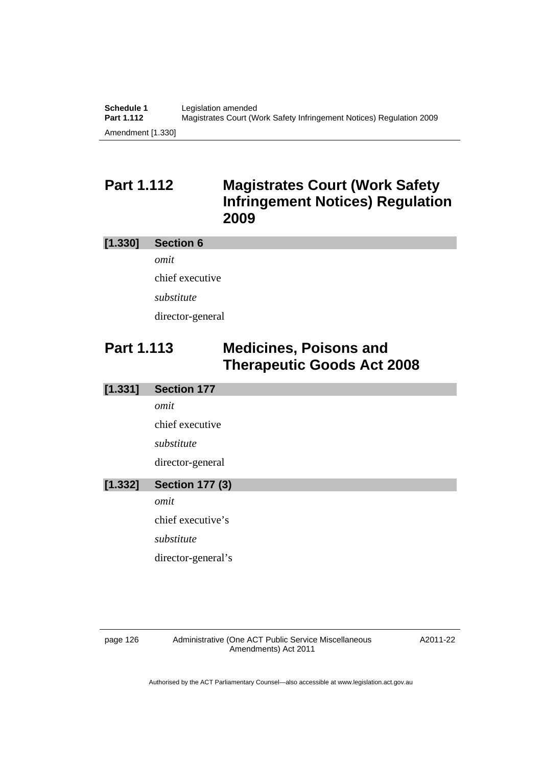# **Part 1.112 Magistrates Court (Work Safety Infringement Notices) Regulation 2009**

#### **[1.330] Section 6**

*omit*  chief executive *substitute*  director-general

# **Part 1.113 Medicines, Poisons and Therapeutic Goods Act 2008**

### **[1.331] Section 177**  *omit*

chief executive *substitute*  director-general

### **[1.332] Section 177 (3)**

*omit* 

chief executive's

*substitute* 

director-general's

page 126 Administrative (One ACT Public Service Miscellaneous Amendments) Act 2011

A2011-22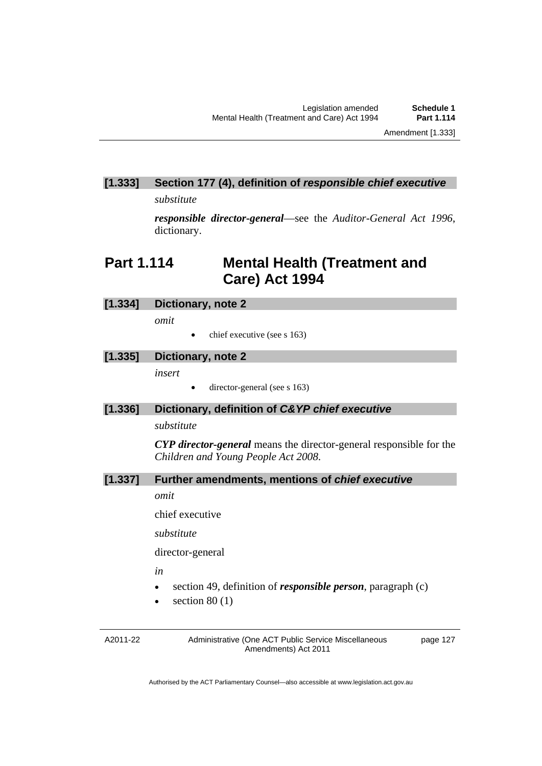### **[1.333] Section 177 (4), definition of** *responsible chief executive*

*substitute* 

*responsible director-general*—see the *Auditor-General Act 1996*, dictionary.

# **Part 1.114 Mental Health (Treatment and Care) Act 1994**

#### **[1.334] Dictionary, note 2**

*omit* 

 $\bullet$  chief executive (see s 163)

#### **[1.335] Dictionary, note 2**

*insert* 

director-general (see s 163)

#### **[1.336] Dictionary, definition of** *C&YP chief executive*

#### *substitute*

*CYP director-general* means the director-general responsible for the *Children and Young People Act 2008*.

#### **[1.337] Further amendments, mentions of** *chief executive*

*omit* 

chief executive

*substitute* 

director-general

*in* 

- section 49, definition of *responsible person*, paragraph (c)
- $\bullet$  section 80 (1)

A2011-22

Administrative (One ACT Public Service Miscellaneous Amendments) Act 2011

page 127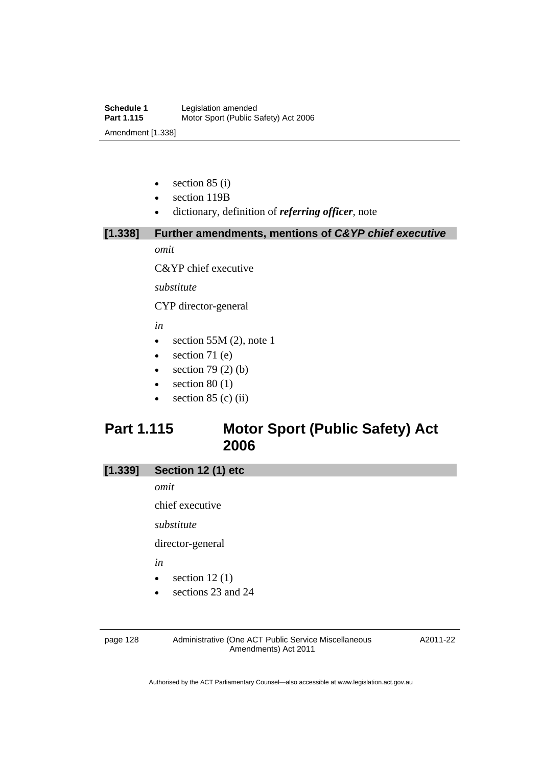- $\bullet$  section 85 (i)
- section 119B
- dictionary, definition of *referring officer*, note

**[1.338] Further amendments, mentions of** *C&YP chief executive*

*omit* 

C&YP chief executive

*substitute* 

CYP director-general

*in* 

- $\bullet$  section 55M (2), note 1
- $\bullet$  section 71 (e)
- $\bullet$  section 79 (2) (b)
- $\bullet$  section 80 (1)
- $\bullet$  section 85 (c) (ii)

# **Part 1.115 Motor Sport (Public Safety) Act 2006**

| [1.339] | Section 12 (1) etc |  |  |
|---------|--------------------|--|--|
|         |                    |  |  |

*omit* 

chief executive

*substitute* 

director-general

*in* 

- $\bullet$  section 12(1)
- sections 23 and 24

page 128 Administrative (One ACT Public Service Miscellaneous Amendments) Act 2011

A2011-22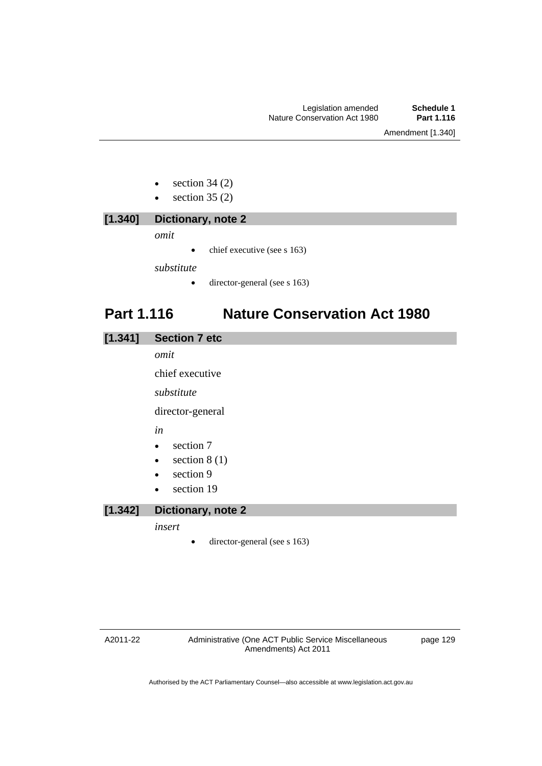- $\bullet$  section 34 (2)
- $\bullet$  section 35 (2)

| [1.340] | Dictionary, note 2                        |
|---------|-------------------------------------------|
|         | omit                                      |
|         | chief executive (see s 163)<br>$\bullet$  |
|         | substitute                                |
|         | director-general (see s 163)<br>$\bullet$ |
|         |                                           |

# **Part 1.116 Nature Conservation Act 1980**

| [1.341] | <b>Section 7 etc</b> |  |
|---------|----------------------|--|
|---------|----------------------|--|

*omit* 

chief executive

*substitute* 

director-general

*in* 

- section 7
- $\bullet$  section 8 (1)
- $\bullet$  section 9
- section 19

### **[1.342] Dictionary, note 2**

*insert* 

• director-general (see s 163)

page 129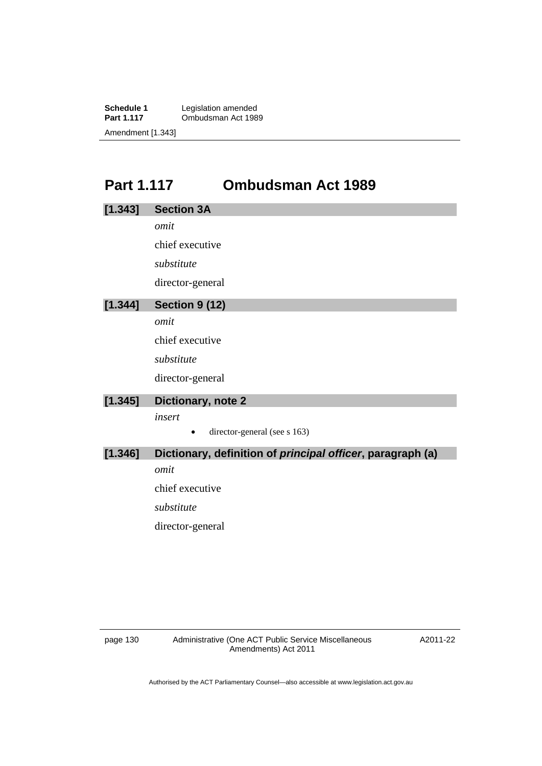**Schedule 1** Legislation amended<br>**Part 1.117** Ombudsman Act 198 **Part 1989** Amendment [1.343]

# **Part 1.117 Ombudsman Act 1989**

| [1.343] | <b>Section 3A</b>                                          |
|---------|------------------------------------------------------------|
|         | omit                                                       |
|         | chief executive                                            |
|         | substitute                                                 |
|         | director-general                                           |
| [1.344] | <b>Section 9 (12)</b>                                      |
|         | omit                                                       |
|         | chief executive                                            |
|         | substitute                                                 |
|         | director-general                                           |
| [1.345] | Dictionary, note 2                                         |
|         | insert                                                     |
|         | director-general (see s 163)                               |
| [1.346] | Dictionary, definition of principal officer, paragraph (a) |
|         | omit                                                       |
|         | chief executive                                            |
|         | substitute                                                 |
|         | director-general                                           |
|         |                                                            |

A2011-22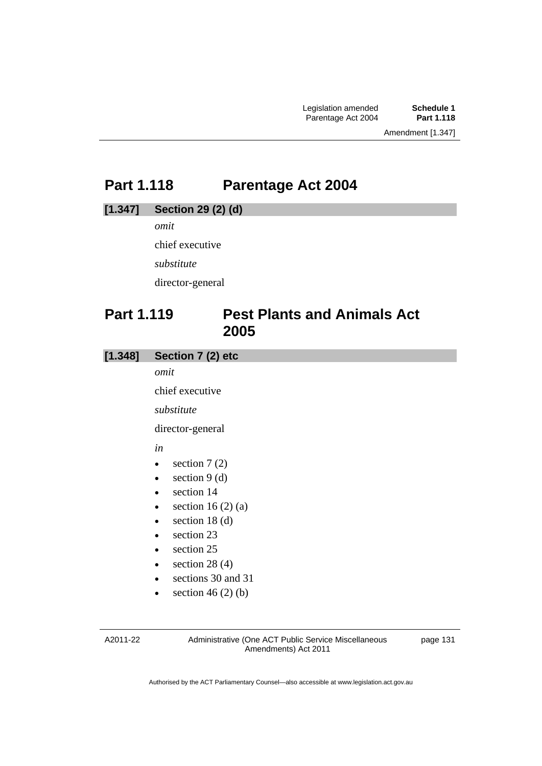# **Part 1.118 Parentage Act 2004**

#### **[1.347] Section 29 (2) (d)**

*omit* 

chief executive

*substitute* 

director-general

### **Part 1.119 Pest Plants and Animals Act 2005**

### **[1.348] Section 7 (2) etc**

*omit* 

chief executive

*substitute* 

director-general

*in* 

- $\bullet$  section 7 (2)
- $\bullet$  section 9 (d)
- section 14
- $\bullet$  section 16 (2) (a)
- $\bullet$  section 18 (d)
- section 23
- section 25
- $\bullet$  section 28 (4)
- sections 30 and 31
- $\bullet$  section 46 (2) (b)

A2011-22

Administrative (One ACT Public Service Miscellaneous Amendments) Act 2011

page 131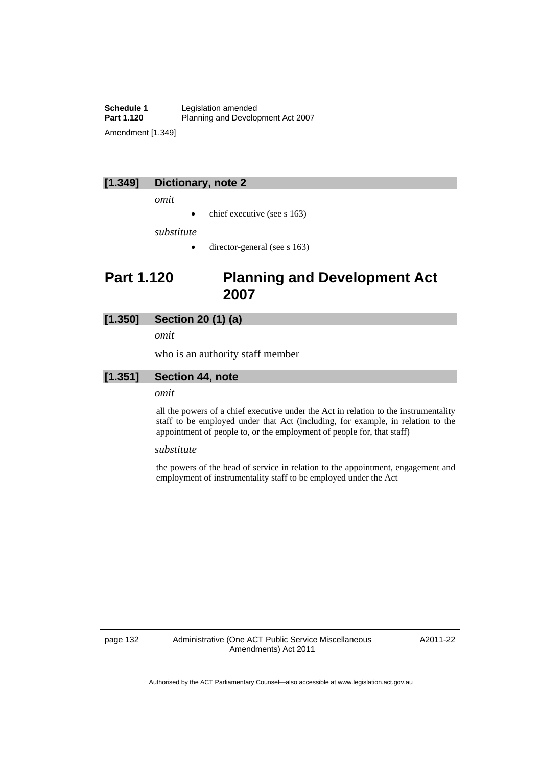**Schedule 1** Legislation amended<br> **Part 1.120** Planning and Develor Planning and Development Act 2007 Amendment [1.349]

#### **[1.349] Dictionary, note 2**

*omit* 

 $\bullet$  chief executive (see s 163)

*substitute* 

 $\bullet$  director-general (see s 163)

### **Part 1.120 Planning and Development Act 2007**

#### **[1.350] Section 20 (1) (a)**

*omit* 

who is an authority staff member

#### **[1.351] Section 44, note**

#### *omit*

all the powers of a chief executive under the Act in relation to the instrumentality staff to be employed under that Act (including, for example, in relation to the appointment of people to, or the employment of people for, that staff)

#### *substitute*

the powers of the head of service in relation to the appointment, engagement and employment of instrumentality staff to be employed under the Act

page 132 Administrative (One ACT Public Service Miscellaneous Amendments) Act 2011

A2011-22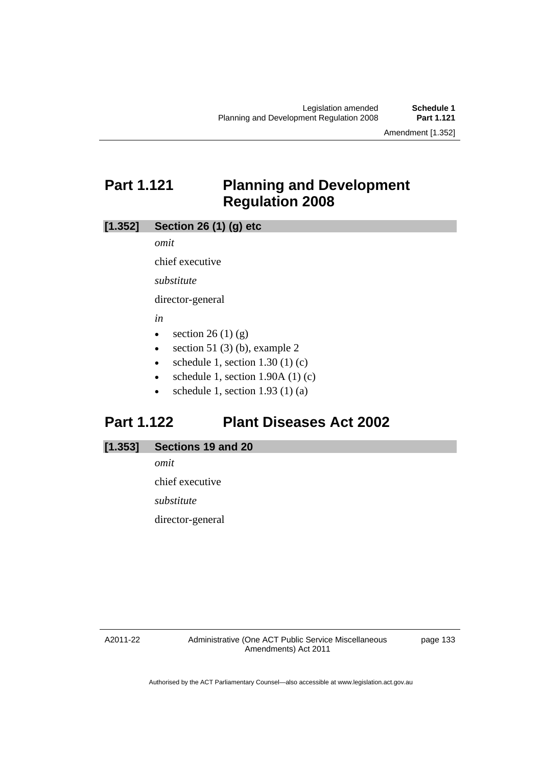Amendment [1.352]

# **Part 1.121 Planning and Development Regulation 2008**

### **[1.352] Section 26 (1) (g) etc**

*omit* 

chief executive

*substitute* 

director-general

*in* 

- $\bullet$  section 26 (1) (g)
- $\bullet$  section 51 (3) (b), example 2
- schedule 1, section  $1.30$  (1) (c)
- schedule 1, section 1.90A (1) (c)
- schedule 1, section  $1.93$  (1) (a)

### **Part 1.122 Plant Diseases Act 2002**

| [1.353] | Sections 19 and 20 |  |  |  |
|---------|--------------------|--|--|--|
|---------|--------------------|--|--|--|

*omit*  chief executive *substitute*  director-general

A2011-22

page 133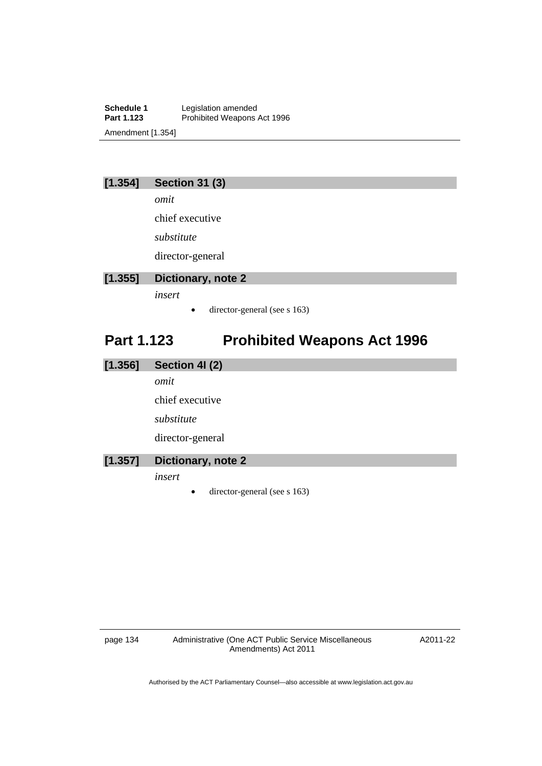**Schedule 1** Legislation amended<br>**Part 1.123** Prohibited Weapons Prohibited Weapons Act 1996 Amendment [1.354]

### **[1.354] Section 31 (3)**

*omit* 

chief executive

*substitute* 

director-general

### **[1.355] Dictionary, note 2**

*insert* 

• director-general (see s 163)

# **Part 1.123 Prohibited Weapons Act 1996**

| [1.356] | Section 41 (2)     |
|---------|--------------------|
|         | omit               |
|         | chief executive    |
|         | substitute         |
|         | director-general   |
| [1.357] | Dictionary, note 2 |
|         | insert             |

director-general (see s 163)

page 134 Administrative (One ACT Public Service Miscellaneous Amendments) Act 2011

A2011-22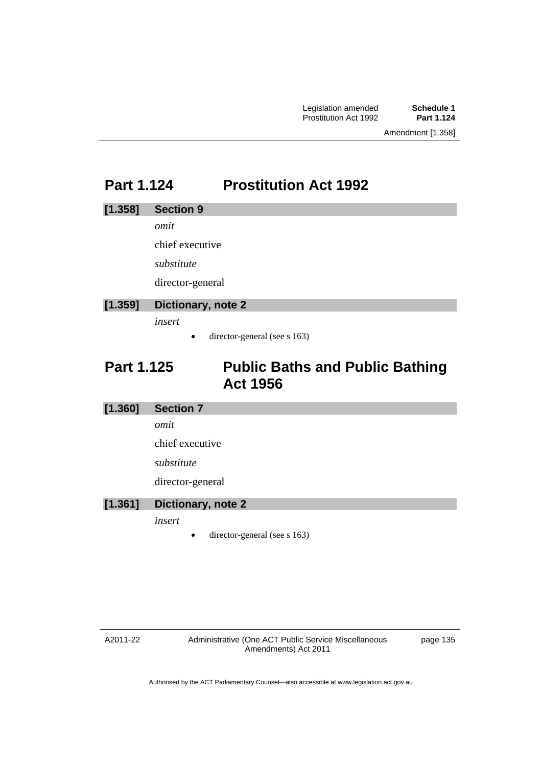# **Part 1.124 Prostitution Act 1992**

#### **[1.358] Section 9**

*omit* 

chief executive

*substitute* 

director-general

### **[1.359] Dictionary, note 2**

*insert* 

 $\bullet$  director-general (see s 163)

# **Part 1.125 Public Baths and Public Bathing Act 1956**

### **[1.360] Section 7**

*omit* 

chief executive

*substitute* 

director-general

### **[1.361] Dictionary, note 2**

*insert* 

director-general (see s 163)

#### A2011-22

Administrative (One ACT Public Service Miscellaneous Amendments) Act 2011

page 135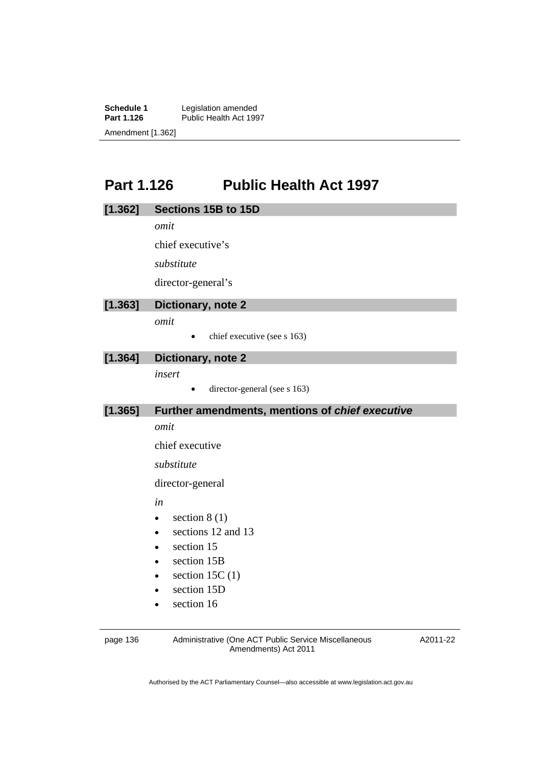**Schedule 1** Legislation amended **Part 1.126** Public Health Act 1997 Amendment [1.362]

# **Part 1.126 Public Health Act 1997**

| [1.362]  | Sections 15B to 15D                                  |          |
|----------|------------------------------------------------------|----------|
|          | omit                                                 |          |
|          | chief executive's                                    |          |
|          | substitute                                           |          |
|          | director-general's                                   |          |
| [1.363]  | Dictionary, note 2                                   |          |
|          | omit                                                 |          |
|          | chief executive (see s 163)                          |          |
| [1.364]  | Dictionary, note 2                                   |          |
|          | insert                                               |          |
|          | director-general (see s 163)<br>$\bullet$            |          |
| [1.365]  | Further amendments, mentions of chief executive      |          |
|          | omit                                                 |          |
|          | chief executive                                      |          |
|          | substitute                                           |          |
|          | director-general                                     |          |
|          | in                                                   |          |
|          | section $8(1)$<br>$\bullet$                          |          |
|          | sections 12 and 13<br>$\bullet$                      |          |
|          | section 15                                           |          |
|          | section 15B                                          |          |
|          | section 15C $(1)$<br>$\bullet$                       |          |
|          | section 15D                                          |          |
|          | section 16                                           |          |
| page 136 | Administrative (One ACT Public Service Miscellaneous | A2011-22 |
|          | Amendments) Act 2011                                 |          |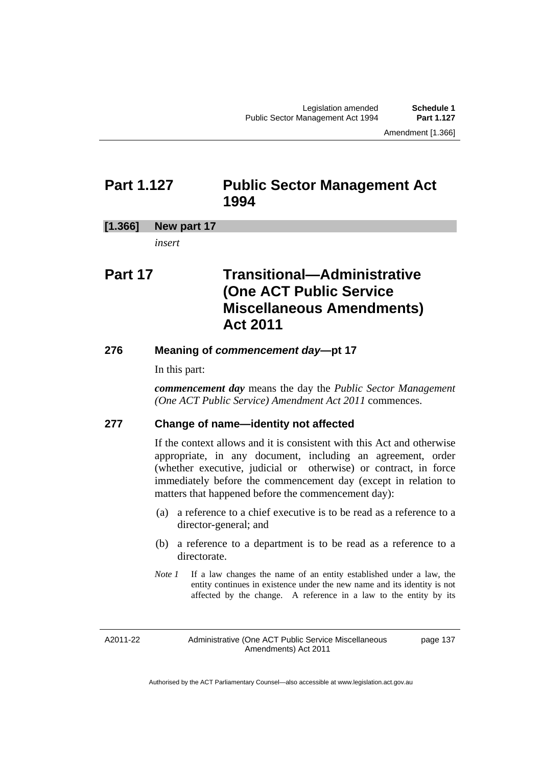Amendment [1.366]

### **Part 1.127 Public Sector Management Act 1994**

#### **[1.366] New part 17**

*insert* 

# **Part 17 Transitional—Administrative (One ACT Public Service Miscellaneous Amendments) Act 2011**

#### **276 Meaning of** *commencement day***—pt 17**

In this part:

*commencement day* means the day the *Public Sector Management (One ACT Public Service) Amendment Act 2011* commences.

### **277 Change of name—identity not affected**

If the context allows and it is consistent with this Act and otherwise appropriate, in any document, including an agreement, order (whether executive, judicial or otherwise) or contract, in force immediately before the commencement day (except in relation to matters that happened before the commencement day):

- (a) a reference to a chief executive is to be read as a reference to a director-general; and
- (b) a reference to a department is to be read as a reference to a directorate.
- *Note 1* If a law changes the name of an entity established under a law, the entity continues in existence under the new name and its identity is not affected by the change. A reference in a law to the entity by its

A2011-22

Administrative (One ACT Public Service Miscellaneous Amendments) Act 2011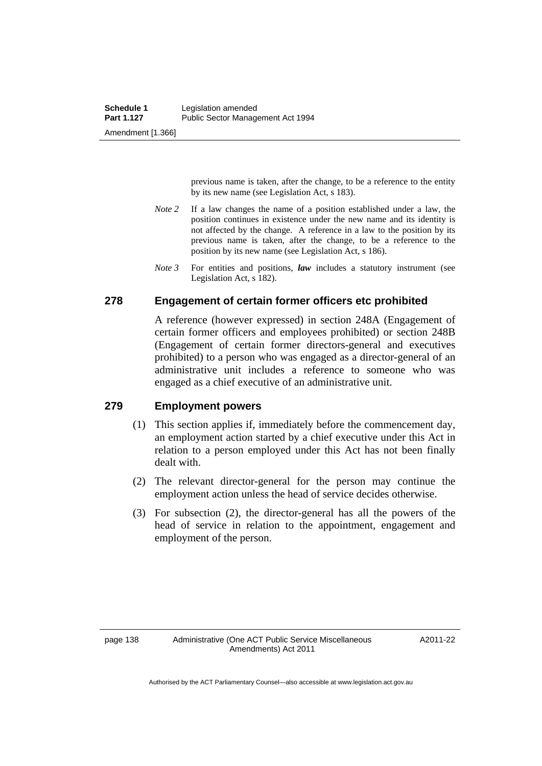previous name is taken, after the change, to be a reference to the entity by its new name (see Legislation Act, s 183).

- *Note 2* If a law changes the name of a position established under a law, the position continues in existence under the new name and its identity is not affected by the change. A reference in a law to the position by its previous name is taken, after the change, to be a reference to the position by its new name (see Legislation Act, s 186).
- *Note 3* For entities and positions, *law* includes a statutory instrument (see Legislation Act, s 182).

#### **278 Engagement of certain former officers etc prohibited**

A reference (however expressed) in section 248A (Engagement of certain former officers and employees prohibited) or section 248B (Engagement of certain former directors-general and executives prohibited) to a person who was engaged as a director-general of an administrative unit includes a reference to someone who was engaged as a chief executive of an administrative unit.

### **279 Employment powers**

- (1) This section applies if, immediately before the commencement day, an employment action started by a chief executive under this Act in relation to a person employed under this Act has not been finally dealt with.
- (2) The relevant director-general for the person may continue the employment action unless the head of service decides otherwise.
- (3) For subsection (2), the director-general has all the powers of the head of service in relation to the appointment, engagement and employment of the person.

A2011-22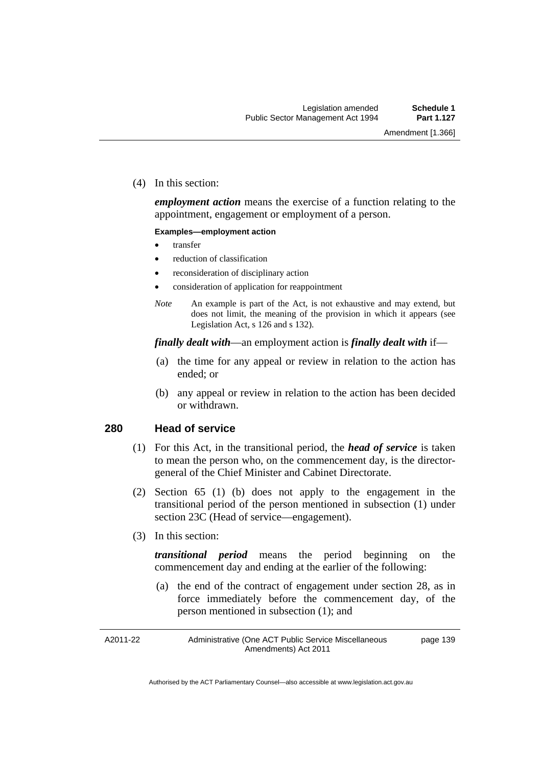(4) In this section:

*employment action* means the exercise of a function relating to the appointment, engagement or employment of a person.

#### **Examples—employment action**

- transfer
- reduction of classification
- reconsideration of disciplinary action
- consideration of application for reappointment
- *Note* An example is part of the Act, is not exhaustive and may extend, but does not limit, the meaning of the provision in which it appears (see Legislation Act, s 126 and s 132).

#### *finally dealt with*—an employment action is *finally dealt with* if—

- (a) the time for any appeal or review in relation to the action has ended; or
- (b) any appeal or review in relation to the action has been decided or withdrawn.

#### **280 Head of service**

- (1) For this Act, in the transitional period, the *head of service* is taken to mean the person who, on the commencement day, is the directorgeneral of the Chief Minister and Cabinet Directorate.
- (2) Section 65 (1) (b) does not apply to the engagement in the transitional period of the person mentioned in subsection (1) under section 23C (Head of service—engagement).
- (3) In this section:

*transitional period* means the period beginning on the commencement day and ending at the earlier of the following:

 (a) the end of the contract of engagement under section 28, as in force immediately before the commencement day, of the person mentioned in subsection (1); and

A2011-22

Administrative (One ACT Public Service Miscellaneous Amendments) Act 2011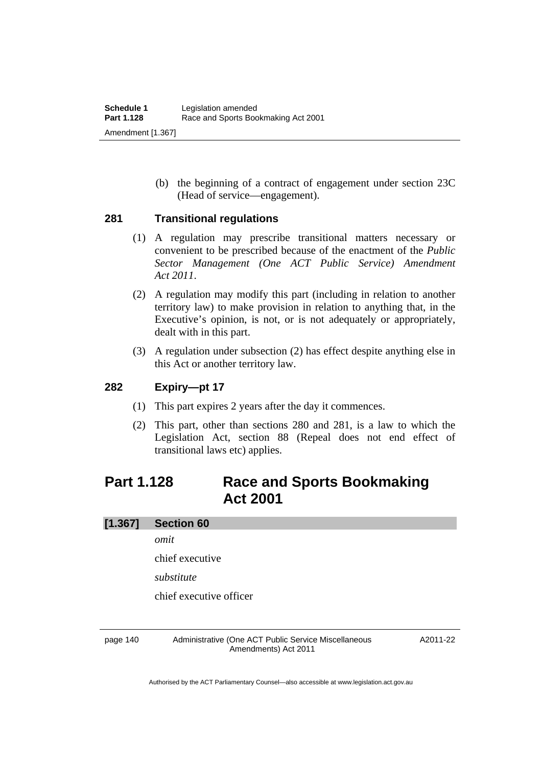(b) the beginning of a contract of engagement under section 23C (Head of service—engagement).

#### **281 Transitional regulations**

- (1) A regulation may prescribe transitional matters necessary or convenient to be prescribed because of the enactment of the *Public Sector Management (One ACT Public Service) Amendment Act 2011*.
- (2) A regulation may modify this part (including in relation to another territory law) to make provision in relation to anything that, in the Executive's opinion, is not, or is not adequately or appropriately, dealt with in this part.
- (3) A regulation under subsection (2) has effect despite anything else in this Act or another territory law.

### **282 Expiry—pt 17**

- (1) This part expires 2 years after the day it commences.
- (2) This part, other than sections 280 and 281, is a law to which the Legislation Act, section 88 (Repeal does not end effect of transitional laws etc) applies.

# **Part 1.128 Race and Sports Bookmaking Act 2001**

### **[1.367] Section 60**

*omit* 

chief executive

*substitute* 

chief executive officer

page 140 Administrative (One ACT Public Service Miscellaneous Amendments) Act 2011

A2011-22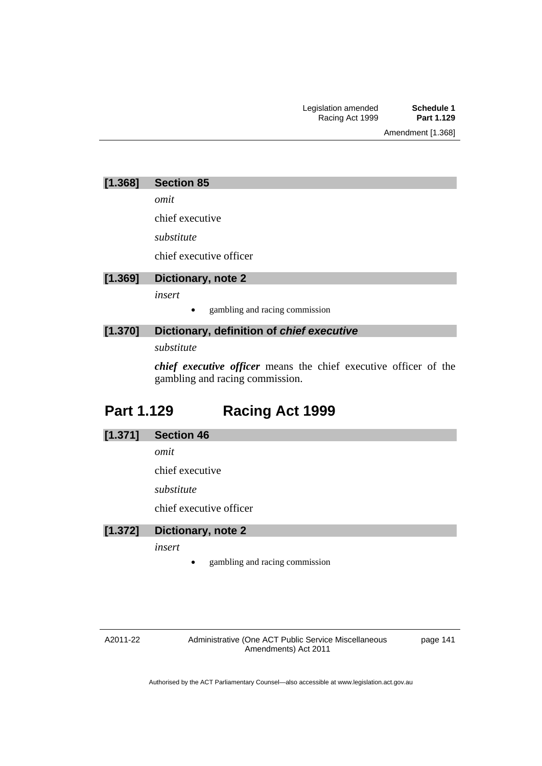Amendment [1.368]

| [1.368] | <b>Section 85</b> |  |
|---------|-------------------|--|
|---------|-------------------|--|

*omit* 

chief executive

*substitute* 

chief executive officer

**[1.369] Dictionary, note 2**  *insert*  gambling and racing commission

### **[1.370] Dictionary, definition of** *chief executive*

*substitute* 

*chief executive officer* means the chief executive officer of the gambling and racing commission.

# **Part 1.129 Racing Act 1999**

### **[1.371] Section 46**

*omit* 

chief executive

*substitute* 

chief executive officer

### **[1.372] Dictionary, note 2**

*insert* 

gambling and racing commission

#### A2011-22

Administrative (One ACT Public Service Miscellaneous Amendments) Act 2011

page 141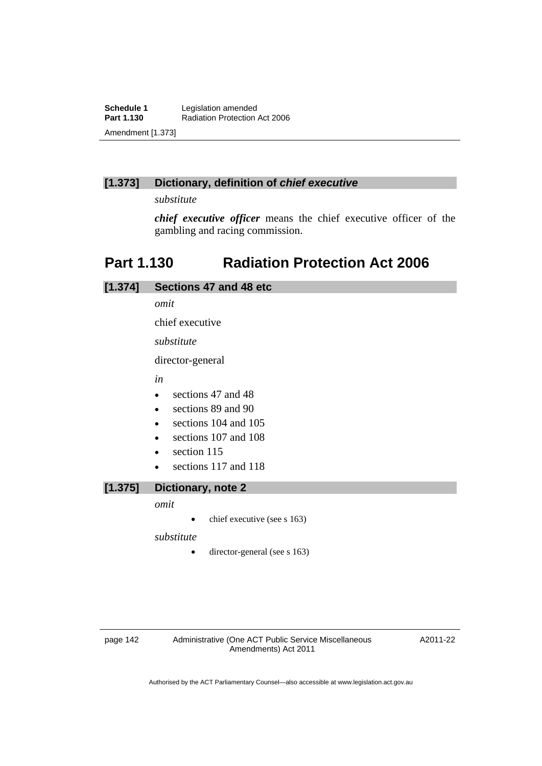### **[1.373] Dictionary, definition of** *chief executive*

*substitute* 

*chief executive officer* means the chief executive officer of the gambling and racing commission.

# **Part 1.130 Radiation Protection Act 2006**

| [1.374] | Sections 47 and 48 etc            |
|---------|-----------------------------------|
|         | omit                              |
|         | chief executive                   |
|         | substitute                        |
|         | director-general                  |
|         | in                                |
|         | sections 47 and 48<br>$\bullet$   |
|         | sections 89 and 90<br>$\bullet$   |
|         | sections 104 and 105<br>$\bullet$ |
|         | sections 107 and 108<br>$\bullet$ |
|         | section 115<br>$\bullet$          |
|         | sections 117 and 118<br>$\bullet$ |
| .       | .                                 |

**[1.375] Dictionary, note 2** 

*omit* 

 $\bullet$  chief executive (see s 163)

*substitute* 

• director-general (see s 163)

page 142 Administrative (One ACT Public Service Miscellaneous Amendments) Act 2011

A2011-22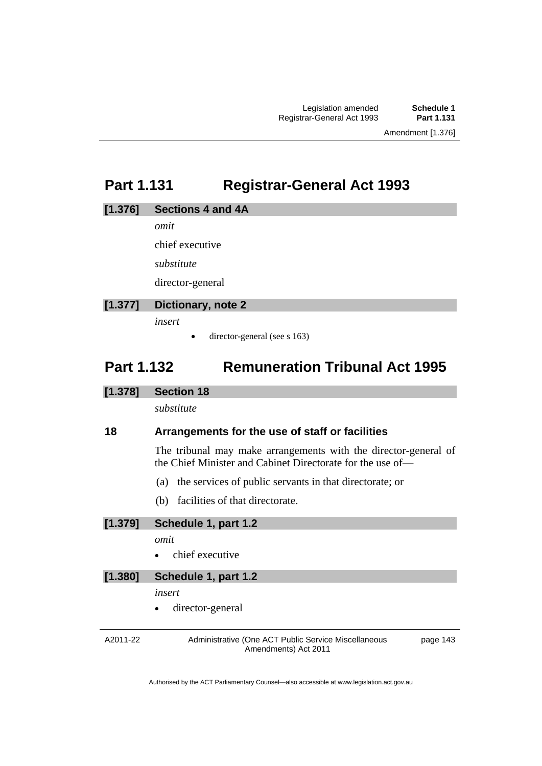# **Part 1.131 Registrar-General Act 1993**

#### **[1.376] Sections 4 and 4A**

*omit* 

chief executive

*substitute* 

director-general

### **[1.377] Dictionary, note 2**

*insert* 

 $\bullet$  director-general (see s 163)

# **Part 1.132 Remuneration Tribunal Act 1995**

### **[1.378] Section 18**

*substitute* 

### **18 Arrangements for the use of staff or facilities**

The tribunal may make arrangements with the director-general of the Chief Minister and Cabinet Directorate for the use of—

- (a) the services of public servants in that directorate; or
- (b) facilities of that directorate.

**[1.379] Schedule 1, part 1.2** 

- *omit*
- chief executive

### **[1.380] Schedule 1, part 1.2**

*insert* 

director-general

A2011-22

Administrative (One ACT Public Service Miscellaneous Amendments) Act 2011

page 143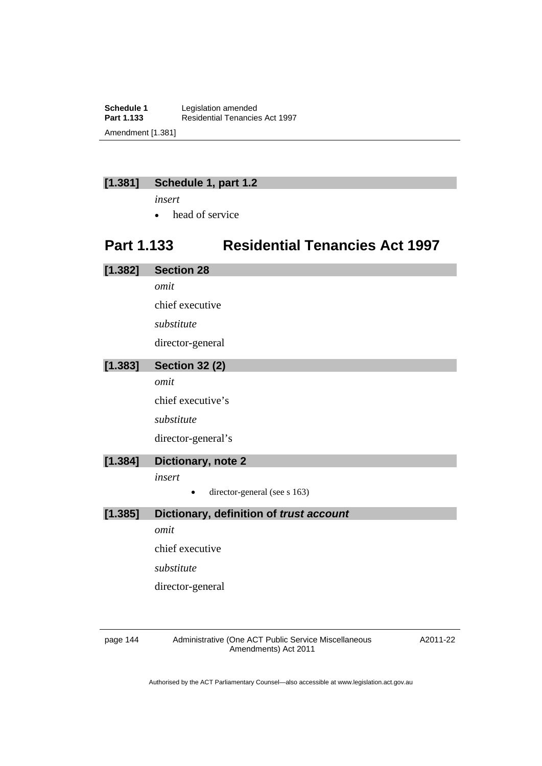**Schedule 1** Legislation amended<br> **Part 1.133** Residential Tenancie **Part 1.133** Residential Tenancies Act 1997 Amendment [1.381]

### **[1.381] Schedule 1, part 1.2**

*insert* 

• head of service

# **Part 1.133 Residential Tenancies Act 1997**

| [1.382] | <b>Section 28</b>                       |
|---------|-----------------------------------------|
|         | omit                                    |
|         | chief executive                         |
|         | substitute                              |
|         | director-general                        |
| [1.383] | <b>Section 32 (2)</b>                   |
|         | omit                                    |
|         | chief executive's                       |
|         | substitute                              |
|         | director-general's                      |
| [1.384] | Dictionary, note 2                      |
|         | insert                                  |
|         | director-general (see s 163)            |
| [1.385] | Dictionary, definition of trust account |
|         | omit                                    |
|         | chief executive                         |
|         | substitute                              |
|         | director-general                        |

page 144 Administrative (One ACT Public Service Miscellaneous Amendments) Act 2011

A2011-22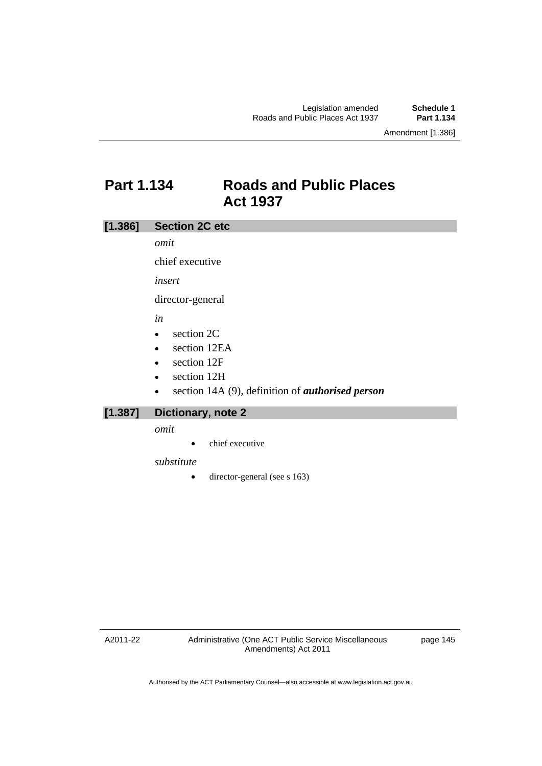Amendment [1.386]

## **Part 1.134 Roads and Public Places Act 1937**

### **[1.386] Section 2C etc**

*omit* 

chief executive

*insert* 

director-general

*in* 

- section 2C
- section 12EA
- section 12F
- section 12H
- section 14A (9), definition of *authorised person*

### **[1.387] Dictionary, note 2**

*omit* 

• chief executive

*substitute* 

• director-general (see s 163)

A2011-22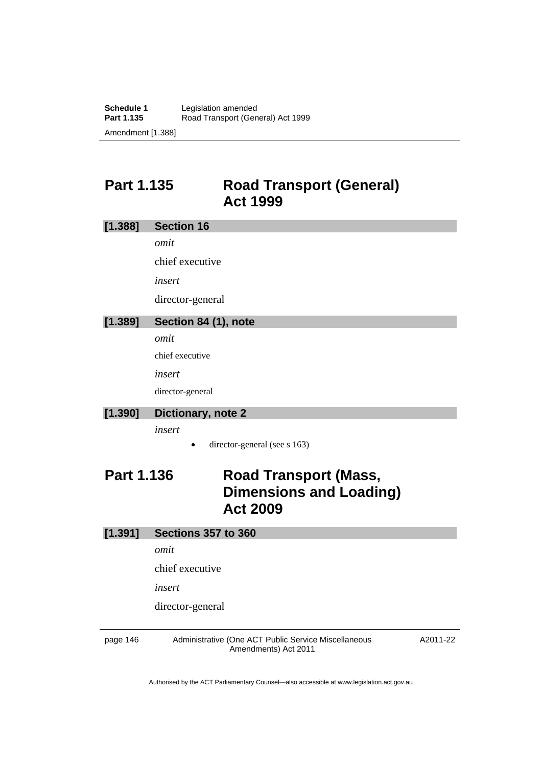# **Part 1.135 Road Transport (General) Act 1999**

| [1.388]           | <b>Section 16</b>                                                                 |
|-------------------|-----------------------------------------------------------------------------------|
|                   | omit                                                                              |
|                   | chief executive                                                                   |
|                   | insert                                                                            |
|                   | director-general                                                                  |
| [1.389]           | Section 84 (1), note                                                              |
|                   | omit                                                                              |
|                   | chief executive                                                                   |
|                   | insert                                                                            |
|                   | director-general                                                                  |
| [1.390]           | Dictionary, note 2                                                                |
|                   | insert                                                                            |
|                   | director-general (see s 163)                                                      |
| <b>Part 1.136</b> | <b>Road Transport (Mass,</b><br><b>Dimensions and Loading)</b><br><b>Act 2009</b> |
| [1.391]           | <b>Sections 357 to 360</b>                                                        |
|                   | omit                                                                              |
|                   | chief executive                                                                   |
|                   | insert                                                                            |
|                   | director-general                                                                  |
|                   |                                                                                   |

page 146 Administrative (One ACT Public Service Miscellaneous Amendments) Act 2011

A2011-22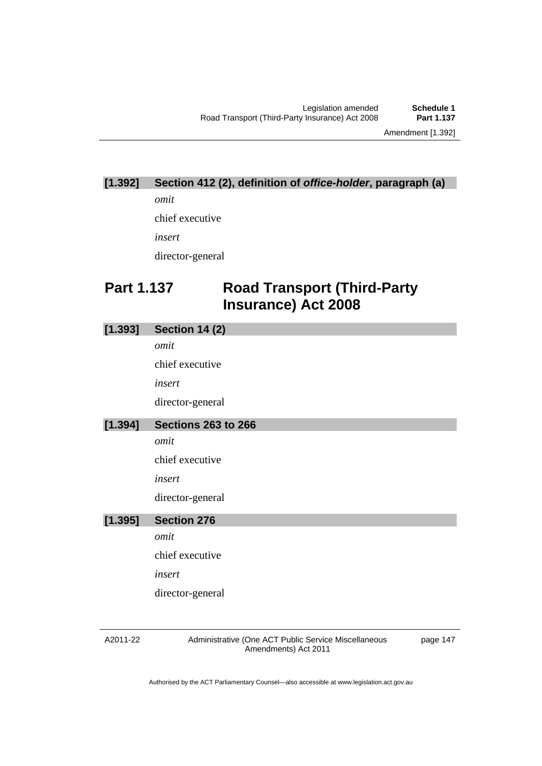# **[1.392] Section 412 (2), definition of** *office-holder***, paragraph (a)**

*omit* 

chief executive

*insert* 

director-general

# **Part 1.137 Road Transport (Third-Party Insurance) Act 2008**

| [1.393] | <b>Section 14 (2)</b>      |
|---------|----------------------------|
|         | omit                       |
|         | chief executive            |
|         | insert                     |
|         | director-general           |
| [1.394] | <b>Sections 263 to 266</b> |
|         | omit                       |
|         | chief executive            |
|         | insert                     |
|         | director-general           |
| [1.395] | <b>Section 276</b>         |
|         | omit                       |
|         | chief executive            |
|         | insert                     |
|         | director-general           |
|         |                            |

A2011-22

Administrative (One ACT Public Service Miscellaneous Amendments) Act 2011

page 147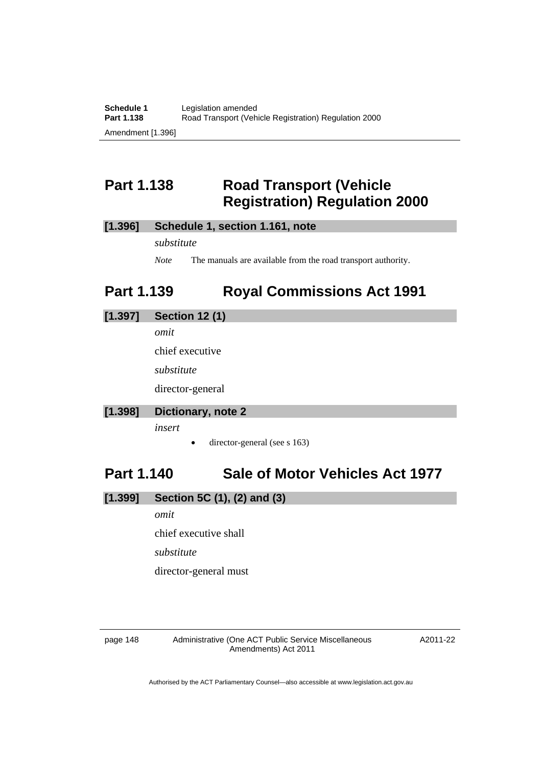# **Part 1.138 Road Transport (Vehicle Registration) Regulation 2000**

### **[1.396] Schedule 1, section 1.161, note**

*substitute* 

*Note* The manuals are available from the road transport authority.

# **Part 1.139 Royal Commissions Act 1991**

### **[1.397] Section 12 (1)**

*omit* 

chief executive

*substitute* 

director-general

#### **[1.398] Dictionary, note 2**

*insert* 

director-general (see s 163)

### **Part 1.140 Sale of Motor Vehicles Act 1977**

### **[1.399] Section 5C (1), (2) and (3)**

*omit* 

chief executive shall

*substitute* 

director-general must

page 148 Administrative (One ACT Public Service Miscellaneous Amendments) Act 2011

A2011-22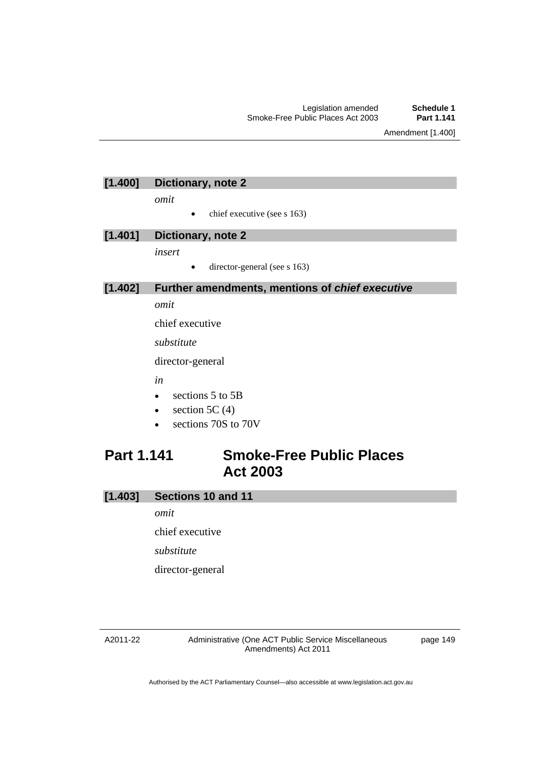Amendment [1.400]

### **[1.400] Dictionary, note 2**

*omit* 

 $\bullet$  chief executive (see s 163)

#### **[1.401] Dictionary, note 2**

*insert* 

director-general (see s 163)

### **[1.402] Further amendments, mentions of** *chief executive*

*omit* 

chief executive

*substitute* 

director-general

*in* 

- $\bullet$  sections 5 to 5B
- $\bullet$  section 5C (4)
- sections 70S to 70V

# **Part 1.141 Smoke-Free Public Places Act 2003**

### **[1.403] Sections 10 and 11**

*omit* 

chief executive

*substitute* 

director-general

#### A2011-22

Administrative (One ACT Public Service Miscellaneous Amendments) Act 2011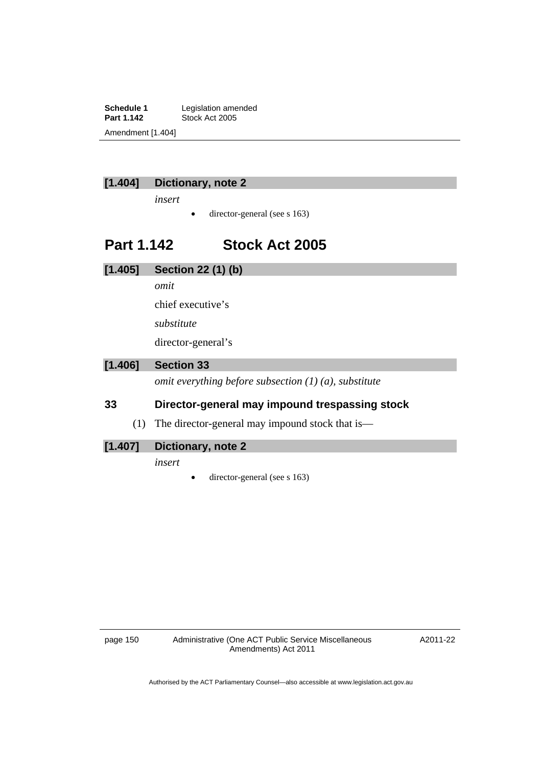**Schedule 1** Legislation amended<br> **Part 1.142** Stock Act 2005 **Stock Act 2005** Amendment [1.404]



### **[1.404] Dictionary, note 2**

*insert* 

 $\bullet$  director-general (see s 163)

### **Part 1.142 Stock Act 2005**

**[1.405] Section 22 (1) (b)** 

*omit* 

chief executive's

*substitute* 

director-general's

### **[1.406] Section 33**

*omit everything before subsection (1) (a), substitute* 

### **33 Director-general may impound trespassing stock**

(1) The director-general may impound stock that is—

### **[1.407] Dictionary, note 2**

*insert* 

director-general (see s 163)

A2011-22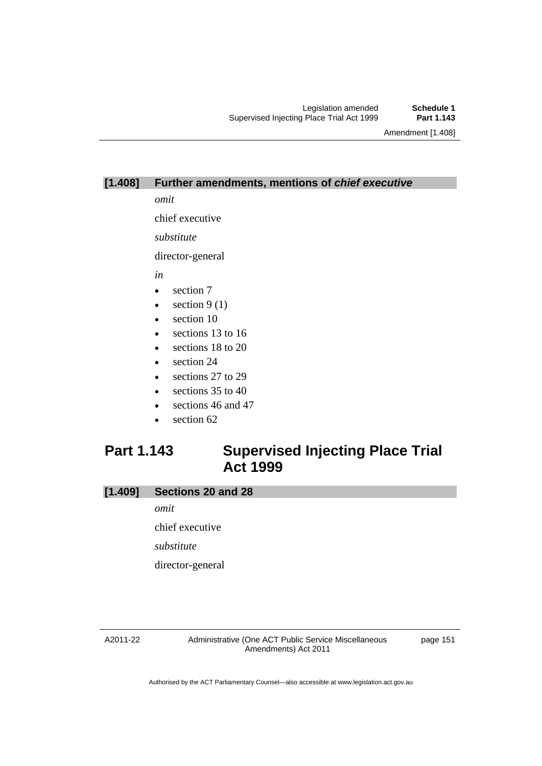Amendment [1.408]

#### **[1.408] Further amendments, mentions of** *chief executive*

*omit* 

chief executive

*substitute* 

director-general

*in* 

- section 7
- $\bullet$  section 9 (1)
- section 10
- e sections 13 to 16
- e sections 18 to 20
- section 24
- sections 27 to 29
- $\bullet$  sections 35 to 40
- sections 46 and 47
- section 62

# **Part 1.143 Supervised Injecting Place Trial Act 1999**

#### **[1.409] Sections 20 and 28**

*omit* 

chief executive

*substitute* 

director-general

#### A2011-22

Administrative (One ACT Public Service Miscellaneous Amendments) Act 2011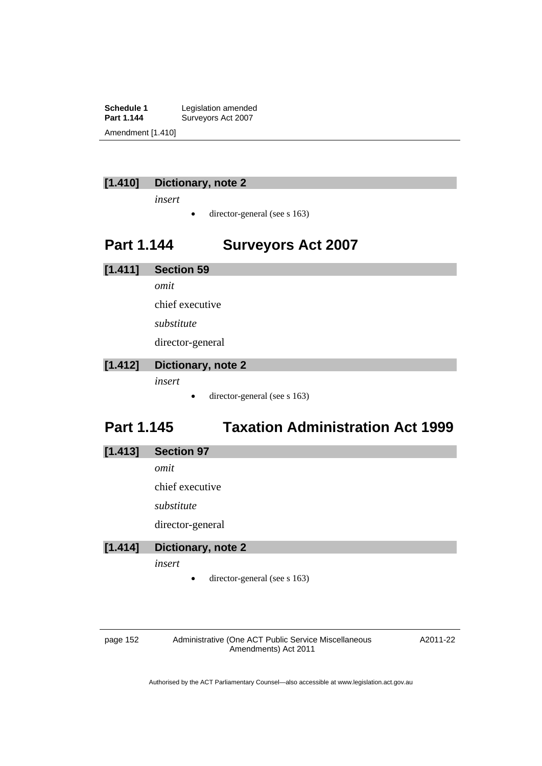**Schedule 1** Legislation amended<br> **Part 1.144** Surveyors Act 2007 Surveyors Act 2007 Amendment [1.410]

### **[1.410] Dictionary, note 2**

*insert* 

 $\bullet$  director-general (see s 163)

# **Part 1.144 Surveyors Act 2007**

**[1.411] Section 59**  *omit*  chief executive *substitute* 

director-general

### **[1.412] Dictionary, note 2**

*insert* 

• director-general (see s 163)

# **Part 1.145 Taxation Administration Act 1999**

| [1.413] | <b>Section 97</b> |  |
|---------|-------------------|--|
|         |                   |  |

*omit* 

chief executive

*substitute* 

director-general

#### **[1.414] Dictionary, note 2**

*insert* 

• director-general (see s 163)

page 152 Administrative (One ACT Public Service Miscellaneous Amendments) Act 2011

A2011-22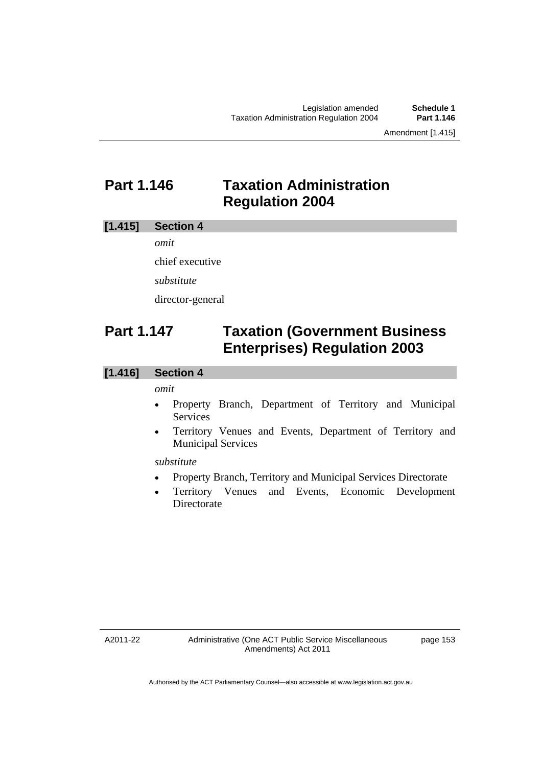# **Part 1.146 Taxation Administration Regulation 2004**

### **[1.415] Section 4**

*omit* 

chief executive

*substitute* 

director-general

# **Part 1.147 Taxation (Government Business Enterprises) Regulation 2003**

### **[1.416] Section 4**

#### *omit*

- Property Branch, Department of Territory and Municipal Services
- Territory Venues and Events, Department of Territory and Municipal Services

#### *substitute*

- Property Branch, Territory and Municipal Services Directorate
- Territory Venues and Events, Economic Development **Directorate**

A2011-22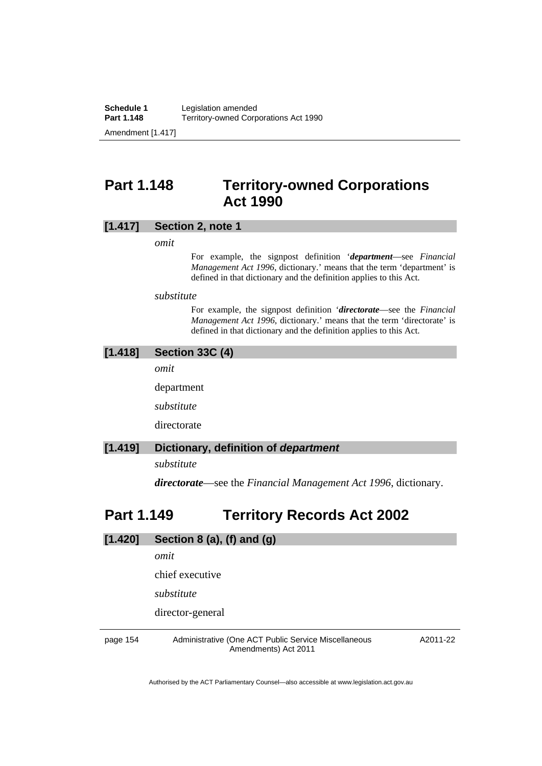# **Part 1.148 Territory-owned Corporations Act 1990**

#### **[1.417] Section 2, note 1**

*omit* 

For example, the signpost definition '*department*—see *Financial Management Act 1996*, dictionary.' means that the term 'department' is defined in that dictionary and the definition applies to this Act.

*substitute* 

For example, the signpost definition '*directorate*—see the *Financial Management Act 1996*, dictionary.' means that the term 'directorate' is defined in that dictionary and the definition applies to this Act.

### **[1.418] Section 33C (4)**

*omit* 

department

*substitute* 

directorate

### **[1.419] Dictionary, definition of** *department*

*substitute* 

*directorate*—see the *Financial Management Act 1996*, dictionary.

### **Part 1.149 Territory Records Act 2002**

| [1.420]  | Section 8 (a), (f) and (g)                                                   |          |
|----------|------------------------------------------------------------------------------|----------|
|          | omit                                                                         |          |
|          | chief executive                                                              |          |
|          | substitute                                                                   |          |
|          | director-general                                                             |          |
| page 154 | Administrative (One ACT Public Service Miscellaneous<br>Amendments) Act 2011 | A2011-22 |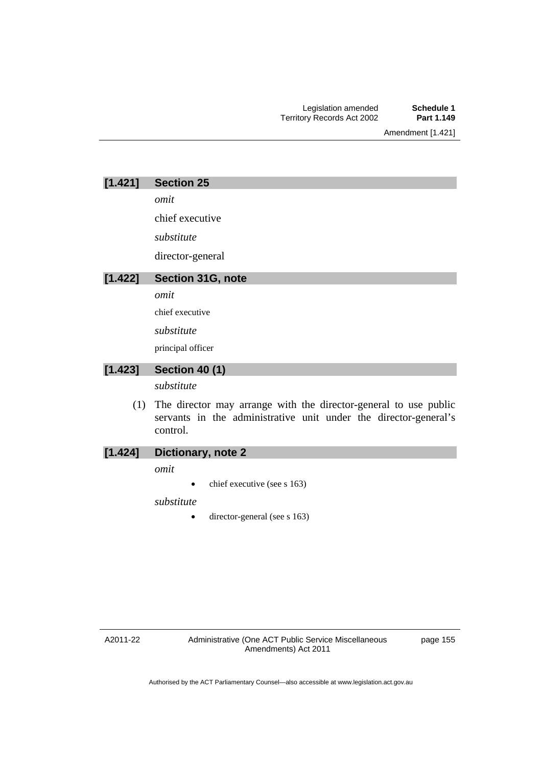Amendment [1.421]

*omit* 

chief executive

*substitute* 

director-general

### **[1.422] Section 31G, note**

*omit* 

chief executive

*substitute* 

principal officer

### **[1.423] Section 40 (1)**

*substitute* 

 (1) The director may arrange with the director-general to use public servants in the administrative unit under the director-general's control.

#### **[1.424] Dictionary, note 2**

*omit* 

 $\bullet$  chief executive (see s 163)

*substitute* 

• director-general (see s 163)

A2011-22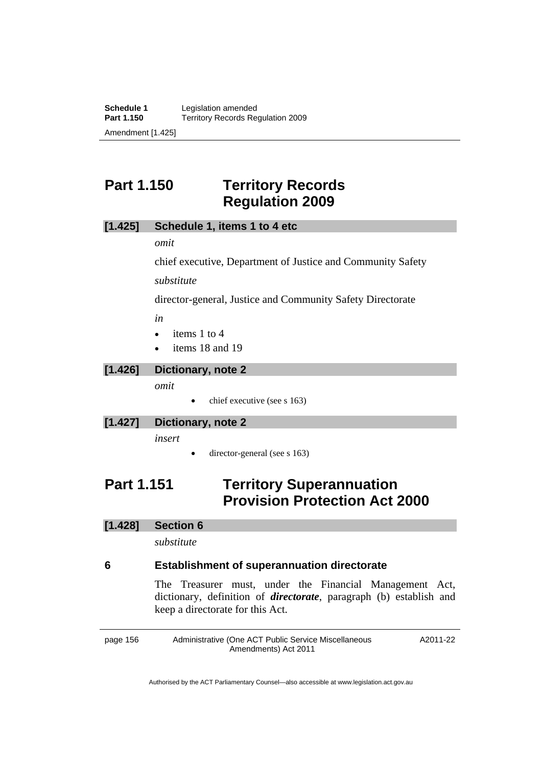# **Part 1.150 Territory Records Regulation 2009**

#### **[1.425] Schedule 1, items 1 to 4 etc**

*omit* 

chief executive, Department of Justice and Community Safety

*substitute* 

director-general, Justice and Community Safety Directorate

*in* 

- $\bullet$  items 1 to 4
- items 18 and 19

#### **[1.426] Dictionary, note 2**

*omit* 

chief executive (see s 163)

#### **[1.427] Dictionary, note 2**

*insert* 

director-general (see s 163)

# **Part 1.151 Territory Superannuation Provision Protection Act 2000**

#### **[1.428] Section 6**

*substitute* 

#### **6 Establishment of superannuation directorate**

The Treasurer must, under the Financial Management Act, dictionary, definition of *directorate*, paragraph (b) establish and keep a directorate for this Act.

page 156 Administrative (One ACT Public Service Miscellaneous Amendments) Act 2011 A2011-22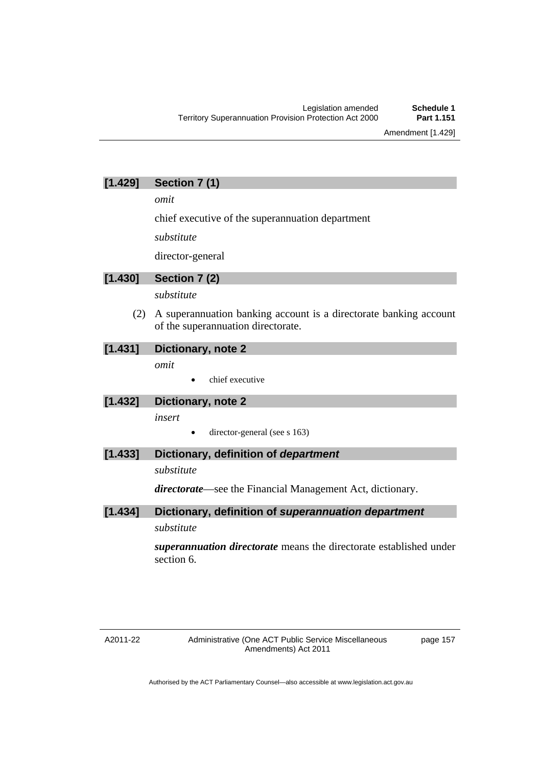Amendment [1.429]

### **[1.429] Section 7 (1)**

*omit* 

chief executive of the superannuation department

*substitute* 

director-general

# **[1.430] Section 7 (2)**

*substitute* 

 (2) A superannuation banking account is a directorate banking account of the superannuation directorate.

### **[1.431] Dictionary, note 2**

*omit* 

chief executive

### **[1.432] Dictionary, note 2**

*insert* 

director-general (see s 163)

### **[1.433] Dictionary, definition of** *department*

### *substitute*

*directorate*—see the Financial Management Act, dictionary.

### **[1.434] Dictionary, definition of** *superannuation department substitute*

*superannuation directorate* means the directorate established under section 6.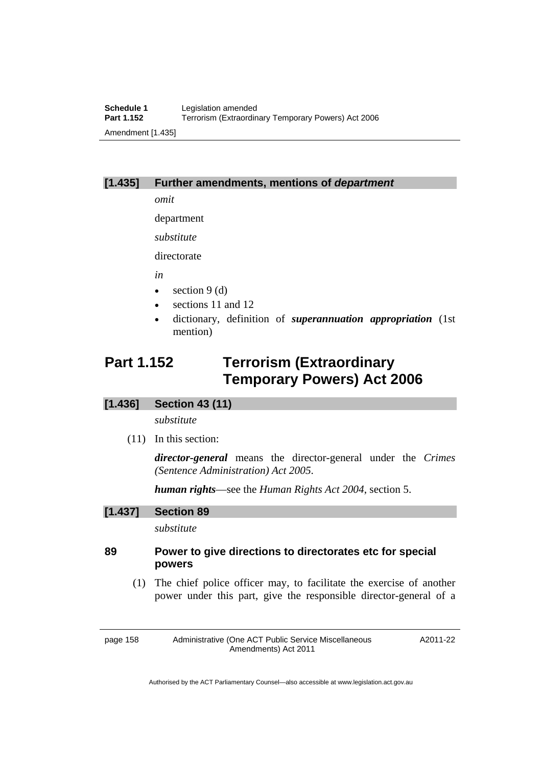#### **[1.435] Further amendments, mentions of** *department*

*omit* 

department

*substitute* 

directorate

*in* 

- $\bullet$  section 9 (d)
- sections 11 and 12
- dictionary, definition of *superannuation appropriation* (1st mention)

# **Part 1.152 Terrorism (Extraordinary Temporary Powers) Act 2006**

#### **[1.436] Section 43 (11)**

*substitute* 

(11) In this section:

*director-general* means the director-general under the *Crimes (Sentence Administration) Act 2005*.

*human rights*—see the *Human Rights Act 2004*, section 5.

#### **[1.437] Section 89**

*substitute* 

### **89 Power to give directions to directorates etc for special powers**

 (1) The chief police officer may, to facilitate the exercise of another power under this part, give the responsible director-general of a

page 158 Administrative (One ACT Public Service Miscellaneous Amendments) Act 2011

A2011-22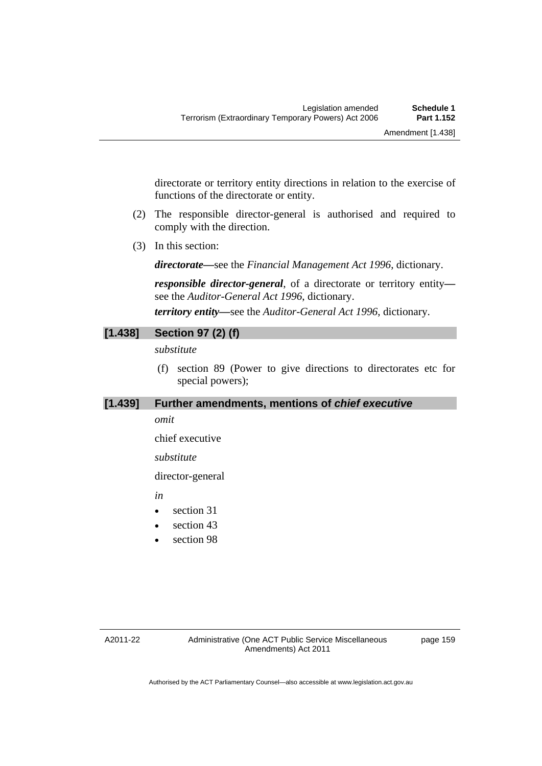directorate or territory entity directions in relation to the exercise of functions of the directorate or entity.

- (2) The responsible director-general is authorised and required to comply with the direction.
- (3) In this section:

*directorate***—**see the *Financial Management Act 1996*, dictionary.

*responsible director-general*, of a directorate or territory entity see the *Auditor-General Act 1996*, dictionary. *territory entity—*see the *Auditor-General Act 1996*, dictionary.

### **[1.438] Section 97 (2) (f)**

*substitute* 

 (f) section 89 (Power to give directions to directorates etc for special powers);

#### **[1.439] Further amendments, mentions of** *chief executive*

#### *omit*

chief executive

#### *substitute*

director-general

*in* 

- section 31
- section 43
- section 98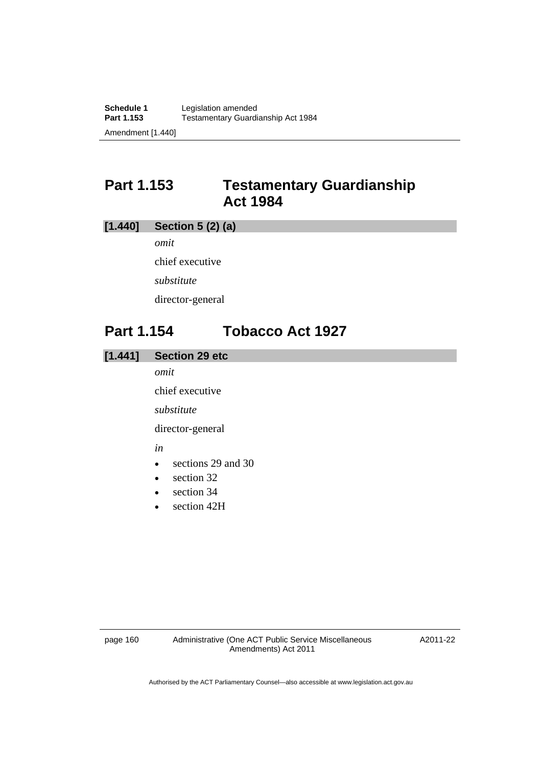# **Part 1.153 Testamentary Guardianship Act 1984**

### **[1.440] Section 5 (2) (a)**

*omit*  chief executive *substitute*  director-general

# **Part 1.154 Tobacco Act 1927**

### **[1.441] Section 29 etc**

*omit* 

chief executive

*substitute* 

director-general

*in* 

- sections 29 and 30
- $\bullet$  section 32
- section 34
- section 42H

A2011-22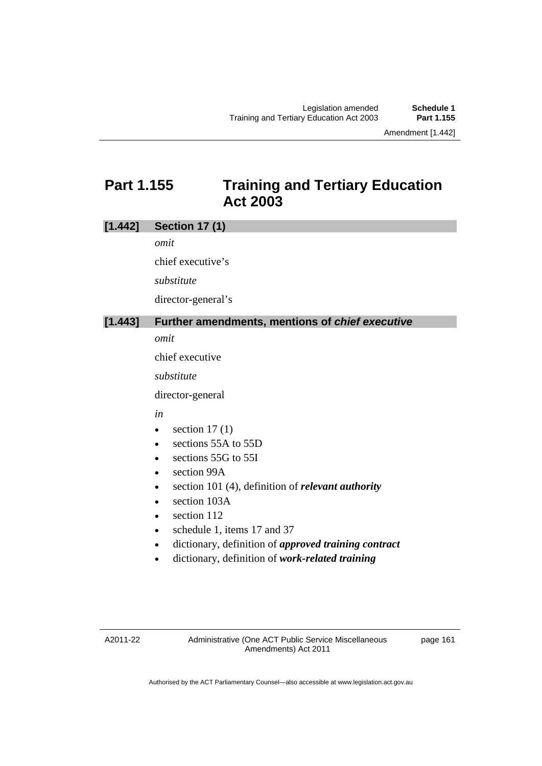Amendment [1.442]

# **Part 1.155 Training and Tertiary Education Act 2003**

### **[1.442] Section 17 (1)**

*omit* 

chief executive's

*substitute* 

director-general's

#### **[1.443] Further amendments, mentions of** *chief executive*

*omit* 

chief executive

*substitute* 

director-general

#### *in*

- $\bullet$  section 17(1)
- e sections 55A to 55D
- sections 55G to 55I
- section 99A
- section 101 (4), definition of *relevant authority*
- section 103A
- $\bullet$  section 112
- schedule 1, items 17 and 37
- dictionary, definition of *approved training contract*
- dictionary, definition of *work-related training*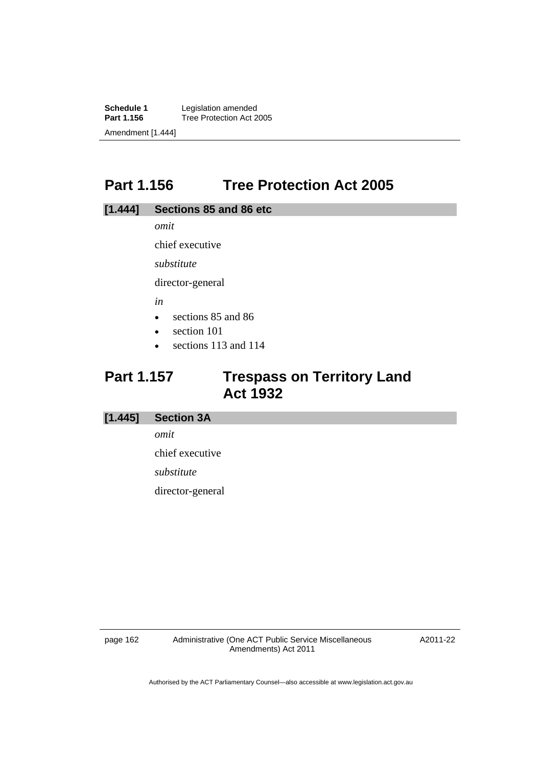**Schedule 1** Legislation amended<br>**Part 1.156** Tree Protection Act 2 **Tree Protection Act 2005** Amendment [1.444]

# **Part 1.156 Tree Protection Act 2005**

### **[1.444] Sections 85 and 86 etc**

*omit* 

chief executive

*substitute* 

director-general

*in* 

- sections 85 and 86
- section 101
- sections 113 and 114

# **Part 1.157 Trespass on Territory Land Act 1932**

#### **[1.445] Section 3A**

*omit* 

chief executive

*substitute* 

director-general

page 162 Administrative (One ACT Public Service Miscellaneous Amendments) Act 2011

A2011-22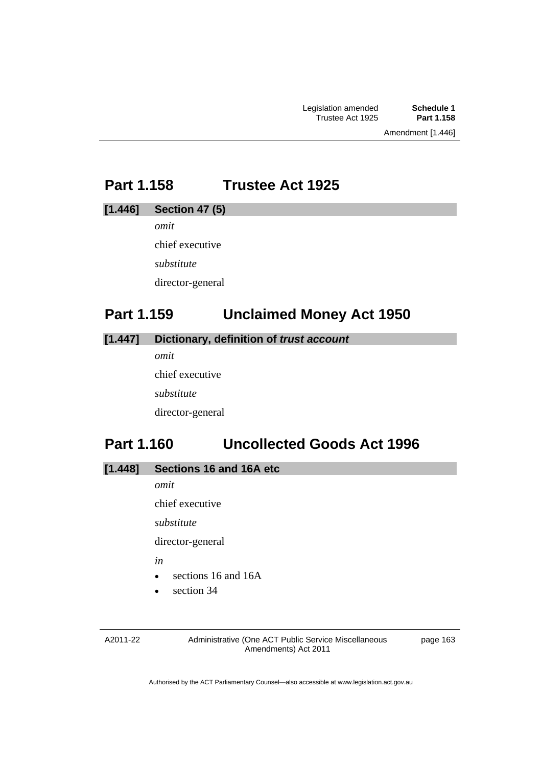# **Part 1.158 Trustee Act 1925**

#### **[1.446] Section 47 (5)**

*omit* 

chief executive

*substitute* 

director-general

# **Part 1.159 Unclaimed Money Act 1950**

### **[1.447] Dictionary, definition of** *trust account*

*omit*  chief executive *substitute*  director-general

# **Part 1.160 Uncollected Goods Act 1996**

### **[1.448] Sections 16 and 16A etc**

*omit* 

chief executive

*substitute* 

director-general

*in* 

- sections 16 and 16A
- section 34

A2011-22

Administrative (One ACT Public Service Miscellaneous Amendments) Act 2011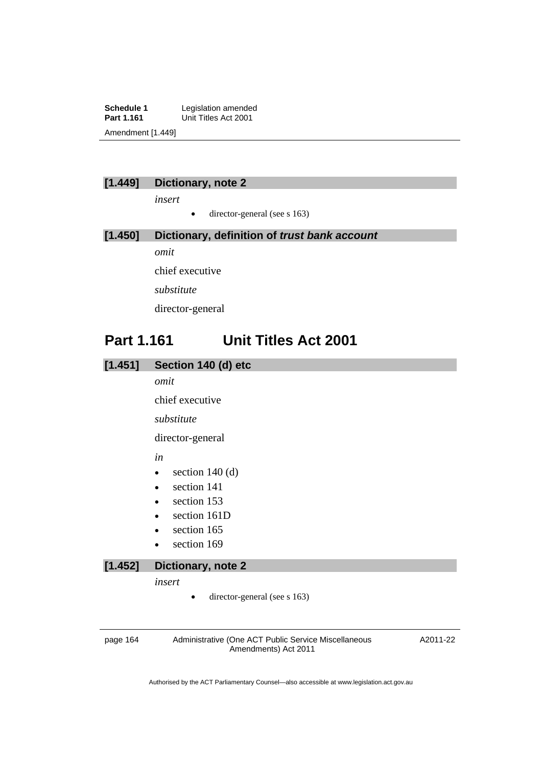**Schedule 1** Legislation amended<br> **Part 1.161** Unit Titles Act 2001 **Unit Titles Act 2001** Amendment [1.449]

### **[1.449] Dictionary, note 2**

*insert* 

• director-general (see s 163)

### **[1.450] Dictionary, definition of** *trust bank account omit*

chief executive *substitute*  director-general

# **Part 1.161 Unit Titles Act 2001**

| Section 140 (d) etc<br>[1.451] |
|--------------------------------|
|--------------------------------|

*omit* 

chief executive

*substitute* 

director-general

*in* 

- $\bullet$  section 140 (d)
- section 141
- section 153
- section 161D
- section 165
- section 169

### **[1.452] Dictionary, note 2**

*insert* 

 $\bullet$  director-general (see s 163)

page 164 Administrative (One ACT Public Service Miscellaneous Amendments) Act 2011

A2011-22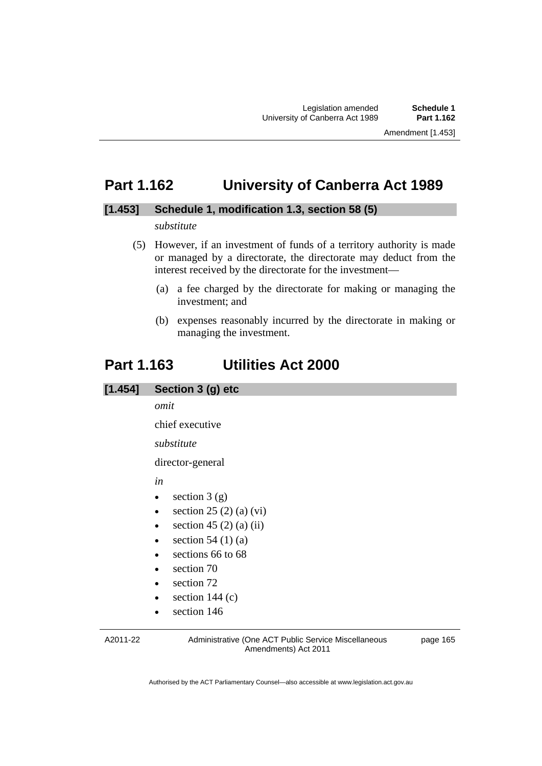### **Part 1.162 University of Canberra Act 1989**

#### **[1.453] Schedule 1, modification 1.3, section 58 (5)**

#### *substitute*

- (5) However, if an investment of funds of a territory authority is made or managed by a directorate, the directorate may deduct from the interest received by the directorate for the investment—
	- (a) a fee charged by the directorate for making or managing the investment; and
	- (b) expenses reasonably incurred by the directorate in making or managing the investment.

### **Part 1.163 Utilities Act 2000**

### **[1.454] Section 3 (g) etc**

*omit* 

chief executive

#### *substitute*

director-general

*in* 

- $\bullet$  section 3 (g)
- $\bullet$  section 25 (2) (a) (vi)
- $\bullet$  section 45 (2) (a) (ii)
- $\bullet$  section 54 (1) (a)
- sections 66 to 68
- section 70
- section 72
- section 144 (c)
- section 146

A2011-22

Administrative (One ACT Public Service Miscellaneous Amendments) Act 2011

page 165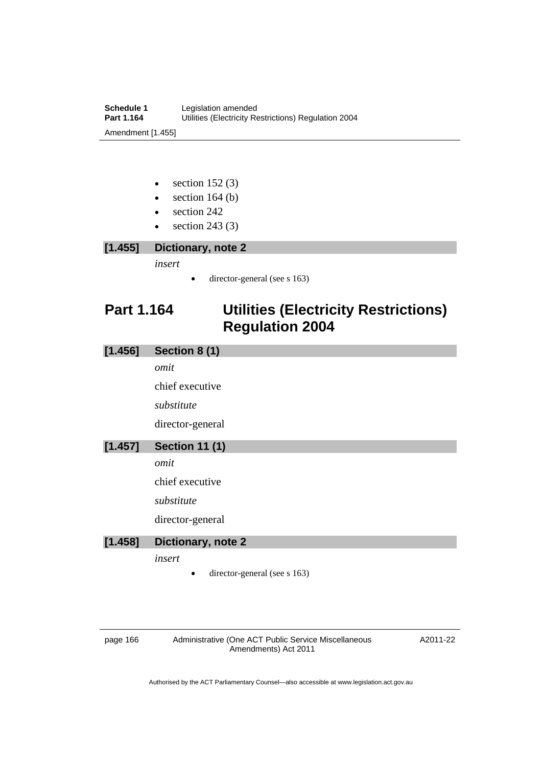- $\bullet$  section 152 (3)
- $\bullet$  section 164 (b)
- section 242
- $\bullet$  section 243 (3)
- **[1.455] Dictionary, note 2**

*insert* 

• director-general (see s 163)

# **Part 1.164 Utilities (Electricity Restrictions) Regulation 2004**

| [1.456] | Section 8 (1)                |
|---------|------------------------------|
|         | omit                         |
|         | chief executive              |
|         | substitute                   |
|         | director-general             |
| [1.457] | <b>Section 11 (1)</b>        |
|         | omit                         |
|         | chief executive              |
|         | substitute                   |
|         | director-general             |
| [1.458] | Dictionary, note 2           |
|         | insert                       |
|         | director-general (see s 163) |
|         |                              |

page 166 Administrative (One ACT Public Service Miscellaneous Amendments) Act 2011

A2011-22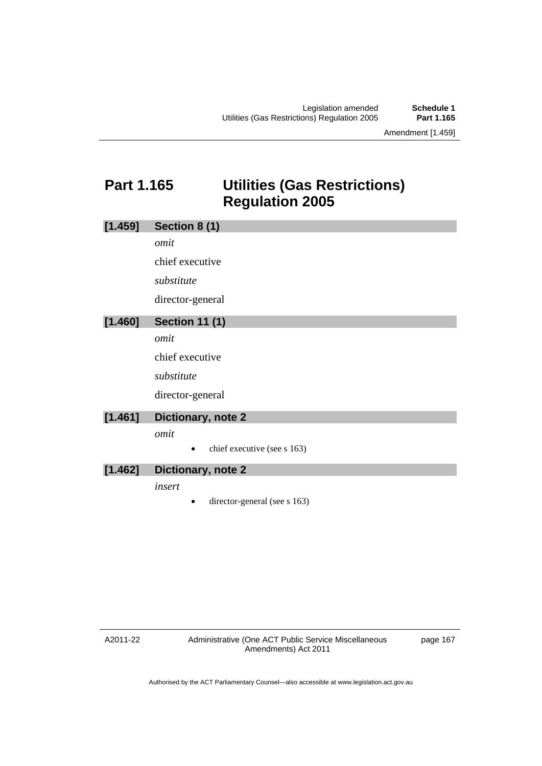Amendment [1.459]

# **Part 1.165 Utilities (Gas Restrictions) Regulation 2005**

| [1.459] | Section 8 (1)                |
|---------|------------------------------|
|         | omit                         |
|         | chief executive              |
|         | substitute                   |
|         | director-general             |
| [1.460] | <b>Section 11 (1)</b>        |
|         | omit                         |
|         | chief executive              |
|         | substitute                   |
|         | director-general             |
| [1.461] | Dictionary, note 2           |
|         | omit                         |
|         | chief executive (see s 163)  |
| [1.462] | Dictionary, note 2           |
|         | insert                       |
|         | director-general (see s 163) |

A2011-22

page 167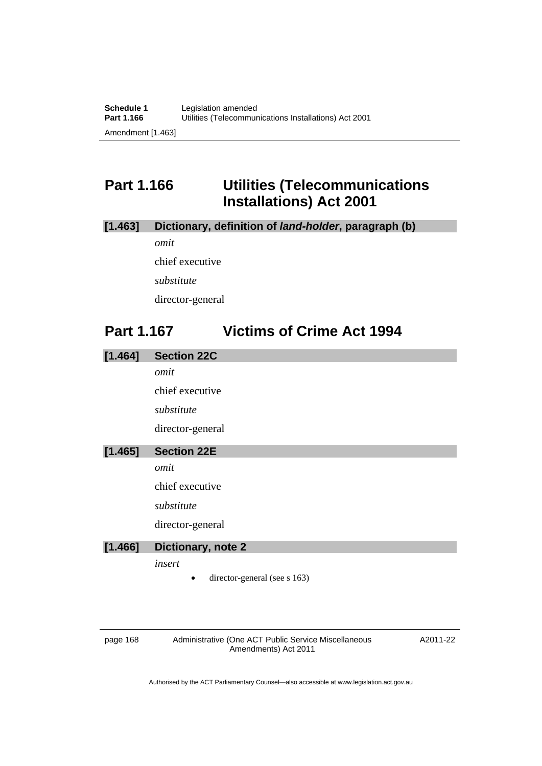# **Part 1.166 Utilities (Telecommunications Installations) Act 2001**

### **[1.463] Dictionary, definition of** *land-holder***, paragraph (b)**

*omit* 

chief executive

*substitute* 

director-general

## **Part 1.167 Victims of Crime Act 1994**

| [1.464] | <b>Section 22C</b> |
|---------|--------------------|
|         | omit               |
|         | chief executive    |
|         | substitute         |
|         | director-general   |
| [1.465] | <b>Section 22E</b> |
|         | omit               |
|         | chief executive    |
|         | substitute         |
|         | director-general   |
| [1.466] | Dictionary, note 2 |
|         | insert             |

• director-general (see s 163)

page 168 Administrative (One ACT Public Service Miscellaneous Amendments) Act 2011

A2011-22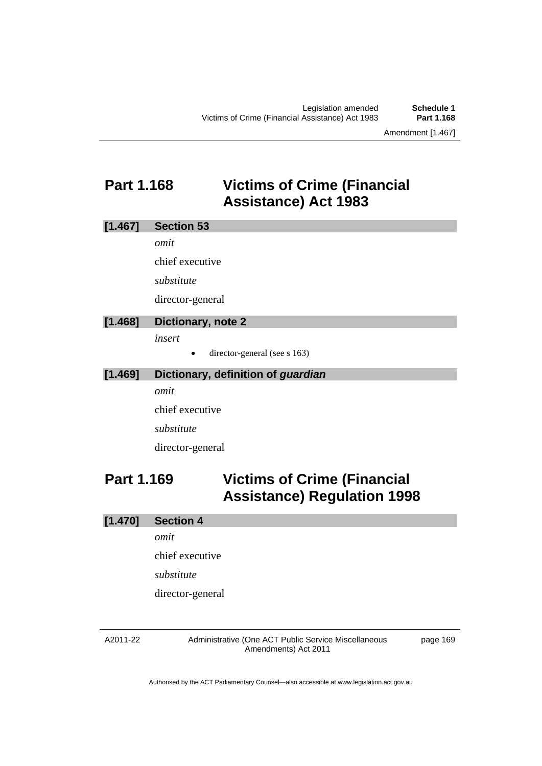# **Part 1.168 Victims of Crime (Financial Assistance) Act 1983**

| [1.467]   | <b>Section 53</b>  |
|-----------|--------------------|
|           | omit               |
|           | chief executive    |
|           | substitute         |
|           | director-general   |
| $[1.468]$ | Dictionary, note 2 |

*insert* 

• director-general (see s 163)

### **[1.469] Dictionary, definition of** *guardian*

*omit* 

chief executive

*substitute* 

director-general

# **Part 1.169 Victims of Crime (Financial Assistance) Regulation 1998**

### **[1.470] Section 4**

*omit* 

chief executive

*substitute* 

director-general

#### A2011-22

Administrative (One ACT Public Service Miscellaneous Amendments) Act 2011

page 169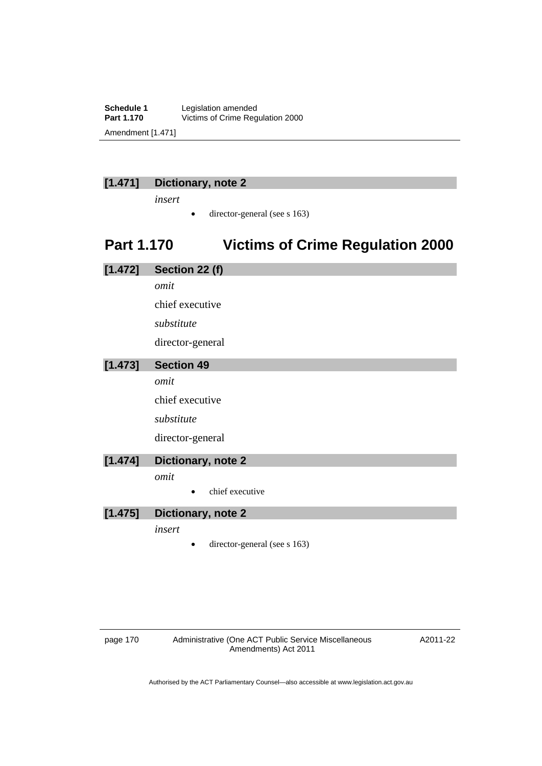**Schedule 1** Legislation amended<br>**Part 1.170** Victims of Crime Reg Victims of Crime Regulation 2000 Amendment [1.471]

### **[1.471] Dictionary, note 2**

*insert* 

 $\bullet$  director-general (see s 163)

# **Part 1.170 Victims of Crime Regulation 2000**

| [1.472] | Section 22 (f)     |
|---------|--------------------|
|         | omit               |
|         | chief executive    |
|         | substitute         |
|         | director-general   |
| [1.473] | <b>Section 49</b>  |
|         | omit               |
|         | chief executive    |
|         | substitute         |
|         | director-general   |
| [1.474] | Dictionary, note 2 |
|         | omit               |
|         | chief executive    |
| [1.475] | Dictionary, note 2 |
|         | insert             |

• director-general (see s 163)

page 170 Administrative (One ACT Public Service Miscellaneous Amendments) Act 2011

A2011-22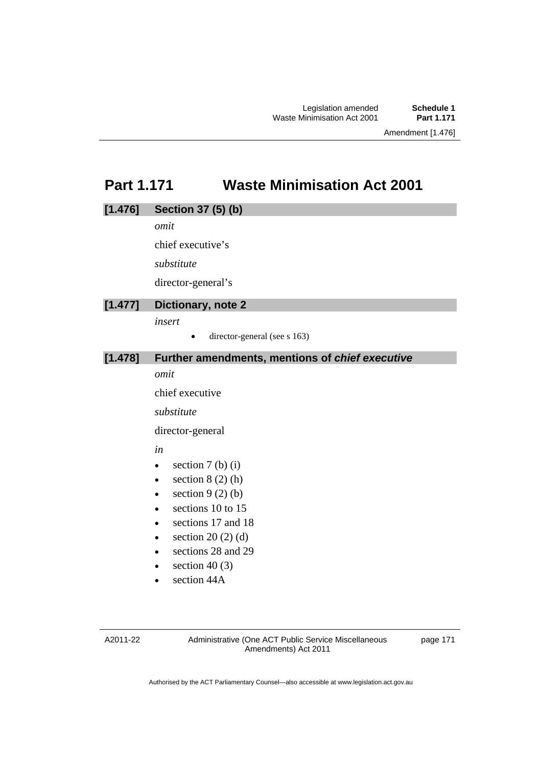# **Part 1.171 Waste Minimisation Act 2001**

# **[1.476] Section 37 (5) (b)**  *omit*  chief executive's *substitute*  director-general's **[1.477] Dictionary, note 2**  *insert*   $\bullet$  director-general (see s 163) **[1.478] Further amendments, mentions of** *chief executive omit*  chief executive *substitute*  director-general

*in* 

- $\bullet$  section 7 (b) (i)
- $\bullet$  section 8 (2) (h)
- $\bullet$  section 9 (2) (b)
- $\bullet$  sections 10 to 15
- sections 17 and 18
- $\bullet$  section 20 (2) (d)
- sections 28 and 29
- $\bullet$  section 40 (3)
- section 44A

A2011-22

Administrative (One ACT Public Service Miscellaneous Amendments) Act 2011

page 171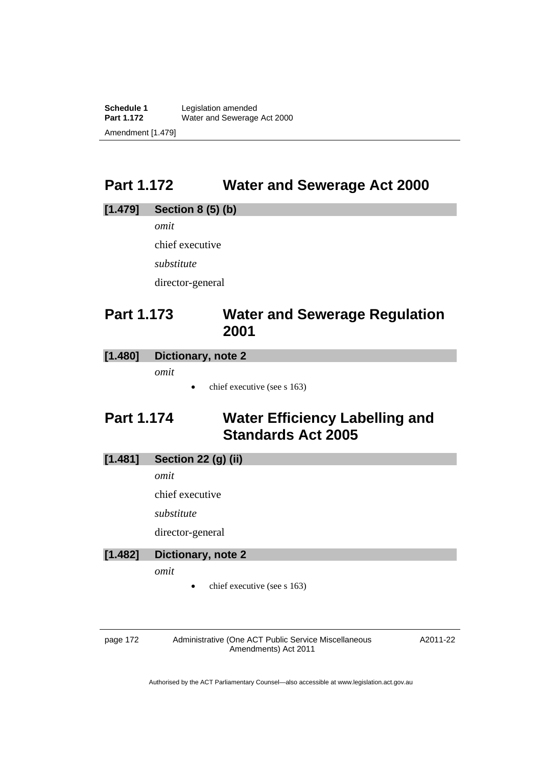**Schedule 1** Legislation amended<br> **Part 1.172** Water and Sewerage Water and Sewerage Act 2000 Amendment [1.479]

# **Part 1.172 Water and Sewerage Act 2000**

# **[1.479] Section 8 (5) (b)**  *omit*  chief executive *substitute*  director-general

# **Part 1.173 Water and Sewerage Regulation 2001**

### **[1.480] Dictionary, note 2**

*omit* 

chief executive (see s 163)

# **Part 1.174 Water Efficiency Labelling and Standards Act 2005**

### **[1.481] Section 22 (g) (ii)**

*omit* 

chief executive

*substitute* 

director-general

#### **[1.482] Dictionary, note 2**

*omit* 

chief executive (see s 163)

page 172 Administrative (One ACT Public Service Miscellaneous Amendments) Act 2011

A2011-22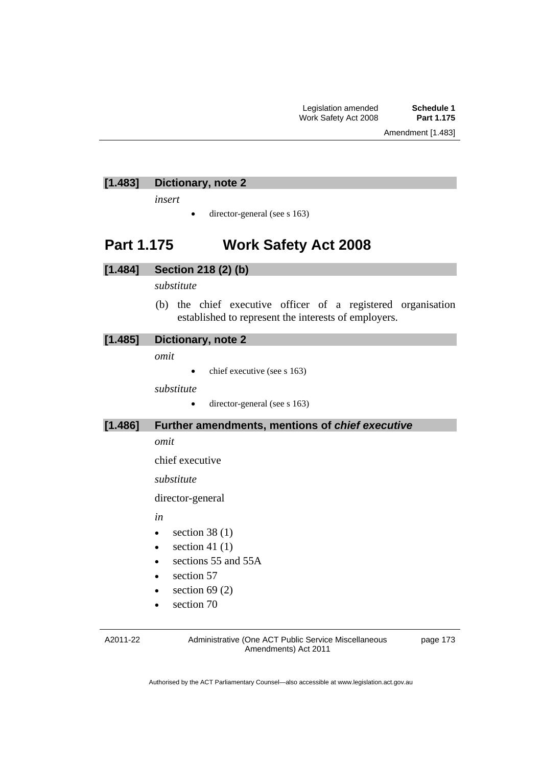### **[1.483] Dictionary, note 2**

*insert* 

 $\bullet$  director-general (see s 163)

## **Part 1.175 Work Safety Act 2008**

### **[1.484] Section 218 (2) (b)**

#### *substitute*

 (b) the chief executive officer of a registered organisation established to represent the interests of employers.

#### **[1.485] Dictionary, note 2**

*omit* 

chief executive (see s 163)

*substitute* 

director-general (see s 163)

#### **[1.486] Further amendments, mentions of** *chief executive*

*omit* 

chief executive

*substitute* 

director-general

*in* 

- $\bullet$  section 38 (1)
- $\bullet$  section 41 (1)
- sections 55 and 55A
- $\bullet$  section 57
- $\bullet$  section 69 (2)
- section 70

A2011-22

Administrative (One ACT Public Service Miscellaneous Amendments) Act 2011

page 173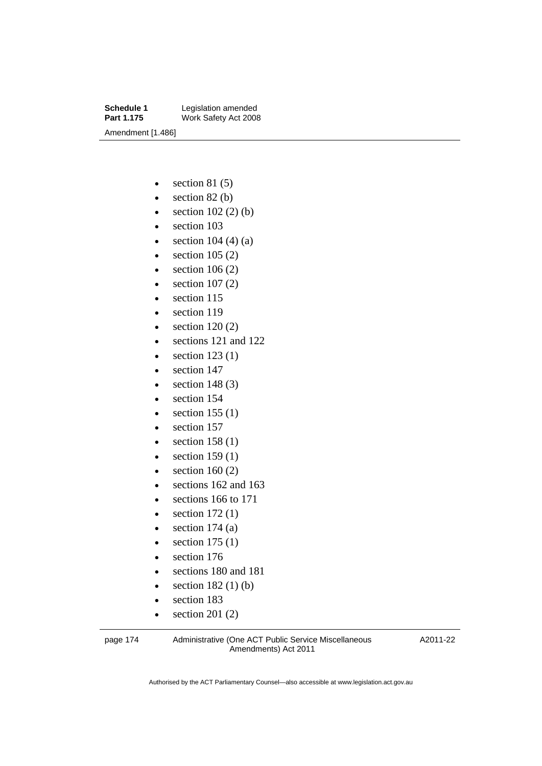**Schedule 1** Legislation amended<br> **Part 1.175** Work Safety Act 2008 **Work Safety Act 2008** Amendment [1.486]

- $\bullet$  section 81 (5)
- $\bullet$  section 82 (b)
- $\bullet$  section 102 (2) (b)
- section 103
- $\bullet$  section 104 (4) (a)
- $\bullet$  section 105 (2)
- $\bullet$  section 106 (2)
- $\bullet$  section 107 (2)
- section 115
- section 119
- $\bullet$  section 120 (2)
- sections 121 and 122
- $\bullet$  section 123(1)
- section 147
- $\bullet$  section 148 (3)
- section 154
- $\bullet$  section 155 (1)
- section 157
- $\bullet$  section 158 (1)
- $\bullet$  section 159 (1)
- $\bullet$  section 160 (2)
- $\bullet$  sections 162 and 163
- sections 166 to 171
- $\bullet$  section 172 $(1)$
- $\bullet$  section 174 (a)
- $\bullet$  section 175 (1)
- section 176
- sections 180 and 181
- $\bullet$  section 182 (1) (b)
- section 183
- $\bullet$  section 201 (2)

page 174 Administrative (One ACT Public Service Miscellaneous Amendments) Act 2011

A2011-22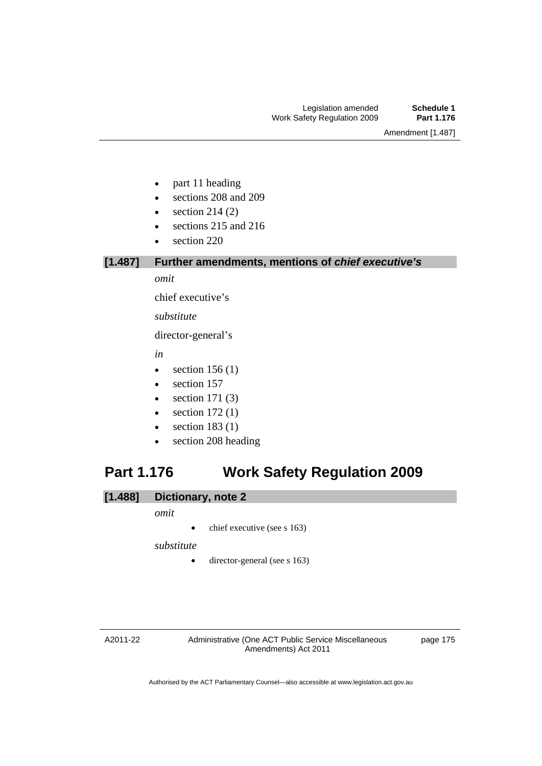Amendment [1.487]

- part 11 heading
- sections 208 and 209
- $\bullet$  section 214 (2)
- sections 215 and 216
- section 220

### **[1.487] Further amendments, mentions of** *chief executive's*

*omit* 

chief executive's

*substitute* 

director-general's

*in* 

- $\bullet$  section 156 (1)
- section 157
- $\bullet$  section 171 (3)
- $\bullet$  section 172 $(1)$
- $\bullet$  section 183 (1)
- section 208 heading

# **Part 1.176 Work Safety Regulation 2009**

#### **[1.488] Dictionary, note 2**

#### *omit*

 $\bullet$  chief executive (see s 163)

*substitute* 

• director-general (see s 163)

#### A2011-22

Administrative (One ACT Public Service Miscellaneous Amendments) Act 2011

page 175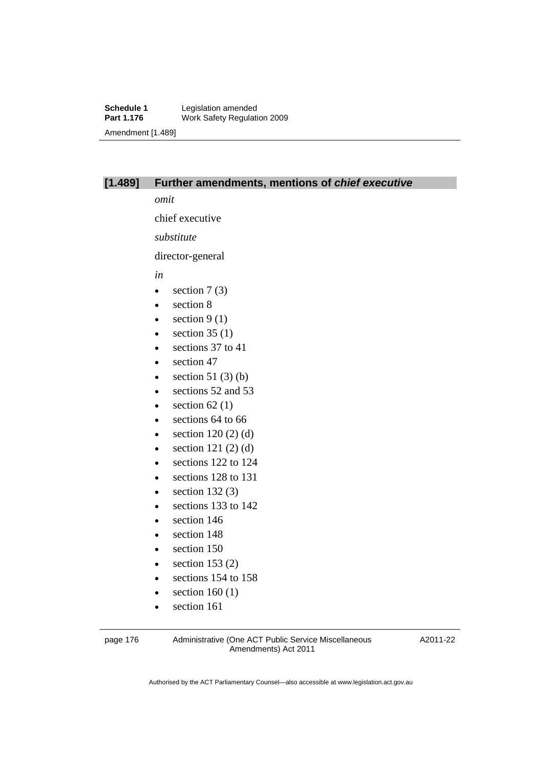#### **[1.489] Further amendments, mentions of** *chief executive*

*omit* 

chief executive

*substitute* 

director-general

*in* 

- $\bullet$  section 7 (3)
- section 8
- $\bullet$  section 9 (1)
- $\bullet$  section 35 (1)
- e sections 37 to 41
- section 47
- $\bullet$  section 51 (3) (b)
- e sections 52 and 53
- $\bullet$  section 62(1)
- e sections 64 to 66
- $\bullet$  section 120 (2) (d)
- $\bullet$  section 121 (2) (d)
- e sections 122 to 124
- sections 128 to 131
- $\bullet$  section 132 $(3)$
- e sections 133 to 142
- section 146
- section 148
- section 150
- $\bullet$  section 153 (2)
- sections 154 to 158
- $\bullet$  section 160 (1)
- section 161

page 176 Administrative (One ACT Public Service Miscellaneous Amendments) Act 2011

A2011-22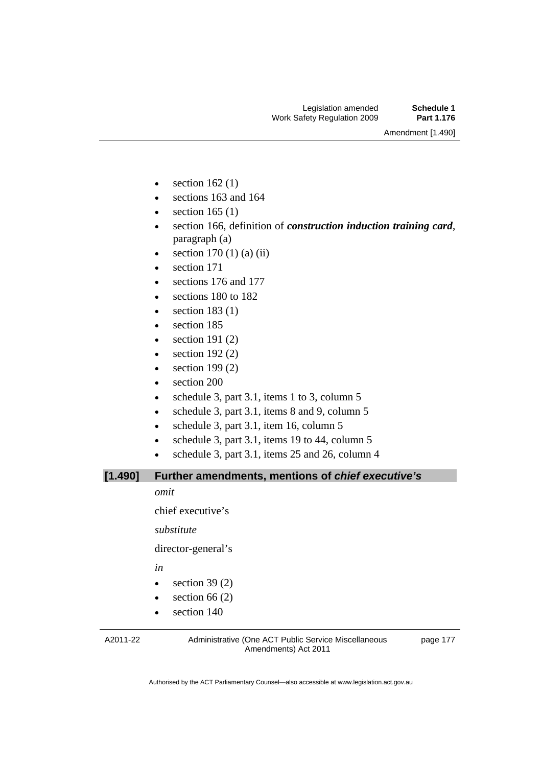Amendment [1.490]

- $\bullet$  section 162(1)
- sections 163 and 164
- $\bullet$  section 165 (1)
- section 166, definition of *construction induction training card*, paragraph (a)
- $\bullet$  section 170 (1) (a) (ii)
- section 171
- sections 176 and 177
- sections 180 to 182
- $\bullet$  section 183 (1)
- section 185
- $\bullet$  section 191 $(2)$
- $\bullet$  section 192 $(2)$
- $\bullet$  section 199 $(2)$
- section 200
- $\bullet$  schedule 3, part 3.1, items 1 to 3, column 5
- schedule 3, part 3.1, items 8 and 9, column 5
- $\bullet$  schedule 3, part 3.1, item 16, column 5
- schedule 3, part 3.1, items 19 to 44, column  $5$
- schedule 3, part 3.1, items 25 and 26, column 4

**[1.490] Further amendments, mentions of** *chief executive's*

*omit* 

chief executive's

*substitute* 

director-general's

*in* 

- $\bullet$  section 39 (2)
- $\bullet$  section 66 (2)
- section 140

A2011-22

Administrative (One ACT Public Service Miscellaneous Amendments) Act 2011

page 177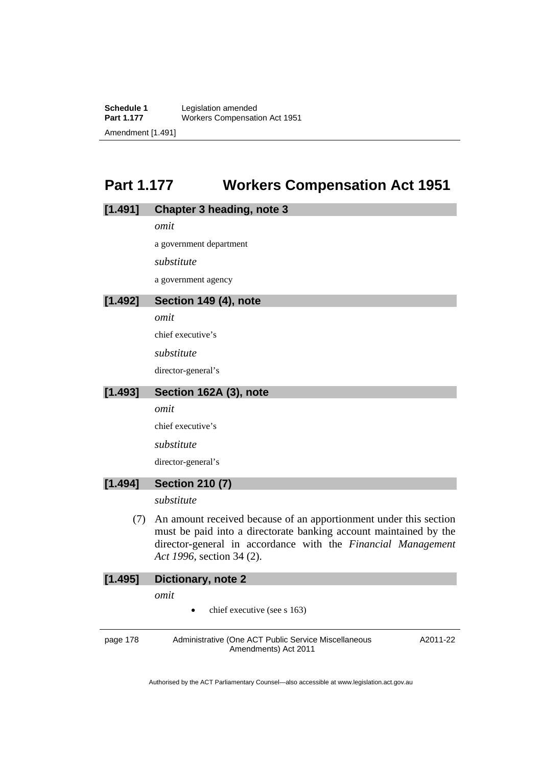**Schedule 1** Legislation amended<br> **Part 1.177** Workers Compensati **Workers Compensation Act 1951** Amendment [1.491]

# **Part 1.177 Workers Compensation Act 1951**

#### **[1.491] Chapter 3 heading, note 3**

*omit* 

a government department

*substitute* 

a government agency

#### **[1.492] Section 149 (4), note**

*omit* 

chief executive's

*substitute* 

director-general's

#### **[1.493] Section 162A (3), note**

*omit* 

chief executive's

*substitute* 

director-general's

#### **[1.494] Section 210 (7)**

*substitute* 

 (7) An amount received because of an apportionment under this section must be paid into a directorate banking account maintained by the director-general in accordance with the *Financial Management Act 1996*, section 34 (2).

A2011-22

### **[1.495] Dictionary, note 2**  *omit*

chief executive (see s 163)

page 178 Administrative (One ACT Public Service Miscellaneous Amendments) Act 2011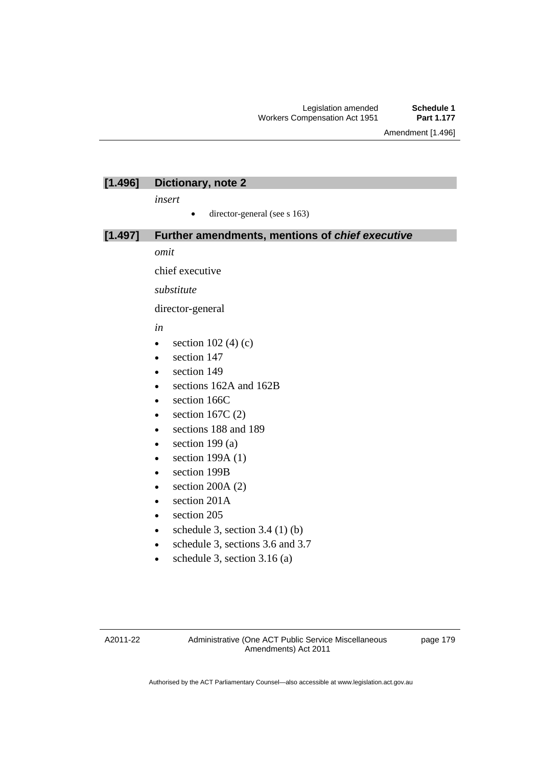Amendment [1.496]

### **[1.496] Dictionary, note 2**

*insert* 

 $\bullet$  director-general (see s 163)

#### **[1.497] Further amendments, mentions of** *chief executive*

*omit* 

chief executive

*substitute* 

director-general

#### *in*

- $\bullet$  section 102 (4) (c)
- section 147
- section 149
- sections 162A and 162B
- section 166C
- $\bullet$  section 167C (2)
- sections 188 and 189
- $\bullet$  section 199 $(a)$
- $\bullet$  section 199A (1)
- section 199B
- $\bullet$  section 200A (2)
- section 201A
- section 205
- schedule 3, section  $3.4$  (1) (b)
- schedule 3, sections 3.6 and 3.7
- schedule 3, section 3.16 (a)

page 179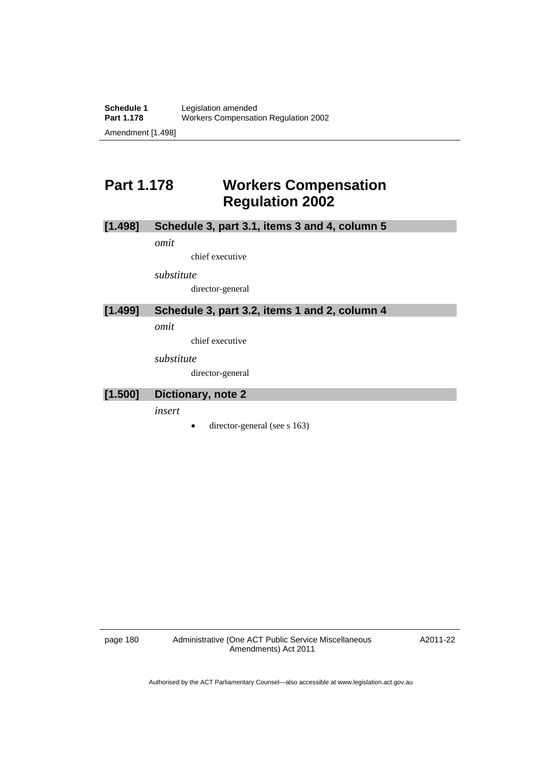# **Part 1.178 Workers Compensation Regulation 2002**

### **[1.498] Schedule 3, part 3.1, items 3 and 4, column 5**

*omit* 

chief executive

*substitute* 

director-general

### **[1.499] Schedule 3, part 3.2, items 1 and 2, column 4**

*omit* 

chief executive

*substitute* 

director-general

#### **[1.500] Dictionary, note 2**

*insert* 

 $\bullet$  director-general (see s 163)

page 180 Administrative (One ACT Public Service Miscellaneous Amendments) Act 2011

A2011-22